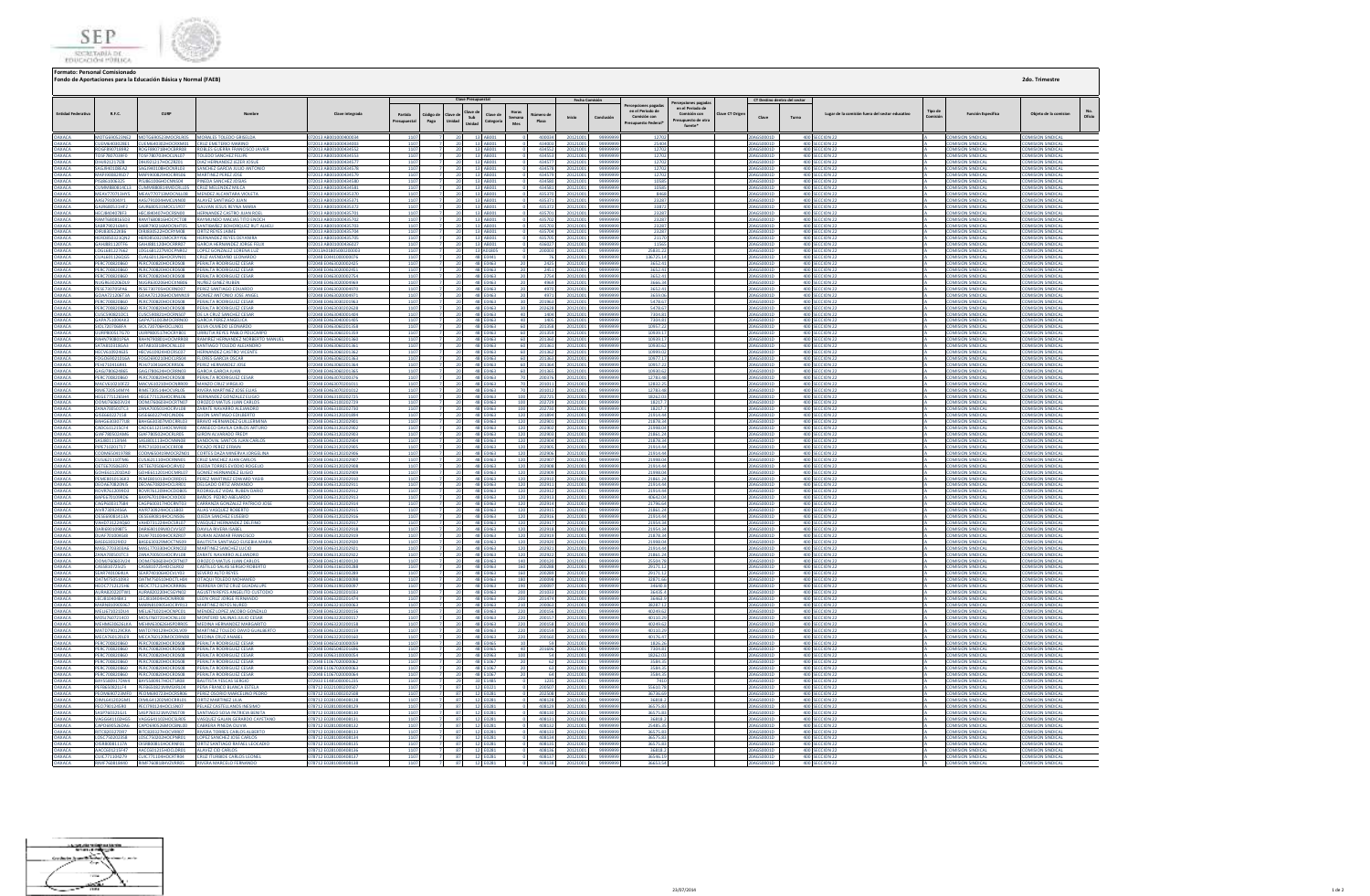

| Clave Presupuestal<br>Fecha Comisión<br>CT Destino dentro del sector<br>rcepciones paga:<br>en el Periodo de<br>lave di<br>Horas<br>en el Periodo de<br>Tipo de<br>R.F.C.<br>CURP<br>Clave integrada<br>ave CT Orio<br>Lugar de la comisión fuera del sector educativo<br><b>Función Específica</b><br>Nombre<br>Comisión con<br>Partida<br>Clave de<br>ódigo de<br>imero d<br>Comisión con<br>Conclusió<br>Sub<br>Inicio<br>Clave<br>Turno<br>eman<br>esupues<br>Pago<br>Unidac<br>Categori:<br>Plaza<br>Mes<br>resupuesto Federa<br>fuente*<br>MOTG690523NE2 MOTG690523MOCRLR05 MORALES TOLEDO GRISELDA<br>072013 AB001000400034<br>1107<br>13 AB001<br>400034<br>20121001<br>9999999<br>12702<br>20AGS0001D<br>400 SECCION 22<br><b>COMISION SINDICAL</b><br>CUEM6403028E1 CUEM640302HOCRXM01 CRUZ EMETERIO MARINO<br>072013 AB001000434003<br>1107<br>13 AB001<br>434003<br>20121001<br>9999999<br>25404<br>20AGS0001D<br>400 SECCION 22<br><b>COMISION SINDICAL</b><br><b>COMISION SINDICAL</b><br>- 20<br>C0091719002<br><b>ROGOOD ON FEDRER</b><br>ROBLES GUERRA FRANCISCO JAVIER<br>2012 1000100012455<br>13 AB001<br>424557<br>1270<br>0AGS0001E<br>400 SECCION 2<br>COMPOSICING CINIDACA<br>TOSF780703HOCLNL07<br>72013 AB001000434553<br>13 AB001<br>434553<br>12702<br>0AGS0001D<br>400 SECCION 22<br><b>COMISION SINDICAL</b><br><b>COMISION SINDICA</b><br>TOSF7807039F0<br><b>TOLEDO SANCHEZ FELIPE</b><br>1107<br>20<br>20121001<br>9999999<br>DIHJ921217IZ8<br>HJ921217HOCZRZ01<br>DIAZ HERNANDEZ JEZER JOSUE<br>072013 AB001000434577<br>110<br>13 AB001<br>434577<br>20121001<br>9999999<br>12702<br>20AGS0001D<br>400 SECCION 22<br><b>COMISION SINDICA</b><br><b>OMISION SINDICAL</b><br>- 20<br>13 AB001<br>434578<br>AGJ940108EA2<br>SANCHEZ GARCIA JULIO ANTON<br>72013 AB00100043457<br>12702<br>400 SECCION 22<br><b>COMISION SINDICA</b><br><b>OMISION SINDICA</b><br>GJ940108HOCNRL03<br>2012100<br>9999999<br>0AGS0001D<br>MAP19008295D7<br>MAPI900829HOCRRS06<br>MARTINEZ PEREZ IOSE<br>72013 ABO01000434579<br>1107<br>13 AB001<br>434579<br>20121001<br>12702<br>01000200010<br>400 SECCION 22<br>COMISION SINDICAL<br><b>OMISION SINDICA</b><br>9999999<br>PISJ861006325<br>PISJ861006HOCNNS04<br>PINEDA SANCHEZ JOSIAS<br>72013 AB001000434580<br>110<br>13 AB001<br>434580<br>20121001<br>9999999<br>10585<br>20AGS0001D<br>400 SECCION 22<br>COMISION SINDICAL<br><b>COMISION SINDICA</b><br>UMM880814CL3<br>UMM880814MOCRLLO<br>CRUZ MELENDEZ MILCA<br>72013 AB00100043458<br>13 AB001<br>434581<br>10585<br>0AGS0001D<br>400 SECCION 22<br>OMISION SINDICA<br><b><i>OMISION SINDICA</i></b><br>110<br>2012100<br>MEAV770713HY5<br>MEAV770713MOCNLL08<br>MENDEZ ALCANTARA VIOLETA<br>72013 AB001000435370<br>110<br>13 AB001<br>435370<br>2012100:<br>9999999<br>8468<br>0AGS0001D<br>400 SECCION 22<br>COMISION SINDICA<br><b>OMISION SINDICA</b><br>AASJ791004JY1<br>AASJ791004HMCLNN00<br>ALAVEZ SANTIAGO JUAN<br>72013 AB001000435371<br>110<br>13 AB001<br>435371<br>20121001<br>9999999<br>23287<br>20AGS0001D<br>400 SECCION 22<br>COMISION SINDICAL<br><b>OMISION SINDICA</b><br>GAJR680531HF2<br>GAJR680531MOCLSY07<br><b>GALVAN JESUS REYNA MARIA</b><br>072013 AB001000435372<br>110<br>13 AB001<br>435372<br>20121001<br>9999999<br>33872<br>20AGS0001D<br>400 SECCION 22<br>COMISION SINDICA<br>COMISION SINDICA<br>HECJ8404078F3<br>2013 AB00100043570<br>13 AB001<br>43570<br>0AGS0001D<br>COMISION SINDICA<br><b>OMISION SINDICA</b><br>ECJ840407HOCRSN00<br>HERNANDEZ CASTRO JUAN ROEI<br>110<br>2012100<br>999999<br>23287<br>400 SECCION 22<br>13 AB001<br>43570<br>23287<br><b>RAMT6808165D3</b><br>RAMT680816HOCYCT08<br><b>RAYMUNDO MACIAS TITO ENOCH</b><br>2013 AB00100043570<br>110<br>2012100<br>9999<br>4650001E<br>400 SECCION 22<br>COMISION SINDICA<br>MISION SINDICA<br>SABR790216MI1<br>SABR790216MOCNHT05<br>SANTIBAÑEZ BOHORQUEZ RUT ALHEL<br>072013 AB001000435703<br>110<br>13 AB001<br>435703<br>20121001<br>9999999<br>23287<br>20AGS0001D<br>400 SECCION 22<br><b>COMISION SINDICA</b><br><b>OMISION SINDICA</b><br>OIRJ830522K86<br>OIRJ830522HOCRYM08<br><b>ORTIZ REYES JAIME</b><br>72013 AB001000435704<br>13 AB001<br>435704<br>999999<br>23287<br>0AGS0001D<br>COMISION SINDICA<br>MISION SINDICA<br>110<br>20121001<br><b>400 SECCION 22</b><br>13 AB001<br>435705<br>21170<br><b>OMISION SINDICA</b><br><b>HERD850321ON2</b><br>HERD850321MOCRYY06<br>HERNANDEZ REYES DEYANIRA<br>72013 AB00100043570<br>110<br>20121003<br>999999<br>0AGS0001D<br>400 SECCION 22<br>COMISION SINDICA<br>GAHJ881120TF6<br>GAHJ881120HOCRRR07<br><b>GARCIA HERNANDEZ JORGE FELIX</b><br>72013 AB001000436027<br>13 AB001<br>436027<br>20121001<br>11565<br>20AGS0001D<br>400 SECCION 22<br><b>COMISION SINDICAL</b><br><b>COMISION SINDICA</b><br>110<br>999999<br>13 A01805<br>9999999<br>20AGS0001D<br>400 SECCION 22<br><b>COMISION SINDICAL</b><br><b>COMISION SINDICAL</b><br>LOGL681227662 LOGL681227MOCPNR02<br>LOPEZ GONZALEZ LORENA LUZ<br>072013A01805000200003<br>110<br>200003<br>25831.22<br>20121001<br>UAL601126QG5<br>UAL601126HOCRVN01<br>CRUZ AVENDAÑO LEONARDO<br>2048 E044100000007<br>110<br>48 E0441<br>9999999<br>136725.14<br>400 SECCION 2<br>COMISION SINDICA<br><b>COMISION SINDICA</b><br>2012100<br>PERC700820B60 PERC700820HOCRDS08<br>PERALTA RODRIGUEZ CESAR<br>072048 E0463020002425<br>48 E0463<br>2425<br>20121001<br>3652.41<br>20AGS0001D<br>400 SECCION 22<br><b>COMISION SINDICAL</b><br><b>COMISION SINDICA</b><br>1107<br>9999999<br>PERC700820B60<br>110<br>48 E0463<br>2451<br>3652.41<br>400 SECCION 22<br><b>COMISION SINDICAL</b><br>PERC700820HOCRDS08<br>PERALTA RODRIGUEZ CESAR<br>72048 E0463020002451<br>20121001<br>9999999<br>20AGS0001D<br><b>DMISION SINDICA</b><br>PERC700820HOCRDS08<br>48 E0463<br>3652.4<br>MISION SINDIC<br>ERC700820B60<br>PERALTA RODRIGUEZ CESA<br>72048 E046302000279<br>2754<br>999999<br>AGS0001<br>OMISION SINDICA<br>2012100<br>400 SECCION 2<br>NUGR630206DL9 NUGR630206HOCXNB06<br>NUÑEZ GINEZ RUBEN<br>72048 E0463020004969<br>110<br>48 E0463<br>4969<br>20121001<br>3666.34<br>0AGS0001D<br>400 SECCION 22<br>COMISION SINDICAL<br><b>OMISION SINDICA</b><br>999999<br><b>PESE730705PA6</b><br>PESE730705HOCRND07<br>PEREZ SANTIAGO EDUARDO<br>72048 E0463020004970<br>110<br>48 E0463<br>4970<br>20121001<br>9999999<br>3652.41<br>20AGS0001D<br>400 SECCION 22<br>COMISION SINDICAL<br><b>COMISION SINDICA</b><br>48 E0463<br>4971<br>3659.06<br>400 SECCION 22<br>MISION SINDICA<br>GOAA721206T3A<br>0AA721206HOCMNN1<br><b>GOMEZ ANTONIO JOSE ANGE</b><br>72048 E046302000497<br>0AGS0001E<br>OMISION SINDICA<br>20121001<br>5478.67<br><b>OMISION SINDICA</b><br>PERC700820B60<br>PERC700820HOCRDS08<br>PERALTA RODRIGUEZ CESAR<br>72048 E0463030201963<br>110<br>48 E0463<br>201963<br>2012100<br>999999<br>AGS0001D<br>400 SECCION 22<br>COMISION SINDICAL<br>PERC700820B60<br>PERC700820HOCRDS08<br>PERALTA RODRIGUEZ CESAR<br>72048 E0463030202628<br>110<br>48 E0463<br>202628<br>20121001<br>9999999<br>5478.67<br>0AGS0001D<br>400 SECCION 22<br><b>COMISION SINDICA</b><br><b>OMISION SINDICA</b><br>48 E0463<br>7304.81<br>CUSC590821DC1<br>CUSC590821HOCRNS07<br>DE LA CRUZ SANCHEZ CESAR<br>072048 E0463040001404<br>1107<br>1404<br>20121001<br>9999999<br>20AGS0001D<br>400 SECCION 22<br><b>COMISION SINDICAL</b><br><b>COMISION SINDICA</b><br>-20<br>72048 E0463040001405<br>110<br>48 E0463<br>1405<br>7304.81<br>20AGS0001D<br><b>COMISION SINDICA</b><br>GAPA751004AK3<br>APA751003MOCRRN00<br>GARCIA PEREZ ANGELICA<br>20121001<br>99999<br>400 SECCION 22<br><b><i>OMISION SINDICA</i></b><br><b>IOL7207068FA</b><br>SILVA OLMEDO LEONARDO<br>72048 E0463060201358<br>48 E0463<br>400 SECCION 22<br>COMISION SINDICA<br>MISION SINDICA<br>OL720706HOCLLN01<br>110<br>201358<br>20121001<br>999999<br>10957.22<br>AGS0001D<br>UURP800517G70<br>URP800517HOCRYB01<br>URRUTIA REYES PABLO POLICARPO<br>72048 E0463060201359<br>110<br>48 E0463<br>201359<br>20121001<br>10939.17<br>0AGS0001D<br>400 SECCION 22<br>COMISION SINDICA<br><b>DMISION SINDICA</b><br>999999<br>RAHN790801P6A<br>RAHN790801HOCMRR08<br>RAMIREZ HERNANDEZ NORBERTO MAN<br>72048 E046306020136<br>110<br>48 E0463<br>201360<br>2012100<br>999999<br>10939.1<br>0AGS0001D<br>400 SECCION 22<br>COMISION SINDICA<br><b><i>OMISION SINDICA</i></b><br>SATA810318GA3 SATA810318HOCNLL03<br>SANTIAGO TOLEDO ALEJANDRO<br>72048 E0463060201361<br>110<br>48 E0463<br>201361<br>20121001<br>99999999<br>10930.62<br>20AGS0001D<br>400 SECCION 22<br>COMISION SINDICAL<br>COMISION SINDICA<br>HECV610924635<br>HECV610924HOCRSC07<br>HERNANDEZ CASTRO VICENTE<br>072048 E0463060201362<br>1107<br>48 E0463<br>201362<br>20121001<br>9999999<br>10999.02<br>20AGS0001D<br>400 SECCION 22<br><b>COMISION SINDICA</b><br><b>COMISION SINDICA</b><br>- 20<br>60<br>48 F0463<br>201363<br>999999<br>109771<br>046500010<br>COMISION SINDICA<br>1011110030202<br>M2810010102040<br>ELORES GARCIA OSCA<br>2048 F046306020136<br>110<br>2012100<br>400 SECCION 2<br>OMISION SINDICA<br>PEREZ HERNANDEZ JOSE<br>72048 E0463060201364<br>48 E0463<br>10957.22<br><b>COMISION SINDICA</b><br>PEHJ710416R41 PEHJ710416HOCRRS06<br>110<br>201364<br>20121001<br>99999999<br>20AGS0001D<br>400 SECCION 22<br>COMISION SINDICA<br>GAGJ780624865 GAGJ780624HOCRRN03<br><b>GARCIA GARCIA JUAN</b><br>072048 E0463060201365<br>1107<br>48 E0463<br>201365<br>20121001<br>10930.62<br>20AGS0001D<br>400 SECCION 22<br><b>COMISION SINDICA</b><br><b>COMISION SINDICA</b><br>-20<br>60<br>999999<br>48 E0463<br><b>COMISION SINDICAL</b><br>PERC700820B60<br>PERALTA RODRIGUEZ CESAF<br>200376<br>99999<br>12783.48<br>PERC700820HOCRDS08<br>72048 E046307020037<br>110<br>2012100<br>0AGS0001D<br>400 SECCION 22<br><b>MISION SINDICA</b><br>MACV610210FZ2<br>MACV610210HOCNRR09<br>MANZO CRUZ VIRGILI<br>2048 E046307020101<br>48 E0463<br>201011<br>2012100<br>9999999<br>12832.25<br>AGS0001D<br>400 SECCION 22<br>COMISION SINDICA<br><b>OMISION SINDIC</b><br>RIME720514MY4 RIME720514HOCVRL05<br>RIVERA MARTINEZ JOSE ELIAS<br>72048 E0463070201012<br>48 E0463<br>201012<br>20121001<br>12783.48<br>20AGS0001D<br>400 SECCION 22<br><b>COMISION SINDICAL</b><br><b>COMISION SINDICA</b><br>110<br>9999999<br>400 SECCION 22<br>HEGE7711265H4 HEGE771126HOCRNL06<br>110<br>48 E0463<br>202725<br>9999999<br>18262.03<br>20AGS0001D<br><b>COMISION SINDICAL</b><br><b>COMISION SINDICA</b><br>HERNANDEZ GONZALEZ ELIGIO<br>72048 E0463100202725<br>20121001<br>2048 E046310020272<br>48 E0463<br>202729<br>99999<br>18217.<br>AGS0001D<br>400 SECCION 22<br>OMISION SINDICA<br><b><i>OMISION SINDICA</i></b><br>2012100:<br>2048 E0463100202730<br>18217.7<br><b>COMISION SINDICA</b><br>ZANA700501TC3<br>ZANA700501HOCRVL08<br>ZARATE NAVARRO ALEJANDRO<br>110<br>48 E0463<br>100<br>202730<br>20121001<br>999999<br>0AGS0001D<br>400 SECCION 22<br><b>COMISION SINDICA</b><br>GISE660227158<br>GISE660227HOCJND06<br><b>GUON SANTIAGO EDILBERTO</b><br>072048 E0463120201894<br>110<br>48 E0463<br>120<br>201894<br>20121001<br>9999999<br>21914.44<br>20AGS0001D<br>400 SECCION 22<br><b>COMISION SINDICAL</b><br><b>COMISION SINDICA</b><br>48 E0463<br>400 SECCION 22<br><b>COMISION SINDICA</b><br>BAHG6303077U8<br>BAHG630307MOCRRL03<br>072048 E0463120202901<br>110<br>120<br>202901<br>21878.34<br>20AGS0001D<br><b>COMISION SINDICA</b><br><b>BRAVO HERNANDEZ GUILLERMINA</b><br>20<br>20121001<br>9999999<br>CADC611215CF4<br>CADC611215HOCNVR00<br>CANSECO DAVILA CARLOS ARTURO<br>0048 F0463120202902<br>110<br>48 E0463<br>120<br>202902<br>20121001<br>9999<br>21998.04<br>204650001D<br>400 SECCION 22<br>COMISION SINDICAL<br><b>OMISION SINDICA</b><br>GIAF780502AM6<br>GIAF780502HOCRLR05<br><b>GIRON ALVARADO FREDY</b><br>72048 E0463120202903<br>48 E0463<br>120<br>202903<br>20121001<br>9999999<br>21861.24<br>20AGS0001D<br>400 SECCION 22<br><b>COMISION SINDICAL</b><br><b>COMISION SINDICA</b><br>110<br>120<br>400 SECCION 22<br>48 E0463<br>SASJ801113IM4<br>SASJ801113HOCNNN08<br>ANDOVAL SANTOS JUAN CARLOS<br>110<br>202904<br>20121001<br>21878.34<br>0AGS0001D<br>COMISION SINDICA<br><b><i>OMISION SINDICA</i></b><br>72048 E0463120202904<br>999999<br>PIPE710201T17<br>PE710201HOCCRF08<br><b>ICAZO PEREZ EFRAIN</b><br>2048 E046312020290<br>110<br>48 E0463<br>202905<br>2012100:<br>999999<br>21914.4<br>0AGS0001D<br>400 SECCION 22<br>COMISION SINDICA<br><b>OMISION SINDICA</b><br>CODM650419788<br>CODM650419MOCRZN01<br>CORTES DAZA MINERVA JORGELINA<br>72048 E0463120202906<br>1107<br>48 E0463<br>120<br>202906<br>20121001<br>99999999<br>21914.44<br>20AGS0001D<br>400 SECCION 22<br><b>COMISION SINDICAL</b><br><b>COMISION SINDICA</b><br>48 E0463<br>400 SECCION 22<br>CUSJ621110TM6<br>CUSJ621110HOCRNN01<br>CRUZ SANCHEZ JUAN CARLOS<br>072048 E0463120202907<br>1107<br>120<br>202907<br>20121001<br>9999999<br>21998.04<br>20AGS0001D<br><b>COMISION SINDICA</b><br><b>COMISION SINDICA</b><br>-20<br>21914.44<br><b>COMISION SINDICA</b><br>OETE6705063F0<br>ETE670506HOCJRV02<br><b>JEDA TORRES EVODIO ROGELI</b><br>2048 E0463120202908<br>110<br>48 E0463<br>120<br>202908<br>2012100<br>99999<br>0AGS0001D<br>400 SECCION 22<br><b>COMISION SINDICA</b><br>GOHE611201HOCMRL07<br>GOMEZ HERNANDEZ ELIGIO<br>22048 E0463120202909<br>48 FO463<br>21998.04<br>400 SECCION 22<br>COMISION SINDICA<br><b>OMISION SINDICA</b><br><b>SOHE611201DA0</b><br>110<br>120<br>202909<br>20121001<br>99999<br>1046500010<br>PEME8010136K3 PEME801013HOCRRD15<br>PEREZ MARTINEZ EDWARD YASIB<br>72048 E0463120202910<br>110<br>48 E0463<br>120<br>202910<br>20121001<br>999999<br>21861.24<br>20AGS0001D<br>400 SECCION 22<br>COMISION SINDICA<br><b>OMISION SINDICA</b><br><b>DEOA670820NIS</b><br>DEOA670820HOCLRR01<br>72048 E046312020291<br>48 E0463<br>202911<br>999999<br>21914.44<br>COMISION SINDICA<br>MISION SINDICA<br>DELGADO ORTIZ ARMANDO<br>2012100<br>0AGS0001D<br>ECCION 22<br>72048 E0463120202912<br>48 E0463<br>21914.44<br>400 SECCION 22<br><b>OMISION SINDICA</b><br>EQPP0512099D3<br>ROVR761209HOCDDB05<br>RODRIGUEZ VIDAL RUBEN DARIO<br>110<br>120<br>202912<br>2012100<br>9999999<br>04650001D<br><b>COMISION SINDICA</b><br><b>DAXACA</b><br>BAPE670109RD6<br>BAXP670109HOCXXD03<br>BAÑOS PEDRO ABELARDO<br>72048 E0463120202913<br>48 E0463<br>202913<br>20121001<br>40642.04<br>20AGS0001D<br>400 SECCION 22<br>COMISION SINDICAL<br><b>COMISION SINDICA</b><br>110<br>120<br>999999<br>CARRANZA GONZALEZ PATRICIO JOS<br>48 E0463<br>202914<br>99999<br>0AGS0001D<br><b>400 SECCION 22</b><br>COMISION SINDICAL<br><b>OMISION SINDICAL</b><br>AGP600317584<br>AGP600317HOCRNT03<br>72048 E0463120202914<br>120<br>21796.64<br>110<br>2012100<br><b>COMISION SINDICA</b><br>UVR730924S6A<br><b>IVR730924HOCLSB03</b><br>ALIAS VASQUEZ ROBERTO<br>2048 E046312020291<br>48 E0463<br>20291<br>2012100:<br>9999999<br>21861.2<br>0AGS0001D<br>400 SECCION 22<br>COMISION SINDICA<br>OESE69081413A<br>OESE690814HOCJNS06<br>OJEDA SANCHEZ EUSEBIO<br>72048 E0463120202916<br>48 E0463<br>120<br>202916<br>21914.44<br>20AGS0001D<br>400 SECCION 22<br><b>COMISION SINDICAL</b><br><b>COMISION SINDICA</b><br>1107<br>20121001<br>9999999<br>VAHD731224Q60 VAHD731224HOCSRL07<br>VASQUEZ HERNANDEZ DELFINO<br>072048 E0463120202917<br>1107<br>48 E0463<br>120<br>202917<br>20121001<br>99999999<br>21954.34<br>20AGS0001D<br>400 SECCION 22<br><b>COMISION SINDICAL</b><br><b>COMISION SINDICAL</b><br>- 20<br>48 E0463<br>120<br>400 SECCION 22<br>ARI6901098T5<br>DAVILA RIVERA ISABEL<br>72048 E0463120202918<br>202918<br>9999999<br>21954.34<br>0AGS0001D<br>OMISION SINDICA<br><b>OMISION SINDICA</b><br>RI690109MOCVVS07<br>20121003<br>DUAF701004GI8 DUAF701004HOCRZR07<br>DURAN AZAMAR FRANCISCO<br>72048 E0463120202919<br>48 E0463<br>21878.34<br>20AGS0001D<br>400 SECCION 22<br><b>COMISION SINDICA</b><br><b>COMISION SINDICA</b><br>110<br>120<br>202919<br>20121001<br>9999999<br>BASE630329ID2 BASE630329MOCTNS09<br>BAUTISTA SANTIAGO EUSEBIA MARIA<br>072048 E0463120202920<br>1107<br>48 E0463<br>120<br>202920<br>20121001<br>9999999<br>21998.04<br>20AGS0001D<br>400 SECCION 22<br><b>COMISION SINDICAL</b><br><b>COMISION SINDICA</b><br>MARTINEZ SANCHEZ LUCIO<br>2048 E046312020292<br>48 E0463<br>120<br>202921<br>21914.44<br>0AGS0001E<br>400 SECCION 22<br>OMISION SINDICA<br><b>OMISION SINDICA</b><br>2012100<br>ZANA700501TC3<br>ZANA700501HOCRVL08<br>ZARATE NAVARRO ALEJANDRO<br>72048 E046312020292<br>110<br>48 E0463<br>120<br>20292<br>2012100:<br>999999<br>21861.24<br>0AGS0001D<br>400 SECCION 22<br>COMISION SINDICA<br><b>OMISION SINDICA</b><br>OOMJ760603V24<br>OOMJ760603HOCRTN07<br>OROZCO MATUS JUAN CARLOS<br>72048 E0463140200120<br>110<br>48 E0463<br>140<br>200120<br>20121001<br>25504.78<br>20AGS0001D<br>400 SECCION 22<br>COMISION SINDICAL<br>COMISION SINDICA<br>9999999<br>48 E0463<br>CASS810725I25<br>CASS810725HOCSLR02<br>CASTILLO SALAS SERGIO ROBERTO<br>072048 E0463160200288<br>110<br>160<br>200288<br>20121001<br>9999999<br>29171.12<br>20AGS0001D<br>400 SECCION 22<br>COMISION SINDICAL<br><b>COMISION SINDICA</b><br>SEAR7401064UA<br>48 E0463<br>0AGS0001D<br>COMISION SINDICA<br><b><i>OMISION SINDICA</i></b><br>EAR740106HOCVLY03<br>SEVERO ALTO REYES<br>2048 E0463160200289<br>110<br>160<br>200289<br>2012100<br>99999<br>29171.12<br>400 SECCION 22<br>OATM750510HOCTLH04<br>2048 E0463180200098<br>48 E0463<br>200098<br>32871.66<br>COMISION SINDICA<br><b>OMISION SINDICA</b><br>OATM7505109I3<br>OTAQUI TOLEDO MOHAMED<br>110<br>180<br>20121003<br>9999<br>0AGS0001D<br>400 SECCION 22<br>34640.8<br><b>HEOC7712125H6</b><br>HEOC771212HOCRRR06<br>HERRERA ORTIZ CRUZ GUADALUPE<br>072048 E0463190200097<br>110<br>48 E0463<br>190<br>200097<br>20121001<br>9999999<br>20AGS0001D<br>400 SECCION 22<br>COMISION SINDICA<br>COMISION SINDICA<br>AURA820220TW1<br>AURA820220HCSGYN02<br><b>AGUSTIN REYES ANGELITO CUSTOD</b><br>72048 E046320020103<br>48 E0463<br>20103<br>999999<br>36435.4<br>0AGS0001E<br>400 SECCION 22<br>COMISION SINDICA<br>MISION SINDICA<br>200<br>2012100:<br>LEON CRUZ JORGE FERNANDO<br>72048 E0463200201474<br>48 E0463<br>201474<br>36463.9<br>0AGS0001D<br>400 SECCION 22<br>COMISION SINDICA<br><b>OMISION SINDICA</b><br>ECJ810404BK1<br>LECJ810404HOCNRR08<br>200<br>20121003<br>999999<br>MARN810905967<br>MARN810905HOCRYR13<br>MARTINEZ REYES NURED<br>72048 E0463210200063<br>48 E0463<br>210<br>200063<br>20121001<br>9999999<br>38287.12<br>20AGS0001D<br>400 SECCION 22<br>COMISION SINDICAL<br>COMISION SINDICA<br>110<br>MELJ671021DU4<br>ELJ671021HOCNPC01<br>MENDEZ LOPEZ JACOBO GONZALO<br>2048 E0463220200156<br>110<br>48 E0463<br>200156<br>9999<br>40249.62<br>AGS0001D<br>400 SECCION 22<br>COMISION SINDICAL<br>MISION SINDICA<br>220<br>20121001<br>MOSJ7607214C0<br>MOSJ760721HOCNLL03<br>MONTERO SALINAS JULIO CESAR<br>72048 E046322020015<br>110<br>48 E0463<br>200157<br>2012100:<br>9999999<br>40110.29<br>0AGS0001D<br>400 SECCION 22<br>COMISION SINDICA<br>COMISION SINDICA<br>MEHM630626LKA MEHM630626HSPDRR05<br>MEDINA HERNANDEZ MARGARITO<br>072048 E0463220200158<br>48 E0463<br>220<br>200158<br>20121001<br>9999999<br>40249.62<br>20AGS0001D<br>400 SECCION 22<br><b>COMISION SINDICAL</b><br><b>COMISION SINDICA</b><br>110<br>1107<br>48 E0463<br>400 SECCION 22<br>MATD790129CRA MATD790129HOCRLV09<br>MARTINEZ TOLEDO DAVID GUALBERTO<br>072048 E0463220200159<br>220<br>200159<br>9999999<br>40110.29<br>20AGS0001D<br><b>COMISION SINDICAL</b><br><b>COMISION SINDICA</b><br>- 20<br>20121001<br>MECA760120LE9<br>MECA760120MOCDRN08<br>MEDINA CRUZ ANA<br>0048 F04632202<br>110<br>48 E0463<br>220<br>200160<br>20121003<br>40176.47<br>400 SECCION 22<br>COMISION SINDICA<br>PERC700820B60 PERC700820HOCRDS08<br>PERALTA RODRIGUEZ CESAR<br>72048 E0465010000059<br>48 E0465<br>20121001<br>1826.26<br>20AGS0001D<br>400 SECCION 22<br><b>COMISION SINDICAL</b><br><b>COMISION SINDICA</b><br>110<br>999999<br>7304.81<br>201696<br>110<br>48 E0465<br>400 SECCION 22<br>COMISION SINDICAL<br>PERC700820B60 PERC700820HOCRDS08<br>PERALTA RODRIGUEZ CESAF<br>2048 E046504020169<br>20121003<br>99999<br>!0AGS0001D<br><b>DMISION SINDICA</b><br>ERC700820B60<br>PERC700820HOCRDS08<br>PERALTA RODRIGUEZ CESA<br>72048 E096310000005<br>48 E0963<br>2012100<br>9999999<br>18262.0<br>AGS0001D<br>400 SECCION 22<br>COMISION SINDICA<br><b>OMISION SINDICA</b><br>PERC700820860 PERC700820HOCRDS08<br>PERALTA RODRIGUEZ CESAR<br>72048 E1067020000062<br>1107<br>48 E1067<br>3584.35<br>20AGS0001D<br>400 SECCION 22<br><b>COMISION SINDICAL</b><br><b>COMISION SINDICA</b><br>20<br>62<br>20121001<br>99999999<br>PERC700820B60 PERC700820HOCRDS08<br>PERALTA RODRIGUEZ CESAR<br>72048 E1067020000063<br>110<br>48 E1067<br>63<br>20121001<br>9999999<br>3584.35<br>20AGS0001D<br>400 SECCION 22<br>COMISION SINDICAL<br>COMISION SINDICA<br>48 E1067<br>PERC700820HOCRDS08<br>PERALTA RODRIGUEZ CESAR<br>3584.35<br>0AGS0001D<br>400 SECCION 22<br><b>OMISION SINDICA</b><br><b>COMISION SINDICA</b><br>PERC700820860<br>72048 E1067020000064<br>64<br>2012100:<br>9999999<br>BAYS580917DW4<br>BAYS580917HOCTSR08<br>72933 E1485000001235<br>33 E1485<br>1235<br>999999<br>7410<br>0AGS0001D<br>400 SECCION 22<br><b>COMISION SINDICAL</b><br><b>OMISION SINDICA</b><br><b>BAUTISTA YESCAS SERGIO</b><br>110<br>2012100<br>PEFB650821LF4<br>PEFB650821MMSXRL04<br>PEÑA FRANCO BLANCA ESTELA<br>55610.78<br>AGS0001D<br>400 SECCION 22<br>COMISION SINDICA<br>MISION SINDICA<br>78712 E022100020050<br>110<br>-87<br>12 E0221<br>200507<br>20121003<br>999999<br>36736.69<br>EOM690723MF0<br>OM690723HOCRSR06<br>PEREZ OSORIO MARCELINO PEDRO<br>078712 E0281000202508<br>110<br>12 E0281<br>202508<br>20121003<br>0AGS0001D<br>400 SECCION 22<br>COMISION SINDICA<br>MISION SINDICA<br>999999<br>OIML641202GM1<br>OIML641202MOCRRL01<br><b>DRTIZ MARTINEZ LILIA</b><br>78712 E0281000408128<br>110<br>12 E0281<br>408128<br>2012100<br>9999999<br>36818.<br>AGS0001D<br><b>ECCION 22</b><br>COMISION SINDICA<br>MISION SINDICA<br>PECI7901245R0<br>PEC1790124HOCLSN07<br>PELAEZ CASTELLANOS INESIMO<br>078712 E0281000408129<br>110<br>12 E0281<br>408129<br>20121001<br>99999999<br>36575.83<br>20AGS0001D<br>400 SECCION 22<br>COMISION SINDICAL<br>OMISION SINDICAL<br>- 87<br>SASP760321GJ1<br>SASP760321MVZNST09<br>SANTIAGO SOSA PATRICIA BENITA<br>078712 E0281000408130<br>1107<br>87<br>12 E0281<br>408130<br>20121001<br>36575.83<br>20AGS0001D<br>400 SECCION 22<br><b>COMISION SINDICA</b><br><b>COMISION SINDICA</b><br>9999999<br><b>VACCE41102HCS</b><br>AGG641102HOCSLR05<br>408131<br>999999<br>36818<br>046500010<br>COMISION SINDICA<br><b>OMISION SINDICA</b><br>VASOUEZ GALAN GERARDO CAYETANO<br>178712 E028100040813<br>110<br>$\mathbf{Q}$<br>12 F0281<br>20121001<br>400 SECCION 2<br>408132<br>25485.35<br>CAPO690526DA6<br>CAPO690526MOCBNL00<br>CABRERA PINEDA OLIVIA<br>078712 E0281000408132<br>110<br>87<br>12 E0281<br>20121001<br>9999999<br>0AGS0001D<br>400 SECCION 22<br><b>COMISION SINDICA</b><br><b>COMISION SINDICA</b><br>RITC820327DR7<br>RITC820327HOCVRR07<br>RIVERA TORRES CARLOS ALBERTO<br>078712 E0281000408133<br>110<br>87<br>12 E0281<br>408133<br>20121001<br>36575.83<br>20AGS0001D<br>400 SECCION 22<br><b>COMISION SINDICA</b><br><b>OMISION SINDICA</b><br>99999<br>408134<br>999999<br>36575.83<br><b>COMISION SINDICAL</b><br>OSC750202358<br>LOPEZ SANCHEZ JOSE CARLOS<br>078712 E0281000408134<br>110<br>12 E0281<br>0AGS0001D<br>400 SECCION 22<br><b>OMISION SINDICA</b><br>OSC750202HOCPNR01<br>20121001<br>36575.83<br><b>JISR80081117A</b><br>USR800811HOCRNE01<br>ORTIZ SANTIAGO RAFAFI LEOCADIO<br>178712 E028100040813<br>110<br>87<br>12 E0281<br>408135<br>20121003<br>999999<br>04650001D<br>400 SECCION 22<br><b>COMISION SINDICA</b><br><b>OMISION SINDICA</b><br>AACC601215F47<br>AACC601215HOCLDR01<br><b>ALAVEZ CID CARLOS</b><br>078712 E0281000408136<br>12 E0281<br>408136<br>20121001<br>36818.2<br>20AGS0001D<br>400 SECCION 22<br><b>COMISION SINDICAL</b><br><b>COMISION SINDICA</b><br>110<br>87<br>999999<br>CUIC771104279<br>CUIC771104HOCRTR04<br>CRUZ ITURBIDE CARLOS LEONE<br>110<br>87<br>12 E0281<br>408137<br>9999<br>36546.19<br>0AGS0001D<br>400 SECCION 22<br>COMISION SINDICAL<br>MISION SINDICA<br>078712 E0281000408137<br>20121001 |                                | Fondo de Aportaciones para la Educación Básica y Normal (FAEB) |                       |  |  |  |  |         |  |  |  | 2do. Trimestr            |        |
|------------------------------------------------------------------------------------------------------------------------------------------------------------------------------------------------------------------------------------------------------------------------------------------------------------------------------------------------------------------------------------------------------------------------------------------------------------------------------------------------------------------------------------------------------------------------------------------------------------------------------------------------------------------------------------------------------------------------------------------------------------------------------------------------------------------------------------------------------------------------------------------------------------------------------------------------------------------------------------------------------------------------------------------------------------------------------------------------------------------------------------------------------------------------------------------------------------------------------------------------------------------------------------------------------------------------------------------------------------------------------------------------------------------------------------------------------------------------------------------------------------------------------------------------------------------------------------------------------------------------------------------------------------------------------------------------------------------------------------------------------------------------------------------------------------------------------------------------------------------------------------------------------------------------------------------------------------------------------------------------------------------------------------------------------------------------------------------------------------------------------------------------------------------------------------------------------------------------------------------------------------------------------------------------------------------------------------------------------------------------------------------------------------------------------------------------------------------------------------------------------------------------------------------------------------------------------------------------------------------------------------------------------------------------------------------------------------------------------------------------------------------------------------------------------------------------------------------------------------------------------------------------------------------------------------------------------------------------------------------------------------------------------------------------------------------------------------------------------------------------------------------------------------------------------------------------------------------------------------------------------------------------------------------------------------------------------------------------------------------------------------------------------------------------------------------------------------------------------------------------------------------------------------------------------------------------------------------------------------------------------------------------------------------------------------------------------------------------------------------------------------------------------------------------------------------------------------------------------------------------------------------------------------------------------------------------------------------------------------------------------------------------------------------------------------------------------------------------------------------------------------------------------------------------------------------------------------------------------------------------------------------------------------------------------------------------------------------------------------------------------------------------------------------------------------------------------------------------------------------------------------------------------------------------------------------------------------------------------------------------------------------------------------------------------------------------------------------------------------------------------------------------------------------------------------------------------------------------------------------------------------------------------------------------------------------------------------------------------------------------------------------------------------------------------------------------------------------------------------------------------------------------------------------------------------------------------------------------------------------------------------------------------------------------------------------------------------------------------------------------------------------------------------------------------------------------------------------------------------------------------------------------------------------------------------------------------------------------------------------------------------------------------------------------------------------------------------------------------------------------------------------------------------------------------------------------------------------------------------------------------------------------------------------------------------------------------------------------------------------------------------------------------------------------------------------------------------------------------------------------------------------------------------------------------------------------------------------------------------------------------------------------------------------------------------------------------------------------------------------------------------------------------------------------------------------------------------------------------------------------------------------------------------------------------------------------------------------------------------------------------------------------------------------------------------------------------------------------------------------------------------------------------------------------------------------------------------------------------------------------------------------------------------------------------------------------------------------------------------------------------------------------------------------------------------------------------------------------------------------------------------------------------------------------------------------------------------------------------------------------------------------------------------------------------------------------------------------------------------------------------------------------------------------------------------------------------------------------------------------------------------------------------------------------------------------------------------------------------------------------------------------------------------------------------------------------------------------------------------------------------------------------------------------------------------------------------------------------------------------------------------------------------------------------------------------------------------------------------------------------------------------------------------------------------------------------------------------------------------------------------------------------------------------------------------------------------------------------------------------------------------------------------------------------------------------------------------------------------------------------------------------------------------------------------------------------------------------------------------------------------------------------------------------------------------------------------------------------------------------------------------------------------------------------------------------------------------------------------------------------------------------------------------------------------------------------------------------------------------------------------------------------------------------------------------------------------------------------------------------------------------------------------------------------------------------------------------------------------------------------------------------------------------------------------------------------------------------------------------------------------------------------------------------------------------------------------------------------------------------------------------------------------------------------------------------------------------------------------------------------------------------------------------------------------------------------------------------------------------------------------------------------------------------------------------------------------------------------------------------------------------------------------------------------------------------------------------------------------------------------------------------------------------------------------------------------------------------------------------------------------------------------------------------------------------------------------------------------------------------------------------------------------------------------------------------------------------------------------------------------------------------------------------------------------------------------------------------------------------------------------------------------------------------------------------------------------------------------------------------------------------------------------------------------------------------------------------------------------------------------------------------------------------------------------------------------------------------------------------------------------------------------------------------------------------------------------------------------------------------------------------------------------------------------------------------------------------------------------------------------------------------------------------------------------------------------------------------------------------------------------------------------------------------------------------------------------------------------------------------------------------------------------------------------------------------------------------------------------------------------------------------------------------------------------------------------------------------------------------------------------------------------------------------------------------------------------------------------------------------------------------------------------------------------------------------------------------------------------------------------------------------------------------------------------------------------------------------------------------------------------------------------------------------------------------------------------------------------------------------------------------------------------------------------------------------------------------------------------------------------------------------------------------------------------------------------------------------------------------------------------------------------------------------------------------------------------------------------------------------------------------------------------------------------------------------------------------------------------------------------------------------------------------------------------------------------------------------------------------------------------------------------------------------------------------------------------------------------------------------------------------------------------------------------------------------------------------------------------------------------------------------------------------------------------------------------------------------------------------------------------------------------------------------------------------------------------------------------------------------------------------------------------------------------------------------------------------------------------------------------------------------------------------------------------------------------------------------------------------------------------------------------------------------------------------------------------------------------------------------------------------------------------------------------------------------------------------------------------------------------------------------------------------------------------------------------------------------------------------------------------------------------------------------------------------------------------------------------------------------------------------------------------------------------------------------------------------------------------------------------------------------------------------------------------------------------------------------------------------------------------------------------------------------------------------------------------------------------------------------------------------------------------------------------------------------------------------------------------------------------------------------------------------------------------------------------------------------------------------------------------------------------------------------------------------------------------------------------------------------------------------------------------------------------------------------------------------------------------------------------------------------------------------------------------------------------------------------------------------------------------------------------------------------------------------------------------------------------------------------------------------------------------------------------------------------------------------------------------------------------------------------------------------------------------------------------------------------------------------------------------------------------------------------------------------------------------------------------------------------------------------------------------------------------------------------------------------------------------------------------------------------------------------------------------------------------------------------------------------------------------------------------------------------------------------------------------------------------------------------------------------------------------------------------------------------------------------------------------------------------------------------------------------------------------------------------------------------------------------------------------------------------------------------------------------------------------------------------------------------------------------------------------------------------------------------------------------------------------------------------------------------------------------------------------------------------------------------------------------------------------------------------------------------------------------------------------------------------------------------------------------------------------------------------------------------------------------------------------------------------------------------------------------------------------------------------------------------------------------------------------------------------------------------------------------------------------------------------------------------------------------------------------------------------------------------------------------------------------------------------------------------------------------------------------------------------------------------------------------------------------------------------------------------------------------------------------------------------------------------------------------------------------------------------------------------------------------------------------------------------------------------------------------------------------------------------------------------------------------------------------------------------------------------------------------------------------------------------------------------------------------------------------------------------------------------------------------------------------------------------------------------------------------------------------------------------------------------------------------------------------------------------------------------------------------------------------------------------------------------------------------------------------------------------------------------------------------------------------------------------------------------------------------------------------------------------------------------------------------------------------------------------------------------------------------------------------------------------------------------------------------------------------------------------------------------------------------------------------------------------------------------------------------------------------------------------------------------------------------------------------------------------------------------------------------------------------------------------------------------------------------------------------------------------------------------------------------------------------------------------------------------------------------------------------------------------------------------------------------------------------------------------------------------------------------------------------------------------------------------------------------------------------------------------------------------------------------------------------------------------------------------------------------------------------------------------------------------------------------------------------------------------------------------------------------------------------------------------------------------------------------------------------------------------------------------------------------------------------------------------------------------------------------------------------------------------------------------------------------------------------------------------------------------------------------------------------------------------------------------------------------------------------------------------------------------------------------------------------------------------------------------------------------------------------------------------------------------------------------------------------------------------------------------------------------------------------------------------------------------------------------------------------------------------------------------------------------------------------------------------------------------------------------------------------------------------------------------------------------------------------------------------------------------------------------------------------------------------------------------------------------------------------------------------------------------------------------------------------------------------------------------------------------------------------------------------------------------------------------------------------------------------------------------------------------------------------------------------------------------------------------------------------------------------------------------------------------------------------------------------------------------------------------------------------------------------------------------------------------------------------------------------------------------------------------------------------------------------------------------------------------------------------------------------------------------------------------------------------------------------------------------------------------------------------------------------------------------------------------------------------------------------------------------------------------------------------------------------------------------------------------------------------------------------------------------------------------------------------------------------------------------------------------------------------------------------------------------------------------------------------------------------------------------------------------------------------------------------------------------------------------------------------------------------------------------------------------------------------------------------------------------------------------------------------------------------------------------------------------------------------------------------------------------------------------------------------------------------------------------------------------------------------------------------------------------------------------------------------------------------------------------------------------------------------------------------------------------------------------------------------------------------------------------------------------------------------------------------------------------------------------------------------------------------------------------------------------------------------------------------------------------------------------------------------------------------------------------------------------------------------------------------------------------------------------------------------------------------------------------------------------------------------------------------------------------------------------------------------------------------------------------------------------------------------------------------------------------------------------------------------------------------------------------------------------------------------------------------------------------------------------------------------------------------------------------------------------------------------------------------------------------------------------------------------------------------------------------------------------------------------------------------------------------------------------------------------------------------------------------------------------------------------------------------------------------------------------------------------------------------------------------------------------------------------------------------------------------------------------------------------------------------------------------------------------------------------------------------------------------------------------------------------------------------------------------------------------------------------------------------------------------------------------------------------------------------------------------------------------------------------|--------------------------------|----------------------------------------------------------------|-----------------------|--|--|--|--|---------|--|--|--|--------------------------|--------|
|                                                                                                                                                                                                                                                                                                                                                                                                                                                                                                                                                                                                                                                                                                                                                                                                                                                                                                                                                                                                                                                                                                                                                                                                                                                                                                                                                                                                                                                                                                                                                                                                                                                                                                                                                                                                                                                                                                                                                                                                                                                                                                                                                                                                                                                                                                                                                                                                                                                                                                                                                                                                                                                                                                                                                                                                                                                                                                                                                                                                                                                                                                                                                                                                                                                                                                                                                                                                                                                                                                                                                                                                                                                                                                                                                                                                                                                                                                                                                                                                                                                                                                                                                                                                                                                                                                                                                                                                                                                                                                                                                                                                                                                                                                                                                                                                                                                                                                                                                                                                                                                                                                                                                                                                                                                                                                                                                                                                                                                                                                                                                                                                                                                                                                                                                                                                                                                                                                                                                                                                                                                                                                                                                                                                                                                                                                                                                                                                                                                                                                                                                                                                                                                                                                                                                                                                                                                                                                                                                                                                                                                                                                                                                                                                                                                                                                                                                                                                                                                                                                                                                                                                                                                                                                                                                                                                                                                                                                                                                                                                                                                                                                                                                                                                                                                                                                                                                                                                                                                                                                                                                                                                                                                                                                                                                                                                                                                                                                                                                                                                                                                                                                                                                                                                                                                                                                                                                                                                                                                                                                                                                                                                                                                                                                                                                                                                                                                                                                                                                                                                                                                                                                                                                                                                                                                                                                                                                                                                                                                                                                                                                                                                                                                                                                                                                                                                                                                                                                                                                                                                                                                                                                                                                                                                                                                                                                                                                                                                                                                                                                                                                                                                                                                                                                                                                                                                                                                                                                                                                                                                                                                                                                                                                                                                                                                                                                                                                                                                                                                                                                                                                                                                                                                                                                                                                                                                                                                                                                                                                                                                                                                                                                                                                                                                                                                                                                                                                                                                                                                                                                                                                                                                                                                                                                                                                                                                                                                                                                                                                                                                                                                                                                                                                                                                                                                                                                                                                                                                                                                                                                                                                                                                                                                                                                                                                                                                                                                                                                                                                                                                                                                                                                                                                                                                                                                                                                                                                                                                                                                                                                                                                                                                                                                                                                                                                                                                                                                                                                                                                                                                                                                                                                                                                                                                                                                                                                                                                                                                                                                                                                                                                                                                                                                                                                                                                                                                                                                                                                                                                                                                                                                                                                                                                                                                                                                                                                                                                                                                                                                                                                                                                                                                                                                                                                                                                                                                                                                                                                                                                                                                                                                                                                                                                                                                                                                                                                                                                                                                                                                                                                                                                                                                                                                                                                                                                                                                                                                                                                                                                                                                                                                                                                                                                                                                                                                                                                                                                                                                                                                                                                                                                                                                                                                                                                                                                                                                                                                                                                                                                                                                                                                                                                                                                                                                                                                                                                                                                                                                                                                                                                                                                                                                                                                                                                                                                                                                                                                                                                                                                                                                                                                                                                                                                                                                                                                                                                                                                                                                                                                                                                                                                                                                                                                                                                                                                                                                                                                                                                                                                                                                                                                                                                                                                                                                                                                                                                                                                                                                                                                                                                                                                                                                                                                                                                                                                                                                                                                                                                                                                                                                                                                                                                                                                                                                                                                                                                                                                                                                                                                                                                                                                                                                                                                                                                                                                                                                                                                                                                                                                                                                                                                                                                                                                                                                                                                                                                                                                                                                                                                                                                                                                                                                                              | <b>Entidad Federation</b>      |                                                                |                       |  |  |  |  |         |  |  |  | Objeto de la comision    | Oficio |
|                                                                                                                                                                                                                                                                                                                                                                                                                                                                                                                                                                                                                                                                                                                                                                                                                                                                                                                                                                                                                                                                                                                                                                                                                                                                                                                                                                                                                                                                                                                                                                                                                                                                                                                                                                                                                                                                                                                                                                                                                                                                                                                                                                                                                                                                                                                                                                                                                                                                                                                                                                                                                                                                                                                                                                                                                                                                                                                                                                                                                                                                                                                                                                                                                                                                                                                                                                                                                                                                                                                                                                                                                                                                                                                                                                                                                                                                                                                                                                                                                                                                                                                                                                                                                                                                                                                                                                                                                                                                                                                                                                                                                                                                                                                                                                                                                                                                                                                                                                                                                                                                                                                                                                                                                                                                                                                                                                                                                                                                                                                                                                                                                                                                                                                                                                                                                                                                                                                                                                                                                                                                                                                                                                                                                                                                                                                                                                                                                                                                                                                                                                                                                                                                                                                                                                                                                                                                                                                                                                                                                                                                                                                                                                                                                                                                                                                                                                                                                                                                                                                                                                                                                                                                                                                                                                                                                                                                                                                                                                                                                                                                                                                                                                                                                                                                                                                                                                                                                                                                                                                                                                                                                                                                                                                                                                                                                                                                                                                                                                                                                                                                                                                                                                                                                                                                                                                                                                                                                                                                                                                                                                                                                                                                                                                                                                                                                                                                                                                                                                                                                                                                                                                                                                                                                                                                                                                                                                                                                                                                                                                                                                                                                                                                                                                                                                                                                                                                                                                                                                                                                                                                                                                                                                                                                                                                                                                                                                                                                                                                                                                                                                                                                                                                                                                                                                                                                                                                                                                                                                                                                                                                                                                                                                                                                                                                                                                                                                                                                                                                                                                                                                                                                                                                                                                                                                                                                                                                                                                                                                                                                                                                                                                                                                                                                                                                                                                                                                                                                                                                                                                                                                                                                                                                                                                                                                                                                                                                                                                                                                                                                                                                                                                                                                                                                                                                                                                                                                                                                                                                                                                                                                                                                                                                                                                                                                                                                                                                                                                                                                                                                                                                                                                                                                                                                                                                                                                                                                                                                                                                                                                                                                                                                                                                                                                                                                                                                                                                                                                                                                                                                                                                                                                                                                                                                                                                                                                                                                                                                                                                                                                                                                                                                                                                                                                                                                                                                                                                                                                                                                                                                                                                                                                                                                                                                                                                                                                                                                                                                                                                                                                                                                                                                                                                                                                                                                                                                                                                                                                                                                                                                                                                                                                                                                                                                                                                                                                                                                                                                                                                                                                                                                                                                                                                                                                                                                                                                                                                                                                                                                                                                                                                                                                                                                                                                                                                                                                                                                                                                                                                                                                                                                                                                                                                                                                                                                                                                                                                                                                                                                                                                                                                                                                                                                                                                                                                                                                                                                                                                                                                                                                                                                                                                                                                                                                                                                                                                                                                                                                                                                                                                                                                                                                                                                                                                                                                                                                                                                                                                                                                                                                                                                                                                                                                                                                                                                                                                                                                                                                                                                                                                                                                                                                                                                                                                                                                                                                                                                                                                                                                                                                                                                                                                                                                                                                                                                                                                                                                                                                                                                                                                                                                                                                                                                                                                                                                                                                                                                                                                                                                                                                                                                                                                                                                                                                                                                                                                                                                                                                                                                                                                                                                                                                                                                                                                                                                                                                                                                                                                                                                                                                                                                                                                              | <b>OAXACA</b><br>OAXACA        |                                                                |                       |  |  |  |  |         |  |  |  | <b>COMISION SINDICAL</b> |        |
|                                                                                                                                                                                                                                                                                                                                                                                                                                                                                                                                                                                                                                                                                                                                                                                                                                                                                                                                                                                                                                                                                                                                                                                                                                                                                                                                                                                                                                                                                                                                                                                                                                                                                                                                                                                                                                                                                                                                                                                                                                                                                                                                                                                                                                                                                                                                                                                                                                                                                                                                                                                                                                                                                                                                                                                                                                                                                                                                                                                                                                                                                                                                                                                                                                                                                                                                                                                                                                                                                                                                                                                                                                                                                                                                                                                                                                                                                                                                                                                                                                                                                                                                                                                                                                                                                                                                                                                                                                                                                                                                                                                                                                                                                                                                                                                                                                                                                                                                                                                                                                                                                                                                                                                                                                                                                                                                                                                                                                                                                                                                                                                                                                                                                                                                                                                                                                                                                                                                                                                                                                                                                                                                                                                                                                                                                                                                                                                                                                                                                                                                                                                                                                                                                                                                                                                                                                                                                                                                                                                                                                                                                                                                                                                                                                                                                                                                                                                                                                                                                                                                                                                                                                                                                                                                                                                                                                                                                                                                                                                                                                                                                                                                                                                                                                                                                                                                                                                                                                                                                                                                                                                                                                                                                                                                                                                                                                                                                                                                                                                                                                                                                                                                                                                                                                                                                                                                                                                                                                                                                                                                                                                                                                                                                                                                                                                                                                                                                                                                                                                                                                                                                                                                                                                                                                                                                                                                                                                                                                                                                                                                                                                                                                                                                                                                                                                                                                                                                                                                                                                                                                                                                                                                                                                                                                                                                                                                                                                                                                                                                                                                                                                                                                                                                                                                                                                                                                                                                                                                                                                                                                                                                                                                                                                                                                                                                                                                                                                                                                                                                                                                                                                                                                                                                                                                                                                                                                                                                                                                                                                                                                                                                                                                                                                                                                                                                                                                                                                                                                                                                                                                                                                                                                                                                                                                                                                                                                                                                                                                                                                                                                                                                                                                                                                                                                                                                                                                                                                                                                                                                                                                                                                                                                                                                                                                                                                                                                                                                                                                                                                                                                                                                                                                                                                                                                                                                                                                                                                                                                                                                                                                                                                                                                                                                                                                                                                                                                                                                                                                                                                                                                                                                                                                                                                                                                                                                                                                                                                                                                                                                                                                                                                                                                                                                                                                                                                                                                                                                                                                                                                                                                                                                                                                                                                                                                                                                                                                                                                                                                                                                                                                                                                                                                                                                                                                                                                                                                                                                                                                                                                                                                                                                                                                                                                                                                                                                                                                                                                                                                                                                                                                                                                                                                                                                                                                                                                                                                                                                                                                                                                                                                                                                                                                                                                                                                                                                                                                                                                                                                                                                                                                                                                                                                                                                                                                                                                                                                                                                                                                                                                                                                                                                                                                                                                                                                                                                                                                                                                                                                                                                                                                                                                                                                                                                                                                                                                                                                                                                                                                                                                                                                                                                                                                                                                                                                                                                                                                                                                                                                                                                                                                                                                                                                                                                                                                                                                                                                                                                                                                                                                                                                                                                                                                                                                                                                                                                                                                                                                                                                                                                                                                                                                                                                                                                                                                                                                                                                                                                                                                                                                                                                                                                                                                                                                                                                                                                                                                                                                                                                                                                                                                                                                                                                                                                                                                                                                                                                                                                                                                                                                                                                                                                                                                                                                                                                                                                                                                                                                                                                                                                                                                                                                                                              | <b>MYACA</b><br>OAXACA         |                                                                |                       |  |  |  |  |         |  |  |  |                          |        |
|                                                                                                                                                                                                                                                                                                                                                                                                                                                                                                                                                                                                                                                                                                                                                                                                                                                                                                                                                                                                                                                                                                                                                                                                                                                                                                                                                                                                                                                                                                                                                                                                                                                                                                                                                                                                                                                                                                                                                                                                                                                                                                                                                                                                                                                                                                                                                                                                                                                                                                                                                                                                                                                                                                                                                                                                                                                                                                                                                                                                                                                                                                                                                                                                                                                                                                                                                                                                                                                                                                                                                                                                                                                                                                                                                                                                                                                                                                                                                                                                                                                                                                                                                                                                                                                                                                                                                                                                                                                                                                                                                                                                                                                                                                                                                                                                                                                                                                                                                                                                                                                                                                                                                                                                                                                                                                                                                                                                                                                                                                                                                                                                                                                                                                                                                                                                                                                                                                                                                                                                                                                                                                                                                                                                                                                                                                                                                                                                                                                                                                                                                                                                                                                                                                                                                                                                                                                                                                                                                                                                                                                                                                                                                                                                                                                                                                                                                                                                                                                                                                                                                                                                                                                                                                                                                                                                                                                                                                                                                                                                                                                                                                                                                                                                                                                                                                                                                                                                                                                                                                                                                                                                                                                                                                                                                                                                                                                                                                                                                                                                                                                                                                                                                                                                                                                                                                                                                                                                                                                                                                                                                                                                                                                                                                                                                                                                                                                                                                                                                                                                                                                                                                                                                                                                                                                                                                                                                                                                                                                                                                                                                                                                                                                                                                                                                                                                                                                                                                                                                                                                                                                                                                                                                                                                                                                                                                                                                                                                                                                                                                                                                                                                                                                                                                                                                                                                                                                                                                                                                                                                                                                                                                                                                                                                                                                                                                                                                                                                                                                                                                                                                                                                                                                                                                                                                                                                                                                                                                                                                                                                                                                                                                                                                                                                                                                                                                                                                                                                                                                                                                                                                                                                                                                                                                                                                                                                                                                                                                                                                                                                                                                                                                                                                                                                                                                                                                                                                                                                                                                                                                                                                                                                                                                                                                                                                                                                                                                                                                                                                                                                                                                                                                                                                                                                                                                                                                                                                                                                                                                                                                                                                                                                                                                                                                                                                                                                                                                                                                                                                                                                                                                                                                                                                                                                                                                                                                                                                                                                                                                                                                                                                                                                                                                                                                                                                                                                                                                                                                                                                                                                                                                                                                                                                                                                                                                                                                                                                                                                                                                                                                                                                                                                                                                                                                                                                                                                                                                                                                                                                                                                                                                                                                                                                                                                                                                                                                                                                                                                                                                                                                                                                                                                                                                                                                                                                                                                                                                                                                                                                                                                                                                                                                                                                                                                                                                                                                                                                                                                                                                                                                                                                                                                                                                                                                                                                                                                                                                                                                                                                                                                                                                                                                                                                                                                                                                                                                                                                                                                                                                                                                                                                                                                                                                                                                                                                                                                                                                                                                                                                                                                                                                                                                                                                                                                                                                                                                                                                                                                                                                                                                                                                                                                                                                                                                                                                                                                                                                                                                                                                                                                                                                                                                                                                                                                                                                                                                                                                                                                                                                                                                                                                                                                                                                                                                                                                                                                                                                                                                                                                                                                                                                                                                                                                                                                                                                                                                                                                                                                                                                                                                                                                                                                                                                                                                                                                                                                                                                                                                                                                                                                                                                                                                                                                                                                                                                                                                                                                                                                                                                                                                                                                                                                                              | OAXACA                         |                                                                |                       |  |  |  |  |         |  |  |  |                          |        |
|                                                                                                                                                                                                                                                                                                                                                                                                                                                                                                                                                                                                                                                                                                                                                                                                                                                                                                                                                                                                                                                                                                                                                                                                                                                                                                                                                                                                                                                                                                                                                                                                                                                                                                                                                                                                                                                                                                                                                                                                                                                                                                                                                                                                                                                                                                                                                                                                                                                                                                                                                                                                                                                                                                                                                                                                                                                                                                                                                                                                                                                                                                                                                                                                                                                                                                                                                                                                                                                                                                                                                                                                                                                                                                                                                                                                                                                                                                                                                                                                                                                                                                                                                                                                                                                                                                                                                                                                                                                                                                                                                                                                                                                                                                                                                                                                                                                                                                                                                                                                                                                                                                                                                                                                                                                                                                                                                                                                                                                                                                                                                                                                                                                                                                                                                                                                                                                                                                                                                                                                                                                                                                                                                                                                                                                                                                                                                                                                                                                                                                                                                                                                                                                                                                                                                                                                                                                                                                                                                                                                                                                                                                                                                                                                                                                                                                                                                                                                                                                                                                                                                                                                                                                                                                                                                                                                                                                                                                                                                                                                                                                                                                                                                                                                                                                                                                                                                                                                                                                                                                                                                                                                                                                                                                                                                                                                                                                                                                                                                                                                                                                                                                                                                                                                                                                                                                                                                                                                                                                                                                                                                                                                                                                                                                                                                                                                                                                                                                                                                                                                                                                                                                                                                                                                                                                                                                                                                                                                                                                                                                                                                                                                                                                                                                                                                                                                                                                                                                                                                                                                                                                                                                                                                                                                                                                                                                                                                                                                                                                                                                                                                                                                                                                                                                                                                                                                                                                                                                                                                                                                                                                                                                                                                                                                                                                                                                                                                                                                                                                                                                                                                                                                                                                                                                                                                                                                                                                                                                                                                                                                                                                                                                                                                                                                                                                                                                                                                                                                                                                                                                                                                                                                                                                                                                                                                                                                                                                                                                                                                                                                                                                                                                                                                                                                                                                                                                                                                                                                                                                                                                                                                                                                                                                                                                                                                                                                                                                                                                                                                                                                                                                                                                                                                                                                                                                                                                                                                                                                                                                                                                                                                                                                                                                                                                                                                                                                                                                                                                                                                                                                                                                                                                                                                                                                                                                                                                                                                                                                                                                                                                                                                                                                                                                                                                                                                                                                                                                                                                                                                                                                                                                                                                                                                                                                                                                                                                                                                                                                                                                                                                                                                                                                                                                                                                                                                                                                                                                                                                                                                                                                                                                                                                                                                                                                                                                                                                                                                                                                                                                                                                                                                                                                                                                                                                                                                                                                                                                                                                                                                                                                                                                                                                                                                                                                                                                                                                                                                                                                                                                                                                                                                                                                                                                                                                                                                                                                                                                                                                                                                                                                                                                                                                                                                                                                                                                                                                                                                                                                                                                                                                                                                                                                                                                                                                                                                                                                                                                                                                                                                                                                                                                                                                                                                                                                                                                                                                                                                                                                                                                                                                                                                                                                                                                                                                                                                                                                                                                                                                                                                                                                                                                                                                                                                                                                                                                                                                                                                                                                                                                                                                                                                                                                                                                                                                                                                                                                                                                                                                                                                                                                                                                                                                                                                                                                                                                                                                                                                                                                                                                                                                                                                                                                                                                                                                                                                                                                                                                                                                                                                                                                                                                                                                                                                                                                                                                                                                                                                                                                                                                                                                                                                                                                                              | <b>AXAC</b><br>ADAXAC          |                                                                |                       |  |  |  |  |         |  |  |  |                          |        |
|                                                                                                                                                                                                                                                                                                                                                                                                                                                                                                                                                                                                                                                                                                                                                                                                                                                                                                                                                                                                                                                                                                                                                                                                                                                                                                                                                                                                                                                                                                                                                                                                                                                                                                                                                                                                                                                                                                                                                                                                                                                                                                                                                                                                                                                                                                                                                                                                                                                                                                                                                                                                                                                                                                                                                                                                                                                                                                                                                                                                                                                                                                                                                                                                                                                                                                                                                                                                                                                                                                                                                                                                                                                                                                                                                                                                                                                                                                                                                                                                                                                                                                                                                                                                                                                                                                                                                                                                                                                                                                                                                                                                                                                                                                                                                                                                                                                                                                                                                                                                                                                                                                                                                                                                                                                                                                                                                                                                                                                                                                                                                                                                                                                                                                                                                                                                                                                                                                                                                                                                                                                                                                                                                                                                                                                                                                                                                                                                                                                                                                                                                                                                                                                                                                                                                                                                                                                                                                                                                                                                                                                                                                                                                                                                                                                                                                                                                                                                                                                                                                                                                                                                                                                                                                                                                                                                                                                                                                                                                                                                                                                                                                                                                                                                                                                                                                                                                                                                                                                                                                                                                                                                                                                                                                                                                                                                                                                                                                                                                                                                                                                                                                                                                                                                                                                                                                                                                                                                                                                                                                                                                                                                                                                                                                                                                                                                                                                                                                                                                                                                                                                                                                                                                                                                                                                                                                                                                                                                                                                                                                                                                                                                                                                                                                                                                                                                                                                                                                                                                                                                                                                                                                                                                                                                                                                                                                                                                                                                                                                                                                                                                                                                                                                                                                                                                                                                                                                                                                                                                                                                                                                                                                                                                                                                                                                                                                                                                                                                                                                                                                                                                                                                                                                                                                                                                                                                                                                                                                                                                                                                                                                                                                                                                                                                                                                                                                                                                                                                                                                                                                                                                                                                                                                                                                                                                                                                                                                                                                                                                                                                                                                                                                                                                                                                                                                                                                                                                                                                                                                                                                                                                                                                                                                                                                                                                                                                                                                                                                                                                                                                                                                                                                                                                                                                                                                                                                                                                                                                                                                                                                                                                                                                                                                                                                                                                                                                                                                                                                                                                                                                                                                                                                                                                                                                                                                                                                                                                                                                                                                                                                                                                                                                                                                                                                                                                                                                                                                                                                                                                                                                                                                                                                                                                                                                                                                                                                                                                                                                                                                                                                                                                                                                                                                                                                                                                                                                                                                                                                                                                                                                                                                                                                                                                                                                                                                                                                                                                                                                                                                                                                                                                                                                                                                                                                                                                                                                                                                                                                                                                                                                                                                                                                                                                                                                                                                                                                                                                                                                                                                                                                                                                                                                                                                                                                                                                                                                                                                                                                                                                                                                                                                                                                                                                                                                                                                                                                                                                                                                                                                                                                                                                                                                                                                                                                                                                                                                                                                                                                                                                                                                                                                                                                                                                                                                                                                                                                                                                                                                                                                                                                                                                                                                                                                                                                                                                                                                                                                                                                                                                                                                                                                                                                                                                                                                                                                                                                                                                                                                                                                                                                                                                                                                                                                                                                                                                                                                                                                                                                                                                                                                                                                                                                                                                                                                                                                                                                                                                                                                                                                                                                                                                                                                                                                                                                                                                                                                                                                                                                                                                                                                                                                                                                                                                                                                                                                                                                                                                                                                                                                                                                                                                                                                                              | <b>DAXACA</b><br><b>JAXACA</b> |                                                                |                       |  |  |  |  |         |  |  |  |                          |        |
|                                                                                                                                                                                                                                                                                                                                                                                                                                                                                                                                                                                                                                                                                                                                                                                                                                                                                                                                                                                                                                                                                                                                                                                                                                                                                                                                                                                                                                                                                                                                                                                                                                                                                                                                                                                                                                                                                                                                                                                                                                                                                                                                                                                                                                                                                                                                                                                                                                                                                                                                                                                                                                                                                                                                                                                                                                                                                                                                                                                                                                                                                                                                                                                                                                                                                                                                                                                                                                                                                                                                                                                                                                                                                                                                                                                                                                                                                                                                                                                                                                                                                                                                                                                                                                                                                                                                                                                                                                                                                                                                                                                                                                                                                                                                                                                                                                                                                                                                                                                                                                                                                                                                                                                                                                                                                                                                                                                                                                                                                                                                                                                                                                                                                                                                                                                                                                                                                                                                                                                                                                                                                                                                                                                                                                                                                                                                                                                                                                                                                                                                                                                                                                                                                                                                                                                                                                                                                                                                                                                                                                                                                                                                                                                                                                                                                                                                                                                                                                                                                                                                                                                                                                                                                                                                                                                                                                                                                                                                                                                                                                                                                                                                                                                                                                                                                                                                                                                                                                                                                                                                                                                                                                                                                                                                                                                                                                                                                                                                                                                                                                                                                                                                                                                                                                                                                                                                                                                                                                                                                                                                                                                                                                                                                                                                                                                                                                                                                                                                                                                                                                                                                                                                                                                                                                                                                                                                                                                                                                                                                                                                                                                                                                                                                                                                                                                                                                                                                                                                                                                                                                                                                                                                                                                                                                                                                                                                                                                                                                                                                                                                                                                                                                                                                                                                                                                                                                                                                                                                                                                                                                                                                                                                                                                                                                                                                                                                                                                                                                                                                                                                                                                                                                                                                                                                                                                                                                                                                                                                                                                                                                                                                                                                                                                                                                                                                                                                                                                                                                                                                                                                                                                                                                                                                                                                                                                                                                                                                                                                                                                                                                                                                                                                                                                                                                                                                                                                                                                                                                                                                                                                                                                                                                                                                                                                                                                                                                                                                                                                                                                                                                                                                                                                                                                                                                                                                                                                                                                                                                                                                                                                                                                                                                                                                                                                                                                                                                                                                                                                                                                                                                                                                                                                                                                                                                                                                                                                                                                                                                                                                                                                                                                                                                                                                                                                                                                                                                                                                                                                                                                                                                                                                                                                                                                                                                                                                                                                                                                                                                                                                                                                                                                                                                                                                                                                                                                                                                                                                                                                                                                                                                                                                                                                                                                                                                                                                                                                                                                                                                                                                                                                                                                                                                                                                                                                                                                                                                                                                                                                                                                                                                                                                                                                                                                                                                                                                                                                                                                                                                                                                                                                                                                                                                                                                                                                                                                                                                                                                                                                                                                                                                                                                                                                                                                                                                                                                                                                                                                                                                                                                                                                                                                                                                                                                                                                                                                                                                                                                                                                                                                                                                                                                                                                                                                                                                                                                                                                                                                                                                                                                                                                                                                                                                                                                                                                                                                                                                                                                                                                                                                                                                                                                                                                                                                                                                                                                                                                                                                                                                                                                                                                                                                                                                                                                                                                                                                                                                                                                                                                                                                                                                                                                                                                                                                                                                                                                                                                                                                                                                                                                                                                                                                                                                                                                                                                                                                                                                                                                                                                                                                                                                                                                                                                                                                                                                                                                                                                                                                                                                                                                                                                                                                                                              | AXACA                          |                                                                |                       |  |  |  |  |         |  |  |  |                          |        |
|                                                                                                                                                                                                                                                                                                                                                                                                                                                                                                                                                                                                                                                                                                                                                                                                                                                                                                                                                                                                                                                                                                                                                                                                                                                                                                                                                                                                                                                                                                                                                                                                                                                                                                                                                                                                                                                                                                                                                                                                                                                                                                                                                                                                                                                                                                                                                                                                                                                                                                                                                                                                                                                                                                                                                                                                                                                                                                                                                                                                                                                                                                                                                                                                                                                                                                                                                                                                                                                                                                                                                                                                                                                                                                                                                                                                                                                                                                                                                                                                                                                                                                                                                                                                                                                                                                                                                                                                                                                                                                                                                                                                                                                                                                                                                                                                                                                                                                                                                                                                                                                                                                                                                                                                                                                                                                                                                                                                                                                                                                                                                                                                                                                                                                                                                                                                                                                                                                                                                                                                                                                                                                                                                                                                                                                                                                                                                                                                                                                                                                                                                                                                                                                                                                                                                                                                                                                                                                                                                                                                                                                                                                                                                                                                                                                                                                                                                                                                                                                                                                                                                                                                                                                                                                                                                                                                                                                                                                                                                                                                                                                                                                                                                                                                                                                                                                                                                                                                                                                                                                                                                                                                                                                                                                                                                                                                                                                                                                                                                                                                                                                                                                                                                                                                                                                                                                                                                                                                                                                                                                                                                                                                                                                                                                                                                                                                                                                                                                                                                                                                                                                                                                                                                                                                                                                                                                                                                                                                                                                                                                                                                                                                                                                                                                                                                                                                                                                                                                                                                                                                                                                                                                                                                                                                                                                                                                                                                                                                                                                                                                                                                                                                                                                                                                                                                                                                                                                                                                                                                                                                                                                                                                                                                                                                                                                                                                                                                                                                                                                                                                                                                                                                                                                                                                                                                                                                                                                                                                                                                                                                                                                                                                                                                                                                                                                                                                                                                                                                                                                                                                                                                                                                                                                                                                                                                                                                                                                                                                                                                                                                                                                                                                                                                                                                                                                                                                                                                                                                                                                                                                                                                                                                                                                                                                                                                                                                                                                                                                                                                                                                                                                                                                                                                                                                                                                                                                                                                                                                                                                                                                                                                                                                                                                                                                                                                                                                                                                                                                                                                                                                                                                                                                                                                                                                                                                                                                                                                                                                                                                                                                                                                                                                                                                                                                                                                                                                                                                                                                                                                                                                                                                                                                                                                                                                                                                                                                                                                                                                                                                                                                                                                                                                                                                                                                                                                                                                                                                                                                                                                                                                                                                                                                                                                                                                                                                                                                                                                                                                                                                                                                                                                                                                                                                                                                                                                                                                                                                                                                                                                                                                                                                                                                                                                                                                                                                                                                                                                                                                                                                                                                                                                                                                                                                                                                                                                                                                                                                                                                                                                                                                                                                                                                                                                                                                                                                                                                                                                                                                                                                                                                                                                                                                                                                                                                                                                                                                                                                                                                                                                                                                                                                                                                                                                                                                                                                                                                                                                                                                                                                                                                                                                                                                                                                                                                                                                                                                                                                                                                                                                                                                                                                                                                                                                                                                                                                                                                                                                                                                                                                                                                                                                                                                                                                                                                                                                                                                                                                                                                                                                                                                                                                                                                                                                                                                                                                                                                                                                                                                                                                                                                                                                                                                                                                                                                                                                                                                                                                                                                                                                                                                                                                                                                                                                                                                                                                                                                                                                                                                                                                                                                                                                                                                                              | <b>DAXACA</b><br>A3AXAC        |                                                                |                       |  |  |  |  |         |  |  |  |                          |        |
|                                                                                                                                                                                                                                                                                                                                                                                                                                                                                                                                                                                                                                                                                                                                                                                                                                                                                                                                                                                                                                                                                                                                                                                                                                                                                                                                                                                                                                                                                                                                                                                                                                                                                                                                                                                                                                                                                                                                                                                                                                                                                                                                                                                                                                                                                                                                                                                                                                                                                                                                                                                                                                                                                                                                                                                                                                                                                                                                                                                                                                                                                                                                                                                                                                                                                                                                                                                                                                                                                                                                                                                                                                                                                                                                                                                                                                                                                                                                                                                                                                                                                                                                                                                                                                                                                                                                                                                                                                                                                                                                                                                                                                                                                                                                                                                                                                                                                                                                                                                                                                                                                                                                                                                                                                                                                                                                                                                                                                                                                                                                                                                                                                                                                                                                                                                                                                                                                                                                                                                                                                                                                                                                                                                                                                                                                                                                                                                                                                                                                                                                                                                                                                                                                                                                                                                                                                                                                                                                                                                                                                                                                                                                                                                                                                                                                                                                                                                                                                                                                                                                                                                                                                                                                                                                                                                                                                                                                                                                                                                                                                                                                                                                                                                                                                                                                                                                                                                                                                                                                                                                                                                                                                                                                                                                                                                                                                                                                                                                                                                                                                                                                                                                                                                                                                                                                                                                                                                                                                                                                                                                                                                                                                                                                                                                                                                                                                                                                                                                                                                                                                                                                                                                                                                                                                                                                                                                                                                                                                                                                                                                                                                                                                                                                                                                                                                                                                                                                                                                                                                                                                                                                                                                                                                                                                                                                                                                                                                                                                                                                                                                                                                                                                                                                                                                                                                                                                                                                                                                                                                                                                                                                                                                                                                                                                                                                                                                                                                                                                                                                                                                                                                                                                                                                                                                                                                                                                                                                                                                                                                                                                                                                                                                                                                                                                                                                                                                                                                                                                                                                                                                                                                                                                                                                                                                                                                                                                                                                                                                                                                                                                                                                                                                                                                                                                                                                                                                                                                                                                                                                                                                                                                                                                                                                                                                                                                                                                                                                                                                                                                                                                                                                                                                                                                                                                                                                                                                                                                                                                                                                                                                                                                                                                                                                                                                                                                                                                                                                                                                                                                                                                                                                                                                                                                                                                                                                                                                                                                                                                                                                                                                                                                                                                                                                                                                                                                                                                                                                                                                                                                                                                                                                                                                                                                                                                                                                                                                                                                                                                                                                                                                                                                                                                                                                                                                                                                                                                                                                                                                                                                                                                                                                                                                                                                                                                                                                                                                                                                                                                                                                                                                                                                                                                                                                                                                                                                                                                                                                                                                                                                                                                                                                                                                                                                                                                                                                                                                                                                                                                                                                                                                                                                                                                                                                                                                                                                                                                                                                                                                                                                                                                                                                                                                                                                                                                                                                                                                                                                                                                                                                                                                                                                                                                                                                                                                                                                                                                                                                                                                                                                                                                                                                                                                                                                                                                                                                                                                                                                                                                                                                                                                                                                                                                                                                                                                                                                                                                                                                                                                                                                                                                                                                                                                                                                                                                                                                                                                                                                                                                                                                                                                                                                                                                                                                                                                                                                                                                                                                                                                                                                                                                                                                                                                                                                                                                                                                                                                                                                                                                                                                                                                                                                                                                                                                                                                                                                                                                                                                                                                                                                                                                                                                                                                                                                                                                                                                                                                                                                                                                                                                                                                                                                                                              | AXACA<br>OAXACA                |                                                                |                       |  |  |  |  |         |  |  |  |                          |        |
|                                                                                                                                                                                                                                                                                                                                                                                                                                                                                                                                                                                                                                                                                                                                                                                                                                                                                                                                                                                                                                                                                                                                                                                                                                                                                                                                                                                                                                                                                                                                                                                                                                                                                                                                                                                                                                                                                                                                                                                                                                                                                                                                                                                                                                                                                                                                                                                                                                                                                                                                                                                                                                                                                                                                                                                                                                                                                                                                                                                                                                                                                                                                                                                                                                                                                                                                                                                                                                                                                                                                                                                                                                                                                                                                                                                                                                                                                                                                                                                                                                                                                                                                                                                                                                                                                                                                                                                                                                                                                                                                                                                                                                                                                                                                                                                                                                                                                                                                                                                                                                                                                                                                                                                                                                                                                                                                                                                                                                                                                                                                                                                                                                                                                                                                                                                                                                                                                                                                                                                                                                                                                                                                                                                                                                                                                                                                                                                                                                                                                                                                                                                                                                                                                                                                                                                                                                                                                                                                                                                                                                                                                                                                                                                                                                                                                                                                                                                                                                                                                                                                                                                                                                                                                                                                                                                                                                                                                                                                                                                                                                                                                                                                                                                                                                                                                                                                                                                                                                                                                                                                                                                                                                                                                                                                                                                                                                                                                                                                                                                                                                                                                                                                                                                                                                                                                                                                                                                                                                                                                                                                                                                                                                                                                                                                                                                                                                                                                                                                                                                                                                                                                                                                                                                                                                                                                                                                                                                                                                                                                                                                                                                                                                                                                                                                                                                                                                                                                                                                                                                                                                                                                                                                                                                                                                                                                                                                                                                                                                                                                                                                                                                                                                                                                                                                                                                                                                                                                                                                                                                                                                                                                                                                                                                                                                                                                                                                                                                                                                                                                                                                                                                                                                                                                                                                                                                                                                                                                                                                                                                                                                                                                                                                                                                                                                                                                                                                                                                                                                                                                                                                                                                                                                                                                                                                                                                                                                                                                                                                                                                                                                                                                                                                                                                                                                                                                                                                                                                                                                                                                                                                                                                                                                                                                                                                                                                                                                                                                                                                                                                                                                                                                                                                                                                                                                                                                                                                                                                                                                                                                                                                                                                                                                                                                                                                                                                                                                                                                                                                                                                                                                                                                                                                                                                                                                                                                                                                                                                                                                                                                                                                                                                                                                                                                                                                                                                                                                                                                                                                                                                                                                                                                                                                                                                                                                                                                                                                                                                                                                                                                                                                                                                                                                                                                                                                                                                                                                                                                                                                                                                                                                                                                                                                                                                                                                                                                                                                                                                                                                                                                                                                                                                                                                                                                                                                                                                                                                                                                                                                                                                                                                                                                                                                                                                                                                                                                                                                                                                                                                                                                                                                                                                                                                                                                                                                                                                                                                                                                                                                                                                                                                                                                                                                                                                                                                                                                                                                                                                                                                                                                                                                                                                                                                                                                                                                                                                                                                                                                                                                                                                                                                                                                                                                                                                                                                                                                                                                                                                                                                                                                                                                                                                                                                                                                                                                                                                                                                                                                                                                                                                                                                                                                                                                                                                                                                                                                                                                                                                                                                                                                                                                                                                                                                                                                                                                                                                                                                                                                                                                                                                                                                                                                                                                                                                                                                                                                                                                                                                                                                                                                                                                                                                                                                                                                                                                                                                                                                                                                                                                                                                                                                                                                                                                                                                                                                                                                                                                                                                                                                                                                                                                                                                                                              | OAXACA                         |                                                                |                       |  |  |  |  |         |  |  |  |                          |        |
|                                                                                                                                                                                                                                                                                                                                                                                                                                                                                                                                                                                                                                                                                                                                                                                                                                                                                                                                                                                                                                                                                                                                                                                                                                                                                                                                                                                                                                                                                                                                                                                                                                                                                                                                                                                                                                                                                                                                                                                                                                                                                                                                                                                                                                                                                                                                                                                                                                                                                                                                                                                                                                                                                                                                                                                                                                                                                                                                                                                                                                                                                                                                                                                                                                                                                                                                                                                                                                                                                                                                                                                                                                                                                                                                                                                                                                                                                                                                                                                                                                                                                                                                                                                                                                                                                                                                                                                                                                                                                                                                                                                                                                                                                                                                                                                                                                                                                                                                                                                                                                                                                                                                                                                                                                                                                                                                                                                                                                                                                                                                                                                                                                                                                                                                                                                                                                                                                                                                                                                                                                                                                                                                                                                                                                                                                                                                                                                                                                                                                                                                                                                                                                                                                                                                                                                                                                                                                                                                                                                                                                                                                                                                                                                                                                                                                                                                                                                                                                                                                                                                                                                                                                                                                                                                                                                                                                                                                                                                                                                                                                                                                                                                                                                                                                                                                                                                                                                                                                                                                                                                                                                                                                                                                                                                                                                                                                                                                                                                                                                                                                                                                                                                                                                                                                                                                                                                                                                                                                                                                                                                                                                                                                                                                                                                                                                                                                                                                                                                                                                                                                                                                                                                                                                                                                                                                                                                                                                                                                                                                                                                                                                                                                                                                                                                                                                                                                                                                                                                                                                                                                                                                                                                                                                                                                                                                                                                                                                                                                                                                                                                                                                                                                                                                                                                                                                                                                                                                                                                                                                                                                                                                                                                                                                                                                                                                                                                                                                                                                                                                                                                                                                                                                                                                                                                                                                                                                                                                                                                                                                                                                                                                                                                                                                                                                                                                                                                                                                                                                                                                                                                                                                                                                                                                                                                                                                                                                                                                                                                                                                                                                                                                                                                                                                                                                                                                                                                                                                                                                                                                                                                                                                                                                                                                                                                                                                                                                                                                                                                                                                                                                                                                                                                                                                                                                                                                                                                                                                                                                                                                                                                                                                                                                                                                                                                                                                                                                                                                                                                                                                                                                                                                                                                                                                                                                                                                                                                                                                                                                                                                                                                                                                                                                                                                                                                                                                                                                                                                                                                                                                                                                                                                                                                                                                                                                                                                                                                                                                                                                                                                                                                                                                                                                                                                                                                                                                                                                                                                                                                                                                                                                                                                                                                                                                                                                                                                                                                                                                                                                                                                                                                                                                                                                                                                                                                                                                                                                                                                                                                                                                                                                                                                                                                                                                                                                                                                                                                                                                                                                                                                                                                                                                                                                                                                                                                                                                                                                                                                                                                                                                                                                                                                                                                                                                                                                                                                                                                                                                                                                                                                                                                                                                                                                                                                                                                                                                                                                                                                                                                                                                                                                                                                                                                                                                                                                                                                                                                                                                                                                                                                                                                                                                                                                                                                                                                                                                                                                                                                                                                                                                                                                                                                                                                                                                                                                                                                                                                                                                                                                                                                                                                                                                                                                                                                                                                                                                                                                                                                                                                                                                                                                                                                                                                                                                                                                                                                                                                                                                                                                                                                                                                                                                                                                                                                                                                                                                                                                                                                                                                                                                                                                                                                                                                                                                                                                                                                                                                                                                                                                                                                                                                                                                                                              | <b>JAXACA</b><br>DAXACA        |                                                                |                       |  |  |  |  |         |  |  |  |                          |        |
|                                                                                                                                                                                                                                                                                                                                                                                                                                                                                                                                                                                                                                                                                                                                                                                                                                                                                                                                                                                                                                                                                                                                                                                                                                                                                                                                                                                                                                                                                                                                                                                                                                                                                                                                                                                                                                                                                                                                                                                                                                                                                                                                                                                                                                                                                                                                                                                                                                                                                                                                                                                                                                                                                                                                                                                                                                                                                                                                                                                                                                                                                                                                                                                                                                                                                                                                                                                                                                                                                                                                                                                                                                                                                                                                                                                                                                                                                                                                                                                                                                                                                                                                                                                                                                                                                                                                                                                                                                                                                                                                                                                                                                                                                                                                                                                                                                                                                                                                                                                                                                                                                                                                                                                                                                                                                                                                                                                                                                                                                                                                                                                                                                                                                                                                                                                                                                                                                                                                                                                                                                                                                                                                                                                                                                                                                                                                                                                                                                                                                                                                                                                                                                                                                                                                                                                                                                                                                                                                                                                                                                                                                                                                                                                                                                                                                                                                                                                                                                                                                                                                                                                                                                                                                                                                                                                                                                                                                                                                                                                                                                                                                                                                                                                                                                                                                                                                                                                                                                                                                                                                                                                                                                                                                                                                                                                                                                                                                                                                                                                                                                                                                                                                                                                                                                                                                                                                                                                                                                                                                                                                                                                                                                                                                                                                                                                                                                                                                                                                                                                                                                                                                                                                                                                                                                                                                                                                                                                                                                                                                                                                                                                                                                                                                                                                                                                                                                                                                                                                                                                                                                                                                                                                                                                                                                                                                                                                                                                                                                                                                                                                                                                                                                                                                                                                                                                                                                                                                                                                                                                                                                                                                                                                                                                                                                                                                                                                                                                                                                                                                                                                                                                                                                                                                                                                                                                                                                                                                                                                                                                                                                                                                                                                                                                                                                                                                                                                                                                                                                                                                                                                                                                                                                                                                                                                                                                                                                                                                                                                                                                                                                                                                                                                                                                                                                                                                                                                                                                                                                                                                                                                                                                                                                                                                                                                                                                                                                                                                                                                                                                                                                                                                                                                                                                                                                                                                                                                                                                                                                                                                                                                                                                                                                                                                                                                                                                                                                                                                                                                                                                                                                                                                                                                                                                                                                                                                                                                                                                                                                                                                                                                                                                                                                                                                                                                                                                                                                                                                                                                                                                                                                                                                                                                                                                                                                                                                                                                                                                                                                                                                                                                                                                                                                                                                                                                                                                                                                                                                                                                                                                                                                                                                                                                                                                                                                                                                                                                                                                                                                                                                                                                                                                                                                                                                                                                                                                                                                                                                                                                                                                                                                                                                                                                                                                                                                                                                                                                                                                                                                                                                                                                                                                                                                                                                                                                                                                                                                                                                                                                                                                                                                                                                                                                                                                                                                                                                                                                                                                                                                                                                                                                                                                                                                                                                                                                                                                                                                                                                                                                                                                                                                                                                                                                                                                                                                                                                                                                                                                                                                                                                                                                                                                                                                                                                                                                                                                                                                                                                                                                                                                                                                                                                                                                                                                                                                                                                                                                                                                                                                                                                                                                                                                                                                                                                                                                                                                                                                                                                                                                                                                                                                                                                                                                                                                                                                                                                                                                                                                                                                                                                                                                                                                                                                                                                                                                                                                                                                                                                                                                                                                                                                                                                                                                                                                                                                                                                                                                                                                                                                                                                                                                                                                                                              | <b>DAXACA</b>                  |                                                                |                       |  |  |  |  |         |  |  |  |                          |        |
|                                                                                                                                                                                                                                                                                                                                                                                                                                                                                                                                                                                                                                                                                                                                                                                                                                                                                                                                                                                                                                                                                                                                                                                                                                                                                                                                                                                                                                                                                                                                                                                                                                                                                                                                                                                                                                                                                                                                                                                                                                                                                                                                                                                                                                                                                                                                                                                                                                                                                                                                                                                                                                                                                                                                                                                                                                                                                                                                                                                                                                                                                                                                                                                                                                                                                                                                                                                                                                                                                                                                                                                                                                                                                                                                                                                                                                                                                                                                                                                                                                                                                                                                                                                                                                                                                                                                                                                                                                                                                                                                                                                                                                                                                                                                                                                                                                                                                                                                                                                                                                                                                                                                                                                                                                                                                                                                                                                                                                                                                                                                                                                                                                                                                                                                                                                                                                                                                                                                                                                                                                                                                                                                                                                                                                                                                                                                                                                                                                                                                                                                                                                                                                                                                                                                                                                                                                                                                                                                                                                                                                                                                                                                                                                                                                                                                                                                                                                                                                                                                                                                                                                                                                                                                                                                                                                                                                                                                                                                                                                                                                                                                                                                                                                                                                                                                                                                                                                                                                                                                                                                                                                                                                                                                                                                                                                                                                                                                                                                                                                                                                                                                                                                                                                                                                                                                                                                                                                                                                                                                                                                                                                                                                                                                                                                                                                                                                                                                                                                                                                                                                                                                                                                                                                                                                                                                                                                                                                                                                                                                                                                                                                                                                                                                                                                                                                                                                                                                                                                                                                                                                                                                                                                                                                                                                                                                                                                                                                                                                                                                                                                                                                                                                                                                                                                                                                                                                                                                                                                                                                                                                                                                                                                                                                                                                                                                                                                                                                                                                                                                                                                                                                                                                                                                                                                                                                                                                                                                                                                                                                                                                                                                                                                                                                                                                                                                                                                                                                                                                                                                                                                                                                                                                                                                                                                                                                                                                                                                                                                                                                                                                                                                                                                                                                                                                                                                                                                                                                                                                                                                                                                                                                                                                                                                                                                                                                                                                                                                                                                                                                                                                                                                                                                                                                                                                                                                                                                                                                                                                                                                                                                                                                                                                                                                                                                                                                                                                                                                                                                                                                                                                                                                                                                                                                                                                                                                                                                                                                                                                                                                                                                                                                                                                                                                                                                                                                                                                                                                                                                                                                                                                                                                                                                                                                                                                                                                                                                                                                                                                                                                                                                                                                                                                                                                                                                                                                                                                                                                                                                                                                                                                                                                                                                                                                                                                                                                                                                                                                                                                                                                                                                                                                                                                                                                                                                                                                                                                                                                                                                                                                                                                                                                                                                                                                                                                                                                                                                                                                                                                                                                                                                                                                                                                                                                                                                                                                                                                                                                                                                                                                                                                                                                                                                                                                                                                                                                                                                                                                                                                                                                                                                                                                                                                                                                                                                                                                                                                                                                                                                                                                                                                                                                                                                                                                                                                                                                                                                                                                                                                                                                                                                                                                                                                                                                                                                                                                                                                                                                                                                                                                                                                                                                                                                                                                                                                                                                                                                                                                                                                                                                                                                                                                                                                                                                                                                                                                                                                                                                                                                                                                                                                                                                                                                                                                                                                                                                                                                                                                                                                                                                                                                                                                                                                                                                                                                                                                                                                                                                                                                                                                                                                                                                                                                                                                                                                                                                                                                                                                                                                                                                                                                                                                                                              | OAXACA<br><b>DAXACA</b>        |                                                                |                       |  |  |  |  |         |  |  |  |                          |        |
|                                                                                                                                                                                                                                                                                                                                                                                                                                                                                                                                                                                                                                                                                                                                                                                                                                                                                                                                                                                                                                                                                                                                                                                                                                                                                                                                                                                                                                                                                                                                                                                                                                                                                                                                                                                                                                                                                                                                                                                                                                                                                                                                                                                                                                                                                                                                                                                                                                                                                                                                                                                                                                                                                                                                                                                                                                                                                                                                                                                                                                                                                                                                                                                                                                                                                                                                                                                                                                                                                                                                                                                                                                                                                                                                                                                                                                                                                                                                                                                                                                                                                                                                                                                                                                                                                                                                                                                                                                                                                                                                                                                                                                                                                                                                                                                                                                                                                                                                                                                                                                                                                                                                                                                                                                                                                                                                                                                                                                                                                                                                                                                                                                                                                                                                                                                                                                                                                                                                                                                                                                                                                                                                                                                                                                                                                                                                                                                                                                                                                                                                                                                                                                                                                                                                                                                                                                                                                                                                                                                                                                                                                                                                                                                                                                                                                                                                                                                                                                                                                                                                                                                                                                                                                                                                                                                                                                                                                                                                                                                                                                                                                                                                                                                                                                                                                                                                                                                                                                                                                                                                                                                                                                                                                                                                                                                                                                                                                                                                                                                                                                                                                                                                                                                                                                                                                                                                                                                                                                                                                                                                                                                                                                                                                                                                                                                                                                                                                                                                                                                                                                                                                                                                                                                                                                                                                                                                                                                                                                                                                                                                                                                                                                                                                                                                                                                                                                                                                                                                                                                                                                                                                                                                                                                                                                                                                                                                                                                                                                                                                                                                                                                                                                                                                                                                                                                                                                                                                                                                                                                                                                                                                                                                                                                                                                                                                                                                                                                                                                                                                                                                                                                                                                                                                                                                                                                                                                                                                                                                                                                                                                                                                                                                                                                                                                                                                                                                                                                                                                                                                                                                                                                                                                                                                                                                                                                                                                                                                                                                                                                                                                                                                                                                                                                                                                                                                                                                                                                                                                                                                                                                                                                                                                                                                                                                                                                                                                                                                                                                                                                                                                                                                                                                                                                                                                                                                                                                                                                                                                                                                                                                                                                                                                                                                                                                                                                                                                                                                                                                                                                                                                                                                                                                                                                                                                                                                                                                                                                                                                                                                                                                                                                                                                                                                                                                                                                                                                                                                                                                                                                                                                                                                                                                                                                                                                                                                                                                                                                                                                                                                                                                                                                                                                                                                                                                                                                                                                                                                                                                                                                                                                                                                                                                                                                                                                                                                                                                                                                                                                                                                                                                                                                                                                                                                                                                                                                                                                                                                                                                                                                                                                                                                                                                                                                                                                                                                                                                                                                                                                                                                                                                                                                                                                                                                                                                                                                                                                                                                                                                                                                                                                                                                                                                                                                                                                                                                                                                                                                                                                                                                                                                                                                                                                                                                                                                                                                                                                                                                                                                                                                                                                                                                                                                                                                                                                                                                                                                                                                                                                                                                                                                                                                                                                                                                                                                                                                                                                                                                                                                                                                                                                                                                                                                                                                                                                                                                                                                                                                                                                                                                                                                                                                                                                                                                                                                                                                                                                                                                                                                                                                                                                                                                                                                                                                                                                                                                                                                                                                                                                                                                                                                                                                                                                                                                                                                                                                                                                                                                                                                                                                                                                                                                                                                                                                                                                                                                                                                                                                                                                                                                                                                                                                                                              | <b>OAXACA</b><br>DAXACA        |                                                                |                       |  |  |  |  |         |  |  |  |                          |        |
|                                                                                                                                                                                                                                                                                                                                                                                                                                                                                                                                                                                                                                                                                                                                                                                                                                                                                                                                                                                                                                                                                                                                                                                                                                                                                                                                                                                                                                                                                                                                                                                                                                                                                                                                                                                                                                                                                                                                                                                                                                                                                                                                                                                                                                                                                                                                                                                                                                                                                                                                                                                                                                                                                                                                                                                                                                                                                                                                                                                                                                                                                                                                                                                                                                                                                                                                                                                                                                                                                                                                                                                                                                                                                                                                                                                                                                                                                                                                                                                                                                                                                                                                                                                                                                                                                                                                                                                                                                                                                                                                                                                                                                                                                                                                                                                                                                                                                                                                                                                                                                                                                                                                                                                                                                                                                                                                                                                                                                                                                                                                                                                                                                                                                                                                                                                                                                                                                                                                                                                                                                                                                                                                                                                                                                                                                                                                                                                                                                                                                                                                                                                                                                                                                                                                                                                                                                                                                                                                                                                                                                                                                                                                                                                                                                                                                                                                                                                                                                                                                                                                                                                                                                                                                                                                                                                                                                                                                                                                                                                                                                                                                                                                                                                                                                                                                                                                                                                                                                                                                                                                                                                                                                                                                                                                                                                                                                                                                                                                                                                                                                                                                                                                                                                                                                                                                                                                                                                                                                                                                                                                                                                                                                                                                                                                                                                                                                                                                                                                                                                                                                                                                                                                                                                                                                                                                                                                                                                                                                                                                                                                                                                                                                                                                                                                                                                                                                                                                                                                                                                                                                                                                                                                                                                                                                                                                                                                                                                                                                                                                                                                                                                                                                                                                                                                                                                                                                                                                                                                                                                                                                                                                                                                                                                                                                                                                                                                                                                                                                                                                                                                                                                                                                                                                                                                                                                                                                                                                                                                                                                                                                                                                                                                                                                                                                                                                                                                                                                                                                                                                                                                                                                                                                                                                                                                                                                                                                                                                                                                                                                                                                                                                                                                                                                                                                                                                                                                                                                                                                                                                                                                                                                                                                                                                                                                                                                                                                                                                                                                                                                                                                                                                                                                                                                                                                                                                                                                                                                                                                                                                                                                                                                                                                                                                                                                                                                                                                                                                                                                                                                                                                                                                                                                                                                                                                                                                                                                                                                                                                                                                                                                                                                                                                                                                                                                                                                                                                                                                                                                                                                                                                                                                                                                                                                                                                                                                                                                                                                                                                                                                                                                                                                                                                                                                                                                                                                                                                                                                                                                                                                                                                                                                                                                                                                                                                                                                                                                                                                                                                                                                                                                                                                                                                                                                                                                                                                                                                                                                                                                                                                                                                                                                                                                                                                                                                                                                                                                                                                                                                                                                                                                                                                                                                                                                                                                                                                                                                                                                                                                                                                                                                                                                                                                                                                                                                                                                                                                                                                                                                                                                                                                                                                                                                                                                                                                                                                                                                                                                                                                                                                                                                                                                                                                                                                                                                                                                                                                                                                                                                                                                                                                                                                                                                                                                                                                                                                                                                                                                                                                                                                                                                                                                                                                                                                                                                                                                                                                                                                                                                                                                                                                                                                                                                                                                                                                                                                                                                                                                                                                                                                                                                                                                                                                                                                                                                                                                                                                                                                                                                                                                                                                                                                                                                                                                                                                                                                                                                                                                                                                                                                                                                                                                                                                                                                                                                                                                                                                                                                                                                                                                                                                                                                                                              | XAC                            |                                                                |                       |  |  |  |  |         |  |  |  |                          |        |
|                                                                                                                                                                                                                                                                                                                                                                                                                                                                                                                                                                                                                                                                                                                                                                                                                                                                                                                                                                                                                                                                                                                                                                                                                                                                                                                                                                                                                                                                                                                                                                                                                                                                                                                                                                                                                                                                                                                                                                                                                                                                                                                                                                                                                                                                                                                                                                                                                                                                                                                                                                                                                                                                                                                                                                                                                                                                                                                                                                                                                                                                                                                                                                                                                                                                                                                                                                                                                                                                                                                                                                                                                                                                                                                                                                                                                                                                                                                                                                                                                                                                                                                                                                                                                                                                                                                                                                                                                                                                                                                                                                                                                                                                                                                                                                                                                                                                                                                                                                                                                                                                                                                                                                                                                                                                                                                                                                                                                                                                                                                                                                                                                                                                                                                                                                                                                                                                                                                                                                                                                                                                                                                                                                                                                                                                                                                                                                                                                                                                                                                                                                                                                                                                                                                                                                                                                                                                                                                                                                                                                                                                                                                                                                                                                                                                                                                                                                                                                                                                                                                                                                                                                                                                                                                                                                                                                                                                                                                                                                                                                                                                                                                                                                                                                                                                                                                                                                                                                                                                                                                                                                                                                                                                                                                                                                                                                                                                                                                                                                                                                                                                                                                                                                                                                                                                                                                                                                                                                                                                                                                                                                                                                                                                                                                                                                                                                                                                                                                                                                                                                                                                                                                                                                                                                                                                                                                                                                                                                                                                                                                                                                                                                                                                                                                                                                                                                                                                                                                                                                                                                                                                                                                                                                                                                                                                                                                                                                                                                                                                                                                                                                                                                                                                                                                                                                                                                                                                                                                                                                                                                                                                                                                                                                                                                                                                                                                                                                                                                                                                                                                                                                                                                                                                                                                                                                                                                                                                                                                                                                                                                                                                                                                                                                                                                                                                                                                                                                                                                                                                                                                                                                                                                                                                                                                                                                                                                                                                                                                                                                                                                                                                                                                                                                                                                                                                                                                                                                                                                                                                                                                                                                                                                                                                                                                                                                                                                                                                                                                                                                                                                                                                                                                                                                                                                                                                                                                                                                                                                                                                                                                                                                                                                                                                                                                                                                                                                                                                                                                                                                                                                                                                                                                                                                                                                                                                                                                                                                                                                                                                                                                                                                                                                                                                                                                                                                                                                                                                                                                                                                                                                                                                                                                                                                                                                                                                                                                                                                                                                                                                                                                                                                                                                                                                                                                                                                                                                                                                                                                                                                                                                                                                                                                                                                                                                                                                                                                                                                                                                                                                                                                                                                                                                                                                                                                                                                                                                                                                                                                                                                                                                                                                                                                                                                                                                                                                                                                                                                                                                                                                                                                                                                                                                                                                                                                                                                                                                                                                                                                                                                                                                                                                                                                                                                                                                                                                                                                                                                                                                                                                                                                                                                                                                                                                                                                                                                                                                                                                                                                                                                                                                                                                                                                                                                                                                                                                                                                                                                                                                                                                                                                                                                                                                                                                                                                                                                                                                                                                                                                                                                                                                                                                                                                                                                                                                                                                                                                                                                                                                                                                                                                                                                                                                                                                                                                                                                                                                                                                                                                                                                                                                                                                                                                                                                                                                                                                                                                                                                                                                                                                                                                                                                                                                                                                                                                                                                                                                                                                                                                                                                                                                                                                                                                                                                                                                                                                                                                                                                                                                                                                                                                                                                                                                              | <b>DAXACA</b><br><b>DAXACA</b> |                                                                |                       |  |  |  |  |         |  |  |  |                          |        |
|                                                                                                                                                                                                                                                                                                                                                                                                                                                                                                                                                                                                                                                                                                                                                                                                                                                                                                                                                                                                                                                                                                                                                                                                                                                                                                                                                                                                                                                                                                                                                                                                                                                                                                                                                                                                                                                                                                                                                                                                                                                                                                                                                                                                                                                                                                                                                                                                                                                                                                                                                                                                                                                                                                                                                                                                                                                                                                                                                                                                                                                                                                                                                                                                                                                                                                                                                                                                                                                                                                                                                                                                                                                                                                                                                                                                                                                                                                                                                                                                                                                                                                                                                                                                                                                                                                                                                                                                                                                                                                                                                                                                                                                                                                                                                                                                                                                                                                                                                                                                                                                                                                                                                                                                                                                                                                                                                                                                                                                                                                                                                                                                                                                                                                                                                                                                                                                                                                                                                                                                                                                                                                                                                                                                                                                                                                                                                                                                                                                                                                                                                                                                                                                                                                                                                                                                                                                                                                                                                                                                                                                                                                                                                                                                                                                                                                                                                                                                                                                                                                                                                                                                                                                                                                                                                                                                                                                                                                                                                                                                                                                                                                                                                                                                                                                                                                                                                                                                                                                                                                                                                                                                                                                                                                                                                                                                                                                                                                                                                                                                                                                                                                                                                                                                                                                                                                                                                                                                                                                                                                                                                                                                                                                                                                                                                                                                                                                                                                                                                                                                                                                                                                                                                                                                                                                                                                                                                                                                                                                                                                                                                                                                                                                                                                                                                                                                                                                                                                                                                                                                                                                                                                                                                                                                                                                                                                                                                                                                                                                                                                                                                                                                                                                                                                                                                                                                                                                                                                                                                                                                                                                                                                                                                                                                                                                                                                                                                                                                                                                                                                                                                                                                                                                                                                                                                                                                                                                                                                                                                                                                                                                                                                                                                                                                                                                                                                                                                                                                                                                                                                                                                                                                                                                                                                                                                                                                                                                                                                                                                                                                                                                                                                                                                                                                                                                                                                                                                                                                                                                                                                                                                                                                                                                                                                                                                                                                                                                                                                                                                                                                                                                                                                                                                                                                                                                                                                                                                                                                                                                                                                                                                                                                                                                                                                                                                                                                                                                                                                                                                                                                                                                                                                                                                                                                                                                                                                                                                                                                                                                                                                                                                                                                                                                                                                                                                                                                                                                                                                                                                                                                                                                                                                                                                                                                                                                                                                                                                                                                                                                                                                                                                                                                                                                                                                                                                                                                                                                                                                                                                                                                                                                                                                                                                                                                                                                                                                                                                                                                                                                                                                                                                                                                                                                                                                                                                                                                                                                                                                                                                                                                                                                                                                                                                                                                                                                                                                                                                                                                                                                                                                                                                                                                                                                                                                                                                                                                                                                                                                                                                                                                                                                                                                                                                                                                                                                                                                                                                                                                                                                                                                                                                                                                                                                                                                                                                                                                                                                                                                                                                                                                                                                                                                                                                                                                                                                                                                                                                                                                                                                                                                                                                                                                                                                                                                                                                                                                                                                                                                                                                                                                                                                                                                                                                                                                                                                                                                                                                                                                                                                                                                                                                                                                                                                                                                                                                                                                                                                                                                                                                                                                                                                                                                                                                                                                                                                                                                                                                                                                                                                                                                                                                                                                                                                                                                                                                                                                                                                                                                                                                                                                                                                                                                                                                                                                                                                                                                                                                                                                                                                                                                                                                                                                                              | <b>JAXACA</b><br><b>JAXACA</b> |                                                                |                       |  |  |  |  |         |  |  |  |                          |        |
|                                                                                                                                                                                                                                                                                                                                                                                                                                                                                                                                                                                                                                                                                                                                                                                                                                                                                                                                                                                                                                                                                                                                                                                                                                                                                                                                                                                                                                                                                                                                                                                                                                                                                                                                                                                                                                                                                                                                                                                                                                                                                                                                                                                                                                                                                                                                                                                                                                                                                                                                                                                                                                                                                                                                                                                                                                                                                                                                                                                                                                                                                                                                                                                                                                                                                                                                                                                                                                                                                                                                                                                                                                                                                                                                                                                                                                                                                                                                                                                                                                                                                                                                                                                                                                                                                                                                                                                                                                                                                                                                                                                                                                                                                                                                                                                                                                                                                                                                                                                                                                                                                                                                                                                                                                                                                                                                                                                                                                                                                                                                                                                                                                                                                                                                                                                                                                                                                                                                                                                                                                                                                                                                                                                                                                                                                                                                                                                                                                                                                                                                                                                                                                                                                                                                                                                                                                                                                                                                                                                                                                                                                                                                                                                                                                                                                                                                                                                                                                                                                                                                                                                                                                                                                                                                                                                                                                                                                                                                                                                                                                                                                                                                                                                                                                                                                                                                                                                                                                                                                                                                                                                                                                                                                                                                                                                                                                                                                                                                                                                                                                                                                                                                                                                                                                                                                                                                                                                                                                                                                                                                                                                                                                                                                                                                                                                                                                                                                                                                                                                                                                                                                                                                                                                                                                                                                                                                                                                                                                                                                                                                                                                                                                                                                                                                                                                                                                                                                                                                                                                                                                                                                                                                                                                                                                                                                                                                                                                                                                                                                                                                                                                                                                                                                                                                                                                                                                                                                                                                                                                                                                                                                                                                                                                                                                                                                                                                                                                                                                                                                                                                                                                                                                                                                                                                                                                                                                                                                                                                                                                                                                                                                                                                                                                                                                                                                                                                                                                                                                                                                                                                                                                                                                                                                                                                                                                                                                                                                                                                                                                                                                                                                                                                                                                                                                                                                                                                                                                                                                                                                                                                                                                                                                                                                                                                                                                                                                                                                                                                                                                                                                                                                                                                                                                                                                                                                                                                                                                                                                                                                                                                                                                                                                                                                                                                                                                                                                                                                                                                                                                                                                                                                                                                                                                                                                                                                                                                                                                                                                                                                                                                                                                                                                                                                                                                                                                                                                                                                                                                                                                                                                                                                                                                                                                                                                                                                                                                                                                                                                                                                                                                                                                                                                                                                                                                                                                                                                                                                                                                                                                                                                                                                                                                                                                                                                                                                                                                                                                                                                                                                                                                                                                                                                                                                                                                                                                                                                                                                                                                                                                                                                                                                                                                                                                                                                                                                                                                                                                                                                                                                                                                                                                                                                                                                                                                                                                                                                                                                                                                                                                                                                                                                                                                                                                                                                                                                                                                                                                                                                                                                                                                                                                                                                                                                                                                                                                                                                                                                                                                                                                                                                                                                                                                                                                                                                                                                                                                                                                                                                                                                                                                                                                                                                                                                                                                                                                                                                                                                                                                                                                                                                                                                                                                                                                                                                                                                                                                                                                                                                                                                                                                                                                                                                                                                                                                                                                                                                                                                                                                                                                                                                                                                                                                                                                                                                                                                                                                                                                                                                                                                                                                                                                                                                                                                                                                                                                                                                                                                                                                                                                                                                                                                                                                                                                                                                                                                                                                                                                                                                                                                                                                                                                                                              | <b>DAXACA</b>                  |                                                                |                       |  |  |  |  |         |  |  |  |                          |        |
|                                                                                                                                                                                                                                                                                                                                                                                                                                                                                                                                                                                                                                                                                                                                                                                                                                                                                                                                                                                                                                                                                                                                                                                                                                                                                                                                                                                                                                                                                                                                                                                                                                                                                                                                                                                                                                                                                                                                                                                                                                                                                                                                                                                                                                                                                                                                                                                                                                                                                                                                                                                                                                                                                                                                                                                                                                                                                                                                                                                                                                                                                                                                                                                                                                                                                                                                                                                                                                                                                                                                                                                                                                                                                                                                                                                                                                                                                                                                                                                                                                                                                                                                                                                                                                                                                                                                                                                                                                                                                                                                                                                                                                                                                                                                                                                                                                                                                                                                                                                                                                                                                                                                                                                                                                                                                                                                                                                                                                                                                                                                                                                                                                                                                                                                                                                                                                                                                                                                                                                                                                                                                                                                                                                                                                                                                                                                                                                                                                                                                                                                                                                                                                                                                                                                                                                                                                                                                                                                                                                                                                                                                                                                                                                                                                                                                                                                                                                                                                                                                                                                                                                                                                                                                                                                                                                                                                                                                                                                                                                                                                                                                                                                                                                                                                                                                                                                                                                                                                                                                                                                                                                                                                                                                                                                                                                                                                                                                                                                                                                                                                                                                                                                                                                                                                                                                                                                                                                                                                                                                                                                                                                                                                                                                                                                                                                                                                                                                                                                                                                                                                                                                                                                                                                                                                                                                                                                                                                                                                                                                                                                                                                                                                                                                                                                                                                                                                                                                                                                                                                                                                                                                                                                                                                                                                                                                                                                                                                                                                                                                                                                                                                                                                                                                                                                                                                                                                                                                                                                                                                                                                                                                                                                                                                                                                                                                                                                                                                                                                                                                                                                                                                                                                                                                                                                                                                                                                                                                                                                                                                                                                                                                                                                                                                                                                                                                                                                                                                                                                                                                                                                                                                                                                                                                                                                                                                                                                                                                                                                                                                                                                                                                                                                                                                                                                                                                                                                                                                                                                                                                                                                                                                                                                                                                                                                                                                                                                                                                                                                                                                                                                                                                                                                                                                                                                                                                                                                                                                                                                                                                                                                                                                                                                                                                                                                                                                                                                                                                                                                                                                                                                                                                                                                                                                                                                                                                                                                                                                                                                                                                                                                                                                                                                                                                                                                                                                                                                                                                                                                                                                                                                                                                                                                                                                                                                                                                                                                                                                                                                                                                                                                                                                                                                                                                                                                                                                                                                                                                                                                                                                                                                                                                                                                                                                                                                                                                                                                                                                                                                                                                                                                                                                                                                                                                                                                                                                                                                                                                                                                                                                                                                                                                                                                                                                                                                                                                                                                                                                                                                                                                                                                                                                                                                                                                                                                                                                                                                                                                                                                                                                                                                                                                                                                                                                                                                                                                                                                                                                                                                                                                                                                                                                                                                                                                                                                                                                                                                                                                                                                                                                                                                                                                                                                                                                                                                                                                                                                                                                                                                                                                                                                                                                                                                                                                                                                                                                                                                                                                                                                                                                                                                                                                                                                                                                                                                                                                                                                                                                                                                                                                                                                                                                                                                                                                                                                                                                                                                                                                                                                                                                                                                                                                                                                                                                                                                                                                                                                                                                                                                                                                                                                                                                                                                                                                                                                                                                                                                                                                                                                                                                                                                                                                                                                                                                                                                                                                                                                                                                                                                                                                                                                                                                                                              | A3AXAC<br><b>DAXACA</b>        |                                                                |                       |  |  |  |  |         |  |  |  |                          |        |
|                                                                                                                                                                                                                                                                                                                                                                                                                                                                                                                                                                                                                                                                                                                                                                                                                                                                                                                                                                                                                                                                                                                                                                                                                                                                                                                                                                                                                                                                                                                                                                                                                                                                                                                                                                                                                                                                                                                                                                                                                                                                                                                                                                                                                                                                                                                                                                                                                                                                                                                                                                                                                                                                                                                                                                                                                                                                                                                                                                                                                                                                                                                                                                                                                                                                                                                                                                                                                                                                                                                                                                                                                                                                                                                                                                                                                                                                                                                                                                                                                                                                                                                                                                                                                                                                                                                                                                                                                                                                                                                                                                                                                                                                                                                                                                                                                                                                                                                                                                                                                                                                                                                                                                                                                                                                                                                                                                                                                                                                                                                                                                                                                                                                                                                                                                                                                                                                                                                                                                                                                                                                                                                                                                                                                                                                                                                                                                                                                                                                                                                                                                                                                                                                                                                                                                                                                                                                                                                                                                                                                                                                                                                                                                                                                                                                                                                                                                                                                                                                                                                                                                                                                                                                                                                                                                                                                                                                                                                                                                                                                                                                                                                                                                                                                                                                                                                                                                                                                                                                                                                                                                                                                                                                                                                                                                                                                                                                                                                                                                                                                                                                                                                                                                                                                                                                                                                                                                                                                                                                                                                                                                                                                                                                                                                                                                                                                                                                                                                                                                                                                                                                                                                                                                                                                                                                                                                                                                                                                                                                                                                                                                                                                                                                                                                                                                                                                                                                                                                                                                                                                                                                                                                                                                                                                                                                                                                                                                                                                                                                                                                                                                                                                                                                                                                                                                                                                                                                                                                                                                                                                                                                                                                                                                                                                                                                                                                                                                                                                                                                                                                                                                                                                                                                                                                                                                                                                                                                                                                                                                                                                                                                                                                                                                                                                                                                                                                                                                                                                                                                                                                                                                                                                                                                                                                                                                                                                                                                                                                                                                                                                                                                                                                                                                                                                                                                                                                                                                                                                                                                                                                                                                                                                                                                                                                                                                                                                                                                                                                                                                                                                                                                                                                                                                                                                                                                                                                                                                                                                                                                                                                                                                                                                                                                                                                                                                                                                                                                                                                                                                                                                                                                                                                                                                                                                                                                                                                                                                                                                                                                                                                                                                                                                                                                                                                                                                                                                                                                                                                                                                                                                                                                                                                                                                                                                                                                                                                                                                                                                                                                                                                                                                                                                                                                                                                                                                                                                                                                                                                                                                                                                                                                                                                                                                                                                                                                                                                                                                                                                                                                                                                                                                                                                                                                                                                                                                                                                                                                                                                                                                                                                                                                                                                                                                                                                                                                                                                                                                                                                                                                                                                                                                                                                                                                                                                                                                                                                                                                                                                                                                                                                                                                                                                                                                                                                                                                                                                                                                                                                                                                                                                                                                                                                                                                                                                                                                                                                                                                                                                                                                                                                                                                                                                                                                                                                                                                                                                                                                                                                                                                                                                                                                                                                                                                                                                                                                                                                                                                                                                                                                                                                                                                                                                                                                                                                                                                                                                                                                                                                                                                                                                                                                                                                                                                                                                                                                                                                                                                                                                                                                                                                                                                                                                                                                                                                                                                                                                                                                                                                                                                                                                                                                                                                                                                                                                                                                                                                                                                                                                                                                                                                                                                                                                                                                                                                                                                                                                                                                                                                                                                                                                                                                                                                              | <b>JAXACA</b>                  |                                                                |                       |  |  |  |  |         |  |  |  |                          |        |
|                                                                                                                                                                                                                                                                                                                                                                                                                                                                                                                                                                                                                                                                                                                                                                                                                                                                                                                                                                                                                                                                                                                                                                                                                                                                                                                                                                                                                                                                                                                                                                                                                                                                                                                                                                                                                                                                                                                                                                                                                                                                                                                                                                                                                                                                                                                                                                                                                                                                                                                                                                                                                                                                                                                                                                                                                                                                                                                                                                                                                                                                                                                                                                                                                                                                                                                                                                                                                                                                                                                                                                                                                                                                                                                                                                                                                                                                                                                                                                                                                                                                                                                                                                                                                                                                                                                                                                                                                                                                                                                                                                                                                                                                                                                                                                                                                                                                                                                                                                                                                                                                                                                                                                                                                                                                                                                                                                                                                                                                                                                                                                                                                                                                                                                                                                                                                                                                                                                                                                                                                                                                                                                                                                                                                                                                                                                                                                                                                                                                                                                                                                                                                                                                                                                                                                                                                                                                                                                                                                                                                                                                                                                                                                                                                                                                                                                                                                                                                                                                                                                                                                                                                                                                                                                                                                                                                                                                                                                                                                                                                                                                                                                                                                                                                                                                                                                                                                                                                                                                                                                                                                                                                                                                                                                                                                                                                                                                                                                                                                                                                                                                                                                                                                                                                                                                                                                                                                                                                                                                                                                                                                                                                                                                                                                                                                                                                                                                                                                                                                                                                                                                                                                                                                                                                                                                                                                                                                                                                                                                                                                                                                                                                                                                                                                                                                                                                                                                                                                                                                                                                                                                                                                                                                                                                                                                                                                                                                                                                                                                                                                                                                                                                                                                                                                                                                                                                                                                                                                                                                                                                                                                                                                                                                                                                                                                                                                                                                                                                                                                                                                                                                                                                                                                                                                                                                                                                                                                                                                                                                                                                                                                                                                                                                                                                                                                                                                                                                                                                                                                                                                                                                                                                                                                                                                                                                                                                                                                                                                                                                                                                                                                                                                                                                                                                                                                                                                                                                                                                                                                                                                                                                                                                                                                                                                                                                                                                                                                                                                                                                                                                                                                                                                                                                                                                                                                                                                                                                                                                                                                                                                                                                                                                                                                                                                                                                                                                                                                                                                                                                                                                                                                                                                                                                                                                                                                                                                                                                                                                                                                                                                                                                                                                                                                                                                                                                                                                                                                                                                                                                                                                                                                                                                                                                                                                                                                                                                                                                                                                                                                                                                                                                                                                                                                                                                                                                                                                                                                                                                                                                                                                                                                                                                                                                                                                                                                                                                                                                                                                                                                                                                                                                                                                                                                                                                                                                                                                                                                                                                                                                                                                                                                                                                                                                                                                                                                                                                                                                                                                                                                                                                                                                                                                                                                                                                                                                                                                                                                                                                                                                                                                                                                                                                                                                                                                                                                                                                                                                                                                                                                                                                                                                                                                                                                                                                                                                                                                                                                                                                                                                                                                                                                                                                                                                                                                                                                                                                                                                                                                                                                                                                                                                                                                                                                                                                                                                                                                                                                                                                                                                                                                                                                                                                                                                                                                                                                                                                                                                                                                                                                                                                                                                                                                                                                                                                                                                                                                                                                                                                                                                                                                                                                                                                                                                                                                                                                                                                                                                                                                                                                                                                                                                                                                                                                                                                                                                                                                                                                                                                                                                                                                                                                                                                                                                                                                                                                                                                                                                                                                                                                                                                                                                                                                              | JAXACA<br>AXACA                |                                                                |                       |  |  |  |  |         |  |  |  |                          |        |
|                                                                                                                                                                                                                                                                                                                                                                                                                                                                                                                                                                                                                                                                                                                                                                                                                                                                                                                                                                                                                                                                                                                                                                                                                                                                                                                                                                                                                                                                                                                                                                                                                                                                                                                                                                                                                                                                                                                                                                                                                                                                                                                                                                                                                                                                                                                                                                                                                                                                                                                                                                                                                                                                                                                                                                                                                                                                                                                                                                                                                                                                                                                                                                                                                                                                                                                                                                                                                                                                                                                                                                                                                                                                                                                                                                                                                                                                                                                                                                                                                                                                                                                                                                                                                                                                                                                                                                                                                                                                                                                                                                                                                                                                                                                                                                                                                                                                                                                                                                                                                                                                                                                                                                                                                                                                                                                                                                                                                                                                                                                                                                                                                                                                                                                                                                                                                                                                                                                                                                                                                                                                                                                                                                                                                                                                                                                                                                                                                                                                                                                                                                                                                                                                                                                                                                                                                                                                                                                                                                                                                                                                                                                                                                                                                                                                                                                                                                                                                                                                                                                                                                                                                                                                                                                                                                                                                                                                                                                                                                                                                                                                                                                                                                                                                                                                                                                                                                                                                                                                                                                                                                                                                                                                                                                                                                                                                                                                                                                                                                                                                                                                                                                                                                                                                                                                                                                                                                                                                                                                                                                                                                                                                                                                                                                                                                                                                                                                                                                                                                                                                                                                                                                                                                                                                                                                                                                                                                                                                                                                                                                                                                                                                                                                                                                                                                                                                                                                                                                                                                                                                                                                                                                                                                                                                                                                                                                                                                                                                                                                                                                                                                                                                                                                                                                                                                                                                                                                                                                                                                                                                                                                                                                                                                                                                                                                                                                                                                                                                                                                                                                                                                                                                                                                                                                                                                                                                                                                                                                                                                                                                                                                                                                                                                                                                                                                                                                                                                                                                                                                                                                                                                                                                                                                                                                                                                                                                                                                                                                                                                                                                                                                                                                                                                                                                                                                                                                                                                                                                                                                                                                                                                                                                                                                                                                                                                                                                                                                                                                                                                                                                                                                                                                                                                                                                                                                                                                                                                                                                                                                                                                                                                                                                                                                                                                                                                                                                                                                                                                                                                                                                                                                                                                                                                                                                                                                                                                                                                                                                                                                                                                                                                                                                                                                                                                                                                                                                                                                                                                                                                                                                                                                                                                                                                                                                                                                                                                                                                                                                                                                                                                                                                                                                                                                                                                                                                                                                                                                                                                                                                                                                                                                                                                                                                                                                                                                                                                                                                                                                                                                                                                                                                                                                                                                                                                                                                                                                                                                                                                                                                                                                                                                                                                                                                                                                                                                                                                                                                                                                                                                                                                                                                                                                                                                                                                                                                                                                                                                                                                                                                                                                                                                                                                                                                                                                                                                                                                                                                                                                                                                                                                                                                                                                                                                                                                                                                                                                                                                                                                                                                                                                                                                                                                                                                                                                                                                                                                                                                                                                                                                                                                                                                                                                                                                                                                                                                                                                                                                                                                                                                                                                                                                                                                                                                                                                                                                                                                                                                                                                                                                                                                                                                                                                                                                                                                                                                                                                                                                                                                                                                                                                                                                                                                                                                                                                                                                                                                                                                                                                                                                                                                                                                                                                                                                                                                                                                                                                                                                                                                                                                                                                                                                                                                                                                                                                                                                                                                                                                                                                                                                                                                                                                                                                              | <b>OAXACA</b><br><b>DAXACA</b> |                                                                |                       |  |  |  |  |         |  |  |  |                          |        |
|                                                                                                                                                                                                                                                                                                                                                                                                                                                                                                                                                                                                                                                                                                                                                                                                                                                                                                                                                                                                                                                                                                                                                                                                                                                                                                                                                                                                                                                                                                                                                                                                                                                                                                                                                                                                                                                                                                                                                                                                                                                                                                                                                                                                                                                                                                                                                                                                                                                                                                                                                                                                                                                                                                                                                                                                                                                                                                                                                                                                                                                                                                                                                                                                                                                                                                                                                                                                                                                                                                                                                                                                                                                                                                                                                                                                                                                                                                                                                                                                                                                                                                                                                                                                                                                                                                                                                                                                                                                                                                                                                                                                                                                                                                                                                                                                                                                                                                                                                                                                                                                                                                                                                                                                                                                                                                                                                                                                                                                                                                                                                                                                                                                                                                                                                                                                                                                                                                                                                                                                                                                                                                                                                                                                                                                                                                                                                                                                                                                                                                                                                                                                                                                                                                                                                                                                                                                                                                                                                                                                                                                                                                                                                                                                                                                                                                                                                                                                                                                                                                                                                                                                                                                                                                                                                                                                                                                                                                                                                                                                                                                                                                                                                                                                                                                                                                                                                                                                                                                                                                                                                                                                                                                                                                                                                                                                                                                                                                                                                                                                                                                                                                                                                                                                                                                                                                                                                                                                                                                                                                                                                                                                                                                                                                                                                                                                                                                                                                                                                                                                                                                                                                                                                                                                                                                                                                                                                                                                                                                                                                                                                                                                                                                                                                                                                                                                                                                                                                                                                                                                                                                                                                                                                                                                                                                                                                                                                                                                                                                                                                                                                                                                                                                                                                                                                                                                                                                                                                                                                                                                                                                                                                                                                                                                                                                                                                                                                                                                                                                                                                                                                                                                                                                                                                                                                                                                                                                                                                                                                                                                                                                                                                                                                                                                                                                                                                                                                                                                                                                                                                                                                                                                                                                                                                                                                                                                                                                                                                                                                                                                                                                                                                                                                                                                                                                                                                                                                                                                                                                                                                                                                                                                                                                                                                                                                                                                                                                                                                                                                                                                                                                                                                                                                                                                                                                                                                                                                                                                                                                                                                                                                                                                                                                                                                                                                                                                                                                                                                                                                                                                                                                                                                                                                                                                                                                                                                                                                                                                                                                                                                                                                                                                                                                                                                                                                                                                                                                                                                                                                                                                                                                                                                                                                                                                                                                                                                                                                                                                                                                                                                                                                                                                                                                                                                                                                                                                                                                                                                                                                                                                                                                                                                                                                                                                                                                                                                                                                                                                                                                                                                                                                                                                                                                                                                                                                                                                                                                                                                                                                                                                                                                                                                                                                                                                                                                                                                                                                                                                                                                                                                                                                                                                                                                                                                                                                                                                                                                                                                                                                                                                                                                                                                                                                                                                                                                                                                                                                                                                                                                                                                                                                                                                                                                                                                                                                                                                                                                                                                                                                                                                                                                                                                                                                                                                                                                                                                                                                                                                                                                                                                                                                                                                                                                                                                                                                                                                                                                                                                                                                                                                                                                                                                                                                                                                                                                                                                                                                                                                                                                                                                                                                                                                                                                                                                                                                                                                                                                                                                                                                                                                                                                                                                                                                                                                                                                                                                                                                                                                                                                                                                                                                                                                                                                                                                                                                                                                                                                                                                                                                                                                                                                                                                                                                                                                                                                                                                                                                                                                                                                                                                                                                                                                                              | <b>DAXACA</b>                  |                                                                |                       |  |  |  |  |         |  |  |  |                          |        |
|                                                                                                                                                                                                                                                                                                                                                                                                                                                                                                                                                                                                                                                                                                                                                                                                                                                                                                                                                                                                                                                                                                                                                                                                                                                                                                                                                                                                                                                                                                                                                                                                                                                                                                                                                                                                                                                                                                                                                                                                                                                                                                                                                                                                                                                                                                                                                                                                                                                                                                                                                                                                                                                                                                                                                                                                                                                                                                                                                                                                                                                                                                                                                                                                                                                                                                                                                                                                                                                                                                                                                                                                                                                                                                                                                                                                                                                                                                                                                                                                                                                                                                                                                                                                                                                                                                                                                                                                                                                                                                                                                                                                                                                                                                                                                                                                                                                                                                                                                                                                                                                                                                                                                                                                                                                                                                                                                                                                                                                                                                                                                                                                                                                                                                                                                                                                                                                                                                                                                                                                                                                                                                                                                                                                                                                                                                                                                                                                                                                                                                                                                                                                                                                                                                                                                                                                                                                                                                                                                                                                                                                                                                                                                                                                                                                                                                                                                                                                                                                                                                                                                                                                                                                                                                                                                                                                                                                                                                                                                                                                                                                                                                                                                                                                                                                                                                                                                                                                                                                                                                                                                                                                                                                                                                                                                                                                                                                                                                                                                                                                                                                                                                                                                                                                                                                                                                                                                                                                                                                                                                                                                                                                                                                                                                                                                                                                                                                                                                                                                                                                                                                                                                                                                                                                                                                                                                                                                                                                                                                                                                                                                                                                                                                                                                                                                                                                                                                                                                                                                                                                                                                                                                                                                                                                                                                                                                                                                                                                                                                                                                                                                                                                                                                                                                                                                                                                                                                                                                                                                                                                                                                                                                                                                                                                                                                                                                                                                                                                                                                                                                                                                                                                                                                                                                                                                                                                                                                                                                                                                                                                                                                                                                                                                                                                                                                                                                                                                                                                                                                                                                                                                                                                                                                                                                                                                                                                                                                                                                                                                                                                                                                                                                                                                                                                                                                                                                                                                                                                                                                                                                                                                                                                                                                                                                                                                                                                                                                                                                                                                                                                                                                                                                                                                                                                                                                                                                                                                                                                                                                                                                                                                                                                                                                                                                                                                                                                                                                                                                                                                                                                                                                                                                                                                                                                                                                                                                                                                                                                                                                                                                                                                                                                                                                                                                                                                                                                                                                                                                                                                                                                                                                                                                                                                                                                                                                                                                                                                                                                                                                                                                                                                                                                                                                                                                                                                                                                                                                                                                                                                                                                                                                                                                                                                                                                                                                                                                                                                                                                                                                                                                                                                                                                                                                                                                                                                                                                                                                                                                                                                                                                                                                                                                                                                                                                                                                                                                                                                                                                                                                                                                                                                                                                                                                                                                                                                                                                                                                                                                                                                                                                                                                                                                                                                                                                                                                                                                                                                                                                                                                                                                                                                                                                                                                                                                                                                                                                                                                                                                                                                                                                                                                                                                                                                                                                                                                                                                                                                                                                                                                                                                                                                                                                                                                                                                                                                                                                                                                                                                                                                                                                                                                                                                                                                                                                                                                                                                                                                                                                                                                                                                                                                                                                                                                                                                                                                                                                                                                                                                                                                                                                                                                                                                                                                                                                                                                                                                                                                                                                                                                                                                                                                                                                                                                                                                                                                                                                                                                                                                                                                                                                                                                                                                                                                                                                                                                                                                                                                                                                                                                                                                                                                                                                                              | OAXACA<br>OAXACA               |                                                                |                       |  |  |  |  |         |  |  |  |                          |        |
|                                                                                                                                                                                                                                                                                                                                                                                                                                                                                                                                                                                                                                                                                                                                                                                                                                                                                                                                                                                                                                                                                                                                                                                                                                                                                                                                                                                                                                                                                                                                                                                                                                                                                                                                                                                                                                                                                                                                                                                                                                                                                                                                                                                                                                                                                                                                                                                                                                                                                                                                                                                                                                                                                                                                                                                                                                                                                                                                                                                                                                                                                                                                                                                                                                                                                                                                                                                                                                                                                                                                                                                                                                                                                                                                                                                                                                                                                                                                                                                                                                                                                                                                                                                                                                                                                                                                                                                                                                                                                                                                                                                                                                                                                                                                                                                                                                                                                                                                                                                                                                                                                                                                                                                                                                                                                                                                                                                                                                                                                                                                                                                                                                                                                                                                                                                                                                                                                                                                                                                                                                                                                                                                                                                                                                                                                                                                                                                                                                                                                                                                                                                                                                                                                                                                                                                                                                                                                                                                                                                                                                                                                                                                                                                                                                                                                                                                                                                                                                                                                                                                                                                                                                                                                                                                                                                                                                                                                                                                                                                                                                                                                                                                                                                                                                                                                                                                                                                                                                                                                                                                                                                                                                                                                                                                                                                                                                                                                                                                                                                                                                                                                                                                                                                                                                                                                                                                                                                                                                                                                                                                                                                                                                                                                                                                                                                                                                                                                                                                                                                                                                                                                                                                                                                                                                                                                                                                                                                                                                                                                                                                                                                                                                                                                                                                                                                                                                                                                                                                                                                                                                                                                                                                                                                                                                                                                                                                                                                                                                                                                                                                                                                                                                                                                                                                                                                                                                                                                                                                                                                                                                                                                                                                                                                                                                                                                                                                                                                                                                                                                                                                                                                                                                                                                                                                                                                                                                                                                                                                                                                                                                                                                                                                                                                                                                                                                                                                                                                                                                                                                                                                                                                                                                                                                                                                                                                                                                                                                                                                                                                                                                                                                                                                                                                                                                                                                                                                                                                                                                                                                                                                                                                                                                                                                                                                                                                                                                                                                                                                                                                                                                                                                                                                                                                                                                                                                                                                                                                                                                                                                                                                                                                                                                                                                                                                                                                                                                                                                                                                                                                                                                                                                                                                                                                                                                                                                                                                                                                                                                                                                                                                                                                                                                                                                                                                                                                                                                                                                                                                                                                                                                                                                                                                                                                                                                                                                                                                                                                                                                                                                                                                                                                                                                                                                                                                                                                                                                                                                                                                                                                                                                                                                                                                                                                                                                                                                                                                                                                                                                                                                                                                                                                                                                                                                                                                                                                                                                                                                                                                                                                                                                                                                                                                                                                                                                                                                                                                                                                                                                                                                                                                                                                                                                                                                                                                                                                                                                                                                                                                                                                                                                                                                                                                                                                                                                                                                                                                                                                                                                                                                                                                                                                                                                                                                                                                                                                                                                                                                                                                                                                                                                                                                                                                                                                                                                                                                                                                                                                                                                                                                                                                                                                                                                                                                                                                                                                                                                                                                                                                                                                                                                                                                                                                                                                                                                                                                                                                                                                                                                                                                                                                                                                                                                                                                                                                                                                                                                                                                                                                                                                                                                                                                                                                                                                                                                                                                                                                                                                                                                                                                                                                                                                                                                                                                                                                                                                                                                                                                                                                                                                                                                                                                                                                                                                                                                                                                                                                                                                                                                                                                                                                                                                                                              | DAXACA<br><b>AXACA</b>         |                                                                |                       |  |  |  |  |         |  |  |  |                          |        |
|                                                                                                                                                                                                                                                                                                                                                                                                                                                                                                                                                                                                                                                                                                                                                                                                                                                                                                                                                                                                                                                                                                                                                                                                                                                                                                                                                                                                                                                                                                                                                                                                                                                                                                                                                                                                                                                                                                                                                                                                                                                                                                                                                                                                                                                                                                                                                                                                                                                                                                                                                                                                                                                                                                                                                                                                                                                                                                                                                                                                                                                                                                                                                                                                                                                                                                                                                                                                                                                                                                                                                                                                                                                                                                                                                                                                                                                                                                                                                                                                                                                                                                                                                                                                                                                                                                                                                                                                                                                                                                                                                                                                                                                                                                                                                                                                                                                                                                                                                                                                                                                                                                                                                                                                                                                                                                                                                                                                                                                                                                                                                                                                                                                                                                                                                                                                                                                                                                                                                                                                                                                                                                                                                                                                                                                                                                                                                                                                                                                                                                                                                                                                                                                                                                                                                                                                                                                                                                                                                                                                                                                                                                                                                                                                                                                                                                                                                                                                                                                                                                                                                                                                                                                                                                                                                                                                                                                                                                                                                                                                                                                                                                                                                                                                                                                                                                                                                                                                                                                                                                                                                                                                                                                                                                                                                                                                                                                                                                                                                                                                                                                                                                                                                                                                                                                                                                                                                                                                                                                                                                                                                                                                                                                                                                                                                                                                                                                                                                                                                                                                                                                                                                                                                                                                                                                                                                                                                                                                                                                                                                                                                                                                                                                                                                                                                                                                                                                                                                                                                                                                                                                                                                                                                                                                                                                                                                                                                                                                                                                                                                                                                                                                                                                                                                                                                                                                                                                                                                                                                                                                                                                                                                                                                                                                                                                                                                                                                                                                                                                                                                                                                                                                                                                                                                                                                                                                                                                                                                                                                                                                                                                                                                                                                                                                                                                                                                                                                                                                                                                                                                                                                                                                                                                                                                                                                                                                                                                                                                                                                                                                                                                                                                                                                                                                                                                                                                                                                                                                                                                                                                                                                                                                                                                                                                                                                                                                                                                                                                                                                                                                                                                                                                                                                                                                                                                                                                                                                                                                                                                                                                                                                                                                                                                                                                                                                                                                                                                                                                                                                                                                                                                                                                                                                                                                                                                                                                                                                                                                                                                                                                                                                                                                                                                                                                                                                                                                                                                                                                                                                                                                                                                                                                                                                                                                                                                                                                                                                                                                                                                                                                                                                                                                                                                                                                                                                                                                                                                                                                                                                                                                                                                                                                                                                                                                                                                                                                                                                                                                                                                                                                                                                                                                                                                                                                                                                                                                                                                                                                                                                                                                                                                                                                                                                                                                                                                                                                                                                                                                                                                                                                                                                                                                                                                                                                                                                                                                                                                                                                                                                                                                                                                                                                                                                                                                                                                                                                                                                                                                                                                                                                                                                                                                                                                                                                                                                                                                                                                                                                                                                                                                                                                                                                                                                                                                                                                                                                                                                                                                                                                                                                                                                                                                                                                                                                                                                                                                                                                                                                                                                                                                                                                                                                                                                                                                                                                                                                                                                                                                                                                                                                                                                                                                                                                                                                                                                                                                                                                                                                                                                                                                                                                                                                                                                                                                                                                                                                                                                                                                                                                                                                                                                                                                                                                                                                                                                                                                                                                                                                                                                                                                                                                                                                                                                                                                                                                                                                                                                                                                                                                                                                                                                                                                                              | <b>OAXACA</b>                  |                                                                |                       |  |  |  |  |         |  |  |  |                          |        |
|                                                                                                                                                                                                                                                                                                                                                                                                                                                                                                                                                                                                                                                                                                                                                                                                                                                                                                                                                                                                                                                                                                                                                                                                                                                                                                                                                                                                                                                                                                                                                                                                                                                                                                                                                                                                                                                                                                                                                                                                                                                                                                                                                                                                                                                                                                                                                                                                                                                                                                                                                                                                                                                                                                                                                                                                                                                                                                                                                                                                                                                                                                                                                                                                                                                                                                                                                                                                                                                                                                                                                                                                                                                                                                                                                                                                                                                                                                                                                                                                                                                                                                                                                                                                                                                                                                                                                                                                                                                                                                                                                                                                                                                                                                                                                                                                                                                                                                                                                                                                                                                                                                                                                                                                                                                                                                                                                                                                                                                                                                                                                                                                                                                                                                                                                                                                                                                                                                                                                                                                                                                                                                                                                                                                                                                                                                                                                                                                                                                                                                                                                                                                                                                                                                                                                                                                                                                                                                                                                                                                                                                                                                                                                                                                                                                                                                                                                                                                                                                                                                                                                                                                                                                                                                                                                                                                                                                                                                                                                                                                                                                                                                                                                                                                                                                                                                                                                                                                                                                                                                                                                                                                                                                                                                                                                                                                                                                                                                                                                                                                                                                                                                                                                                                                                                                                                                                                                                                                                                                                                                                                                                                                                                                                                                                                                                                                                                                                                                                                                                                                                                                                                                                                                                                                                                                                                                                                                                                                                                                                                                                                                                                                                                                                                                                                                                                                                                                                                                                                                                                                                                                                                                                                                                                                                                                                                                                                                                                                                                                                                                                                                                                                                                                                                                                                                                                                                                                                                                                                                                                                                                                                                                                                                                                                                                                                                                                                                                                                                                                                                                                                                                                                                                                                                                                                                                                                                                                                                                                                                                                                                                                                                                                                                                                                                                                                                                                                                                                                                                                                                                                                                                                                                                                                                                                                                                                                                                                                                                                                                                                                                                                                                                                                                                                                                                                                                                                                                                                                                                                                                                                                                                                                                                                                                                                                                                                                                                                                                                                                                                                                                                                                                                                                                                                                                                                                                                                                                                                                                                                                                                                                                                                                                                                                                                                                                                                                                                                                                                                                                                                                                                                                                                                                                                                                                                                                                                                                                                                                                                                                                                                                                                                                                                                                                                                                                                                                                                                                                                                                                                                                                                                                                                                                                                                                                                                                                                                                                                                                                                                                                                                                                                                                                                                                                                                                                                                                                                                                                                                                                                                                                                                                                                                                                                                                                                                                                                                                                                                                                                                                                                                                                                                                                                                                                                                                                                                                                                                                                                                                                                                                                                                                                                                                                                                                                                                                                                                                                                                                                                                                                                                                                                                                                                                                                                                                                                                                                                                                                                                                                                                                                                                                                                                                                                                                                                                                                                                                                                                                                                                                                                                                                                                                                                                                                                                                                                                                                                                                                                                                                                                                                                                                                                                                                                                                                                                                                                                                                                                                                                                                                                                                                                                                                                                                                                                                                                                                                                                                                                                                                                                                                                                                                                                                                                                                                                                                                                                                                                                                                                                                                                                                                                                                                                                                                                                                                                                                                                                                                                                                                                                                                                                                                                                                                                                                                                                                                                                                                                                                                                                                                                                                                                                                                                                                                                                                                                                                                                                                                                                                                                                                                                                                                                                                                                                                                                                                                                                                                                                                                                                                                                                                                                                                                              | OAXACA<br><b>AXACA</b>         |                                                                |                       |  |  |  |  |         |  |  |  |                          |        |
|                                                                                                                                                                                                                                                                                                                                                                                                                                                                                                                                                                                                                                                                                                                                                                                                                                                                                                                                                                                                                                                                                                                                                                                                                                                                                                                                                                                                                                                                                                                                                                                                                                                                                                                                                                                                                                                                                                                                                                                                                                                                                                                                                                                                                                                                                                                                                                                                                                                                                                                                                                                                                                                                                                                                                                                                                                                                                                                                                                                                                                                                                                                                                                                                                                                                                                                                                                                                                                                                                                                                                                                                                                                                                                                                                                                                                                                                                                                                                                                                                                                                                                                                                                                                                                                                                                                                                                                                                                                                                                                                                                                                                                                                                                                                                                                                                                                                                                                                                                                                                                                                                                                                                                                                                                                                                                                                                                                                                                                                                                                                                                                                                                                                                                                                                                                                                                                                                                                                                                                                                                                                                                                                                                                                                                                                                                                                                                                                                                                                                                                                                                                                                                                                                                                                                                                                                                                                                                                                                                                                                                                                                                                                                                                                                                                                                                                                                                                                                                                                                                                                                                                                                                                                                                                                                                                                                                                                                                                                                                                                                                                                                                                                                                                                                                                                                                                                                                                                                                                                                                                                                                                                                                                                                                                                                                                                                                                                                                                                                                                                                                                                                                                                                                                                                                                                                                                                                                                                                                                                                                                                                                                                                                                                                                                                                                                                                                                                                                                                                                                                                                                                                                                                                                                                                                                                                                                                                                                                                                                                                                                                                                                                                                                                                                                                                                                                                                                                                                                                                                                                                                                                                                                                                                                                                                                                                                                                                                                                                                                                                                                                                                                                                                                                                                                                                                                                                                                                                                                                                                                                                                                                                                                                                                                                                                                                                                                                                                                                                                                                                                                                                                                                                                                                                                                                                                                                                                                                                                                                                                                                                                                                                                                                                                                                                                                                                                                                                                                                                                                                                                                                                                                                                                                                                                                                                                                                                                                                                                                                                                                                                                                                                                                                                                                                                                                                                                                                                                                                                                                                                                                                                                                                                                                                                                                                                                                                                                                                                                                                                                                                                                                                                                                                                                                                                                                                                                                                                                                                                                                                                                                                                                                                                                                                                                                                                                                                                                                                                                                                                                                                                                                                                                                                                                                                                                                                                                                                                                                                                                                                                                                                                                                                                                                                                                                                                                                                                                                                                                                                                                                                                                                                                                                                                                                                                                                                                                                                                                                                                                                                                                                                                                                                                                                                                                                                                                                                                                                                                                                                                                                                                                                                                                                                                                                                                                                                                                                                                                                                                                                                                                                                                                                                                                                                                                                                                                                                                                                                                                                                                                                                                                                                                                                                                                                                                                                                                                                                                                                                                                                                                                                                                                                                                                                                                                                                                                                                                                                                                                                                                                                                                                                                                                                                                                                                                                                                                                                                                                                                                                                                                                                                                                                                                                                                                                                                                                                                                                                                                                                                                                                                                                                                                                                                                                                                                                                                                                                                                                                                                                                                                                                                                                                                                                                                                                                                                                                                                                                                                                                                                                                                                                                                                                                                                                                                                                                                                                                                                                                                                                                                                                                                                                                                                                                                                                                                                                                                                                                                                                                                                                                                                                                                                                                                                                                                                                                                                                                                                                                                                                                                                                                                                                                                                                                                                                                                                                                                                                                                                                                                                                                                                                                                                                                                                                                                                                                                                                                                                                                                                                                                                                                                                                                                                              | DAXACA                         |                                                                |                       |  |  |  |  |         |  |  |  |                          |        |
|                                                                                                                                                                                                                                                                                                                                                                                                                                                                                                                                                                                                                                                                                                                                                                                                                                                                                                                                                                                                                                                                                                                                                                                                                                                                                                                                                                                                                                                                                                                                                                                                                                                                                                                                                                                                                                                                                                                                                                                                                                                                                                                                                                                                                                                                                                                                                                                                                                                                                                                                                                                                                                                                                                                                                                                                                                                                                                                                                                                                                                                                                                                                                                                                                                                                                                                                                                                                                                                                                                                                                                                                                                                                                                                                                                                                                                                                                                                                                                                                                                                                                                                                                                                                                                                                                                                                                                                                                                                                                                                                                                                                                                                                                                                                                                                                                                                                                                                                                                                                                                                                                                                                                                                                                                                                                                                                                                                                                                                                                                                                                                                                                                                                                                                                                                                                                                                                                                                                                                                                                                                                                                                                                                                                                                                                                                                                                                                                                                                                                                                                                                                                                                                                                                                                                                                                                                                                                                                                                                                                                                                                                                                                                                                                                                                                                                                                                                                                                                                                                                                                                                                                                                                                                                                                                                                                                                                                                                                                                                                                                                                                                                                                                                                                                                                                                                                                                                                                                                                                                                                                                                                                                                                                                                                                                                                                                                                                                                                                                                                                                                                                                                                                                                                                                                                                                                                                                                                                                                                                                                                                                                                                                                                                                                                                                                                                                                                                                                                                                                                                                                                                                                                                                                                                                                                                                                                                                                                                                                                                                                                                                                                                                                                                                                                                                                                                                                                                                                                                                                                                                                                                                                                                                                                                                                                                                                                                                                                                                                                                                                                                                                                                                                                                                                                                                                                                                                                                                                                                                                                                                                                                                                                                                                                                                                                                                                                                                                                                                                                                                                                                                                                                                                                                                                                                                                                                                                                                                                                                                                                                                                                                                                                                                                                                                                                                                                                                                                                                                                                                                                                                                                                                                                                                                                                                                                                                                                                                                                                                                                                                                                                                                                                                                                                                                                                                                                                                                                                                                                                                                                                                                                                                                                                                                                                                                                                                                                                                                                                                                                                                                                                                                                                                                                                                                                                                                                                                                                                                                                                                                                                                                                                                                                                                                                                                                                                                                                                                                                                                                                                                                                                                                                                                                                                                                                                                                                                                                                                                                                                                                                                                                                                                                                                                                                                                                                                                                                                                                                                                                                                                                                                                                                                                                                                                                                                                                                                                                                                                                                                                                                                                                                                                                                                                                                                                                                                                                                                                                                                                                                                                                                                                                                                                                                                                                                                                                                                                                                                                                                                                                                                                                                                                                                                                                                                                                                                                                                                                                                                                                                                                                                                                                                                                                                                                                                                                                                                                                                                                                                                                                                                                                                                                                                                                                                                                                                                                                                                                                                                                                                                                                                                                                                                                                                                                                                                                                                                                                                                                                                                                                                                                                                                                                                                                                                                                                                                                                                                                                                                                                                                                                                                                                                                                                                                                                                                                                                                                                                                                                                                                                                                                                                                                                                                                                                                                                                                                                                                                                                                                                                                                                                                                                                                                                                                                                                                                                                                                                                                                                                                                                                                                                                                                                                                                                                                                                                                                                                                                                                                                                                                                                                                                                                                                                                                                                                                                                                                                                                                                                                                                                                                                                                                                                                                                                                                                                                                                                                                                                                                                                                                                                                                                                                                                                                                                                                                                                                                                                                                                                                                                                                                                                                                                                              | OAXACA<br><b>DAXACA</b>        |                                                                |                       |  |  |  |  |         |  |  |  |                          |        |
|                                                                                                                                                                                                                                                                                                                                                                                                                                                                                                                                                                                                                                                                                                                                                                                                                                                                                                                                                                                                                                                                                                                                                                                                                                                                                                                                                                                                                                                                                                                                                                                                                                                                                                                                                                                                                                                                                                                                                                                                                                                                                                                                                                                                                                                                                                                                                                                                                                                                                                                                                                                                                                                                                                                                                                                                                                                                                                                                                                                                                                                                                                                                                                                                                                                                                                                                                                                                                                                                                                                                                                                                                                                                                                                                                                                                                                                                                                                                                                                                                                                                                                                                                                                                                                                                                                                                                                                                                                                                                                                                                                                                                                                                                                                                                                                                                                                                                                                                                                                                                                                                                                                                                                                                                                                                                                                                                                                                                                                                                                                                                                                                                                                                                                                                                                                                                                                                                                                                                                                                                                                                                                                                                                                                                                                                                                                                                                                                                                                                                                                                                                                                                                                                                                                                                                                                                                                                                                                                                                                                                                                                                                                                                                                                                                                                                                                                                                                                                                                                                                                                                                                                                                                                                                                                                                                                                                                                                                                                                                                                                                                                                                                                                                                                                                                                                                                                                                                                                                                                                                                                                                                                                                                                                                                                                                                                                                                                                                                                                                                                                                                                                                                                                                                                                                                                                                                                                                                                                                                                                                                                                                                                                                                                                                                                                                                                                                                                                                                                                                                                                                                                                                                                                                                                                                                                                                                                                                                                                                                                                                                                                                                                                                                                                                                                                                                                                                                                                                                                                                                                                                                                                                                                                                                                                                                                                                                                                                                                                                                                                                                                                                                                                                                                                                                                                                                                                                                                                                                                                                                                                                                                                                                                                                                                                                                                                                                                                                                                                                                                                                                                                                                                                                                                                                                                                                                                                                                                                                                                                                                                                                                                                                                                                                                                                                                                                                                                                                                                                                                                                                                                                                                                                                                                                                                                                                                                                                                                                                                                                                                                                                                                                                                                                                                                                                                                                                                                                                                                                                                                                                                                                                                                                                                                                                                                                                                                                                                                                                                                                                                                                                                                                                                                                                                                                                                                                                                                                                                                                                                                                                                                                                                                                                                                                                                                                                                                                                                                                                                                                                                                                                                                                                                                                                                                                                                                                                                                                                                                                                                                                                                                                                                                                                                                                                                                                                                                                                                                                                                                                                                                                                                                                                                                                                                                                                                                                                                                                                                                                                                                                                                                                                                                                                                                                                                                                                                                                                                                                                                                                                                                                                                                                                                                                                                                                                                                                                                                                                                                                                                                                                                                                                                                                                                                                                                                                                                                                                                                                                                                                                                                                                                                                                                                                                                                                                                                                                                                                                                                                                                                                                                                                                                                                                                                                                                                                                                                                                                                                                                                                                                                                                                                                                                                                                                                                                                                                                                                                                                                                                                                                                                                                                                                                                                                                                                                                                                                                                                                                                                                                                                                                                                                                                                                                                                                                                                                                                                                                                                                                                                                                                                                                                                                                                                                                                                                                                                                                                                                                                                                                                                                                                                                                                                                                                                                                                                                                                                                                                                                                                                                                                                                                                                                                                                                                                                                                                                                                                                                                                                                                                                                                                                                                                                                                                                                                                                                                                                                                                                                                                                                                                                                                                                                                                                                                                                                                                                                                                                                                                                                                                                                                                                                                                                                                                                                                                                                                                                                                                                                                                                                                                                                                                                                                              | <b>DAXACA</b><br><b>OAXACA</b> |                                                                |                       |  |  |  |  |         |  |  |  |                          |        |
|                                                                                                                                                                                                                                                                                                                                                                                                                                                                                                                                                                                                                                                                                                                                                                                                                                                                                                                                                                                                                                                                                                                                                                                                                                                                                                                                                                                                                                                                                                                                                                                                                                                                                                                                                                                                                                                                                                                                                                                                                                                                                                                                                                                                                                                                                                                                                                                                                                                                                                                                                                                                                                                                                                                                                                                                                                                                                                                                                                                                                                                                                                                                                                                                                                                                                                                                                                                                                                                                                                                                                                                                                                                                                                                                                                                                                                                                                                                                                                                                                                                                                                                                                                                                                                                                                                                                                                                                                                                                                                                                                                                                                                                                                                                                                                                                                                                                                                                                                                                                                                                                                                                                                                                                                                                                                                                                                                                                                                                                                                                                                                                                                                                                                                                                                                                                                                                                                                                                                                                                                                                                                                                                                                                                                                                                                                                                                                                                                                                                                                                                                                                                                                                                                                                                                                                                                                                                                                                                                                                                                                                                                                                                                                                                                                                                                                                                                                                                                                                                                                                                                                                                                                                                                                                                                                                                                                                                                                                                                                                                                                                                                                                                                                                                                                                                                                                                                                                                                                                                                                                                                                                                                                                                                                                                                                                                                                                                                                                                                                                                                                                                                                                                                                                                                                                                                                                                                                                                                                                                                                                                                                                                                                                                                                                                                                                                                                                                                                                                                                                                                                                                                                                                                                                                                                                                                                                                                                                                                                                                                                                                                                                                                                                                                                                                                                                                                                                                                                                                                                                                                                                                                                                                                                                                                                                                                                                                                                                                                                                                                                                                                                                                                                                                                                                                                                                                                                                                                                                                                                                                                                                                                                                                                                                                                                                                                                                                                                                                                                                                                                                                                                                                                                                                                                                                                                                                                                                                                                                                                                                                                                                                                                                                                                                                                                                                                                                                                                                                                                                                                                                                                                                                                                                                                                                                                                                                                                                                                                                                                                                                                                                                                                                                                                                                                                                                                                                                                                                                                                                                                                                                                                                                                                                                                                                                                                                                                                                                                                                                                                                                                                                                                                                                                                                                                                                                                                                                                                                                                                                                                                                                                                                                                                                                                                                                                                                                                                                                                                                                                                                                                                                                                                                                                                                                                                                                                                                                                                                                                                                                                                                                                                                                                                                                                                                                                                                                                                                                                                                                                                                                                                                                                                                                                                                                                                                                                                                                                                                                                                                                                                                                                                                                                                                                                                                                                                                                                                                                                                                                                                                                                                                                                                                                                                                                                                                                                                                                                                                                                                                                                                                                                                                                                                                                                                                                                                                                                                                                                                                                                                                                                                                                                                                                                                                                                                                                                                                                                                                                                                                                                                                                                                                                                                                                                                                                                                                                                                                                                                                                                                                                                                                                                                                                                                                                                                                                                                                                                                                                                                                                                                                                                                                                                                                                                                                                                                                                                                                                                                                                                                                                                                                                                                                                                                                                                                                                                                                                                                                                                                                                                                                                                                                                                                                                                                                                                                                                                                                                                                                                                                                                                                                                                                                                                                                                                                                                                                                                                                                                                                                                                                                                                                                                                                                                                                                                                                                                                                                                                                                                                                                                                                                                                                                                                                                                                                                                                                                                                                                                                                                                                                                                                                                                                                                                                                                                                                                                                                                                                                                                                                                                                                                                                                                                                                                                                                                                                                                                                                                                                                                                                                                                                                                                                              | <b>JAXACA</b>                  |                                                                |                       |  |  |  |  |         |  |  |  |                          |        |
|                                                                                                                                                                                                                                                                                                                                                                                                                                                                                                                                                                                                                                                                                                                                                                                                                                                                                                                                                                                                                                                                                                                                                                                                                                                                                                                                                                                                                                                                                                                                                                                                                                                                                                                                                                                                                                                                                                                                                                                                                                                                                                                                                                                                                                                                                                                                                                                                                                                                                                                                                                                                                                                                                                                                                                                                                                                                                                                                                                                                                                                                                                                                                                                                                                                                                                                                                                                                                                                                                                                                                                                                                                                                                                                                                                                                                                                                                                                                                                                                                                                                                                                                                                                                                                                                                                                                                                                                                                                                                                                                                                                                                                                                                                                                                                                                                                                                                                                                                                                                                                                                                                                                                                                                                                                                                                                                                                                                                                                                                                                                                                                                                                                                                                                                                                                                                                                                                                                                                                                                                                                                                                                                                                                                                                                                                                                                                                                                                                                                                                                                                                                                                                                                                                                                                                                                                                                                                                                                                                                                                                                                                                                                                                                                                                                                                                                                                                                                                                                                                                                                                                                                                                                                                                                                                                                                                                                                                                                                                                                                                                                                                                                                                                                                                                                                                                                                                                                                                                                                                                                                                                                                                                                                                                                                                                                                                                                                                                                                                                                                                                                                                                                                                                                                                                                                                                                                                                                                                                                                                                                                                                                                                                                                                                                                                                                                                                                                                                                                                                                                                                                                                                                                                                                                                                                                                                                                                                                                                                                                                                                                                                                                                                                                                                                                                                                                                                                                                                                                                                                                                                                                                                                                                                                                                                                                                                                                                                                                                                                                                                                                                                                                                                                                                                                                                                                                                                                                                                                                                                                                                                                                                                                                                                                                                                                                                                                                                                                                                                                                                                                                                                                                                                                                                                                                                                                                                                                                                                                                                                                                                                                                                                                                                                                                                                                                                                                                                                                                                                                                                                                                                                                                                                                                                                                                                                                                                                                                                                                                                                                                                                                                                                                                                                                                                                                                                                                                                                                                                                                                                                                                                                                                                                                                                                                                                                                                                                                                                                                                                                                                                                                                                                                                                                                                                                                                                                                                                                                                                                                                                                                                                                                                                                                                                                                                                                                                                                                                                                                                                                                                                                                                                                                                                                                                                                                                                                                                                                                                                                                                                                                                                                                                                                                                                                                                                                                                                                                                                                                                                                                                                                                                                                                                                                                                                                                                                                                                                                                                                                                                                                                                                                                                                                                                                                                                                                                                                                                                                                                                                                                                                                                                                                                                                                                                                                                                                                                                                                                                                                                                                                                                                                                                                                                                                                                                                                                                                                                                                                                                                                                                                                                                                                                                                                                                                                                                                                                                                                                                                                                                                                                                                                                                                                                                                                                                                                                                                                                                                                                                                                                                                                                                                                                                                                                                                                                                                                                                                                                                                                                                                                                                                                                                                                                                                                                                                                                                                                                                                                                                                                                                                                                                                                                                                                                                                                                                                                                                                                                                                                                                                                                                                                                                                                                                                                                                                                                                                                                                                                                                                                                                                                                                                                                                                                                                                                                                                                                                                                                                                                                                                                                                                                                                                                                                                                                                                                                                                                                                                                                                                                                                                                                                                                                                                                                                                                                                                                                                                                                                                                                                                                                                                                                                                                                                                                                                                                                                                                                                                                                                                                                                                                                                                                                                                                                                                                                                                                                                                                                                                                                                                                                                                                                                                              | AXAC/<br><b>OAXACA</b>         |                                                                |                       |  |  |  |  |         |  |  |  |                          |        |
|                                                                                                                                                                                                                                                                                                                                                                                                                                                                                                                                                                                                                                                                                                                                                                                                                                                                                                                                                                                                                                                                                                                                                                                                                                                                                                                                                                                                                                                                                                                                                                                                                                                                                                                                                                                                                                                                                                                                                                                                                                                                                                                                                                                                                                                                                                                                                                                                                                                                                                                                                                                                                                                                                                                                                                                                                                                                                                                                                                                                                                                                                                                                                                                                                                                                                                                                                                                                                                                                                                                                                                                                                                                                                                                                                                                                                                                                                                                                                                                                                                                                                                                                                                                                                                                                                                                                                                                                                                                                                                                                                                                                                                                                                                                                                                                                                                                                                                                                                                                                                                                                                                                                                                                                                                                                                                                                                                                                                                                                                                                                                                                                                                                                                                                                                                                                                                                                                                                                                                                                                                                                                                                                                                                                                                                                                                                                                                                                                                                                                                                                                                                                                                                                                                                                                                                                                                                                                                                                                                                                                                                                                                                                                                                                                                                                                                                                                                                                                                                                                                                                                                                                                                                                                                                                                                                                                                                                                                                                                                                                                                                                                                                                                                                                                                                                                                                                                                                                                                                                                                                                                                                                                                                                                                                                                                                                                                                                                                                                                                                                                                                                                                                                                                                                                                                                                                                                                                                                                                                                                                                                                                                                                                                                                                                                                                                                                                                                                                                                                                                                                                                                                                                                                                                                                                                                                                                                                                                                                                                                                                                                                                                                                                                                                                                                                                                                                                                                                                                                                                                                                                                                                                                                                                                                                                                                                                                                                                                                                                                                                                                                                                                                                                                                                                                                                                                                                                                                                                                                                                                                                                                                                                                                                                                                                                                                                                                                                                                                                                                                                                                                                                                                                                                                                                                                                                                                                                                                                                                                                                                                                                                                                                                                                                                                                                                                                                                                                                                                                                                                                                                                                                                                                                                                                                                                                                                                                                                                                                                                                                                                                                                                                                                                                                                                                                                                                                                                                                                                                                                                                                                                                                                                                                                                                                                                                                                                                                                                                                                                                                                                                                                                                                                                                                                                                                                                                                                                                                                                                                                                                                                                                                                                                                                                                                                                                                                                                                                                                                                                                                                                                                                                                                                                                                                                                                                                                                                                                                                                                                                                                                                                                                                                                                                                                                                                                                                                                                                                                                                                                                                                                                                                                                                                                                                                                                                                                                                                                                                                                                                                                                                                                                                                                                                                                                                                                                                                                                                                                                                                                                                                                                                                                                                                                                                                                                                                                                                                                                                                                                                                                                                                                                                                                                                                                                                                                                                                                                                                                                                                                                                                                                                                                                                                                                                                                                                                                                                                                                                                                                                                                                                                                                                                                                                                                                                                                                                                                                                                                                                                                                                                                                                                                                                                                                                                                                                                                                                                                                                                                                                                                                                                                                                                                                                                                                                                                                                                                                                                                                                                                                                                                                                                                                                                                                                                                                                                                                                                                                                                                                                                                                                                                                                                                                                                                                                                                                                                                                                                                                                                                                                                                                                                                                                                                                                                                                                                                                                                                                                                                                                                                                                                                                                                                                                                                                                                                                                                                                                                                                                                                                                                                                                                                                                                                                                                                                                                                                                                                                                                                                                                                                                                                                                                                                                                                                                                                                                                                                                                                                                                                                                                                                                                                                                                                                                                                                                                                                                                                                                                                                                                                                                                                                                                                              | OAXACA<br>AXACA                |                                                                |                       |  |  |  |  |         |  |  |  |                          |        |
|                                                                                                                                                                                                                                                                                                                                                                                                                                                                                                                                                                                                                                                                                                                                                                                                                                                                                                                                                                                                                                                                                                                                                                                                                                                                                                                                                                                                                                                                                                                                                                                                                                                                                                                                                                                                                                                                                                                                                                                                                                                                                                                                                                                                                                                                                                                                                                                                                                                                                                                                                                                                                                                                                                                                                                                                                                                                                                                                                                                                                                                                                                                                                                                                                                                                                                                                                                                                                                                                                                                                                                                                                                                                                                                                                                                                                                                                                                                                                                                                                                                                                                                                                                                                                                                                                                                                                                                                                                                                                                                                                                                                                                                                                                                                                                                                                                                                                                                                                                                                                                                                                                                                                                                                                                                                                                                                                                                                                                                                                                                                                                                                                                                                                                                                                                                                                                                                                                                                                                                                                                                                                                                                                                                                                                                                                                                                                                                                                                                                                                                                                                                                                                                                                                                                                                                                                                                                                                                                                                                                                                                                                                                                                                                                                                                                                                                                                                                                                                                                                                                                                                                                                                                                                                                                                                                                                                                                                                                                                                                                                                                                                                                                                                                                                                                                                                                                                                                                                                                                                                                                                                                                                                                                                                                                                                                                                                                                                                                                                                                                                                                                                                                                                                                                                                                                                                                                                                                                                                                                                                                                                                                                                                                                                                                                                                                                                                                                                                                                                                                                                                                                                                                                                                                                                                                                                                                                                                                                                                                                                                                                                                                                                                                                                                                                                                                                                                                                                                                                                                                                                                                                                                                                                                                                                                                                                                                                                                                                                                                                                                                                                                                                                                                                                                                                                                                                                                                                                                                                                                                                                                                                                                                                                                                                                                                                                                                                                                                                                                                                                                                                                                                                                                                                                                                                                                                                                                                                                                                                                                                                                                                                                                                                                                                                                                                                                                                                                                                                                                                                                                                                                                                                                                                                                                                                                                                                                                                                                                                                                                                                                                                                                                                                                                                                                                                                                                                                                                                                                                                                                                                                                                                                                                                                                                                                                                                                                                                                                                                                                                                                                                                                                                                                                                                                                                                                                                                                                                                                                                                                                                                                                                                                                                                                                                                                                                                                                                                                                                                                                                                                                                                                                                                                                                                                                                                                                                                                                                                                                                                                                                                                                                                                                                                                                                                                                                                                                                                                                                                                                                                                                                                                                                                                                                                                                                                                                                                                                                                                                                                                                                                                                                                                                                                                                                                                                                                                                                                                                                                                                                                                                                                                                                                                                                                                                                                                                                                                                                                                                                                                                                                                                                                                                                                                                                                                                                                                                                                                                                                                                                                                                                                                                                                                                                                                                                                                                                                                                                                                                                                                                                                                                                                                                                                                                                                                                                                                                                                                                                                                                                                                                                                                                                                                                                                                                                                                                                                                                                                                                                                                                                                                                                                                                                                                                                                                                                                                                                                                                                                                                                                                                                                                                                                                                                                                                                                                                                                                                                                                                                                                                                                                                                                                                                                                                                                                                                                                                                                                                                                                                                                                                                                                                                                                                                                                                                                                                                                                                                                                                                                                                                                                                                                                                                                                                                                                                                                                                                                                                                                                                                                                                                                                                                                                                                                                                                                                                                                                                                                                                                                                                                                                                                                                                                                                                                                                                                                                                                                                                                                                                                                                                                                                                                                                                                                                                                                                                                                                                                                                                                                                                                                                                                                                                              | OAXACA                         |                                                                |                       |  |  |  |  |         |  |  |  |                          |        |
|                                                                                                                                                                                                                                                                                                                                                                                                                                                                                                                                                                                                                                                                                                                                                                                                                                                                                                                                                                                                                                                                                                                                                                                                                                                                                                                                                                                                                                                                                                                                                                                                                                                                                                                                                                                                                                                                                                                                                                                                                                                                                                                                                                                                                                                                                                                                                                                                                                                                                                                                                                                                                                                                                                                                                                                                                                                                                                                                                                                                                                                                                                                                                                                                                                                                                                                                                                                                                                                                                                                                                                                                                                                                                                                                                                                                                                                                                                                                                                                                                                                                                                                                                                                                                                                                                                                                                                                                                                                                                                                                                                                                                                                                                                                                                                                                                                                                                                                                                                                                                                                                                                                                                                                                                                                                                                                                                                                                                                                                                                                                                                                                                                                                                                                                                                                                                                                                                                                                                                                                                                                                                                                                                                                                                                                                                                                                                                                                                                                                                                                                                                                                                                                                                                                                                                                                                                                                                                                                                                                                                                                                                                                                                                                                                                                                                                                                                                                                                                                                                                                                                                                                                                                                                                                                                                                                                                                                                                                                                                                                                                                                                                                                                                                                                                                                                                                                                                                                                                                                                                                                                                                                                                                                                                                                                                                                                                                                                                                                                                                                                                                                                                                                                                                                                                                                                                                                                                                                                                                                                                                                                                                                                                                                                                                                                                                                                                                                                                                                                                                                                                                                                                                                                                                                                                                                                                                                                                                                                                                                                                                                                                                                                                                                                                                                                                                                                                                                                                                                                                                                                                                                                                                                                                                                                                                                                                                                                                                                                                                                                                                                                                                                                                                                                                                                                                                                                                                                                                                                                                                                                                                                                                                                                                                                                                                                                                                                                                                                                                                                                                                                                                                                                                                                                                                                                                                                                                                                                                                                                                                                                                                                                                                                                                                                                                                                                                                                                                                                                                                                                                                                                                                                                                                                                                                                                                                                                                                                                                                                                                                                                                                                                                                                                                                                                                                                                                                                                                                                                                                                                                                                                                                                                                                                                                                                                                                                                                                                                                                                                                                                                                                                                                                                                                                                                                                                                                                                                                                                                                                                                                                                                                                                                                                                                                                                                                                                                                                                                                                                                                                                                                                                                                                                                                                                                                                                                                                                                                                                                                                                                                                                                                                                                                                                                                                                                                                                                                                                                                                                                                                                                                                                                                                                                                                                                                                                                                                                                                                                                                                                                                                                                                                                                                                                                                                                                                                                                                                                                                                                                                                                                                                                                                                                                                                                                                                                                                                                                                                                                                                                                                                                                                                                                                                                                                                                                                                                                                                                                                                                                                                                                                                                                                                                                                                                                                                                                                                                                                                                                                                                                                                                                                                                                                                                                                                                                                                                                                                                                                                                                                                                                                                                                                                                                                                                                                                                                                                                                                                                                                                                                                                                                                                                                                                                                                                                                                                                                                                                                                                                                                                                                                                                                                                                                                                                                                                                                                                                                                                                                                                                                                                                                                                                                                                                                                                                                                                                                                                                                                                                                                                                                                                                                                                                                                                                                                                                                                                                                                                                                                                                                                                                                                                                                                                                                                                                                                                                                                                                                                                                                                                                                                                                                                                                                                                                                                                                                                                                                                                                                                                                                                                                                                                                                                                                                                                                                                                                                                                                                                                                                                                                                                                                                                                                                                                                                                                                                                                                                                                                                                                                                                                                                                                                                              | A3AXAC<br>DAXACA               |                                                                |                       |  |  |  |  |         |  |  |  |                          |        |
|                                                                                                                                                                                                                                                                                                                                                                                                                                                                                                                                                                                                                                                                                                                                                                                                                                                                                                                                                                                                                                                                                                                                                                                                                                                                                                                                                                                                                                                                                                                                                                                                                                                                                                                                                                                                                                                                                                                                                                                                                                                                                                                                                                                                                                                                                                                                                                                                                                                                                                                                                                                                                                                                                                                                                                                                                                                                                                                                                                                                                                                                                                                                                                                                                                                                                                                                                                                                                                                                                                                                                                                                                                                                                                                                                                                                                                                                                                                                                                                                                                                                                                                                                                                                                                                                                                                                                                                                                                                                                                                                                                                                                                                                                                                                                                                                                                                                                                                                                                                                                                                                                                                                                                                                                                                                                                                                                                                                                                                                                                                                                                                                                                                                                                                                                                                                                                                                                                                                                                                                                                                                                                                                                                                                                                                                                                                                                                                                                                                                                                                                                                                                                                                                                                                                                                                                                                                                                                                                                                                                                                                                                                                                                                                                                                                                                                                                                                                                                                                                                                                                                                                                                                                                                                                                                                                                                                                                                                                                                                                                                                                                                                                                                                                                                                                                                                                                                                                                                                                                                                                                                                                                                                                                                                                                                                                                                                                                                                                                                                                                                                                                                                                                                                                                                                                                                                                                                                                                                                                                                                                                                                                                                                                                                                                                                                                                                                                                                                                                                                                                                                                                                                                                                                                                                                                                                                                                                                                                                                                                                                                                                                                                                                                                                                                                                                                                                                                                                                                                                                                                                                                                                                                                                                                                                                                                                                                                                                                                                                                                                                                                                                                                                                                                                                                                                                                                                                                                                                                                                                                                                                                                                                                                                                                                                                                                                                                                                                                                                                                                                                                                                                                                                                                                                                                                                                                                                                                                                                                                                                                                                                                                                                                                                                                                                                                                                                                                                                                                                                                                                                                                                                                                                                                                                                                                                                                                                                                                                                                                                                                                                                                                                                                                                                                                                                                                                                                                                                                                                                                                                                                                                                                                                                                                                                                                                                                                                                                                                                                                                                                                                                                                                                                                                                                                                                                                                                                                                                                                                                                                                                                                                                                                                                                                                                                                                                                                                                                                                                                                                                                                                                                                                                                                                                                                                                                                                                                                                                                                                                                                                                                                                                                                                                                                                                                                                                                                                                                                                                                                                                                                                                                                                                                                                                                                                                                                                                                                                                                                                                                                                                                                                                                                                                                                                                                                                                                                                                                                                                                                                                                                                                                                                                                                                                                                                                                                                                                                                                                                                                                                                                                                                                                                                                                                                                                                                                                                                                                                                                                                                                                                                                                                                                                                                                                                                                                                                                                                                                                                                                                                                                                                                                                                                                                                                                                                                                                                                                                                                                                                                                                                                                                                                                                                                                                                                                                                                                                                                                                                                                                                                                                                                                                                                                                                                                                                                                                                                                                                                                                                                                                                                                                                                                                                                                                                                                                                                                                                                                                                                                                                                                                                                                                                                                                                                                                                                                                                                                                                                                                                                                                                                                                                                                                                                                                                                                                                                                                                                                                                                                                                                                                                                                                                                                                                                                                                                                                                                                                                                                                                                                                                                                                                                                                                                                                                                                                                                                                                                                                                                                                                                                                                                                                                                                                                                                                                                                                                                                                                                                                                                                                                                                                                                                                                                                                                                                                                                                                                                                                                                                                                                                                                                                                                                              | <b>DAXACA</b>                  |                                                                |                       |  |  |  |  |         |  |  |  |                          |        |
|                                                                                                                                                                                                                                                                                                                                                                                                                                                                                                                                                                                                                                                                                                                                                                                                                                                                                                                                                                                                                                                                                                                                                                                                                                                                                                                                                                                                                                                                                                                                                                                                                                                                                                                                                                                                                                                                                                                                                                                                                                                                                                                                                                                                                                                                                                                                                                                                                                                                                                                                                                                                                                                                                                                                                                                                                                                                                                                                                                                                                                                                                                                                                                                                                                                                                                                                                                                                                                                                                                                                                                                                                                                                                                                                                                                                                                                                                                                                                                                                                                                                                                                                                                                                                                                                                                                                                                                                                                                                                                                                                                                                                                                                                                                                                                                                                                                                                                                                                                                                                                                                                                                                                                                                                                                                                                                                                                                                                                                                                                                                                                                                                                                                                                                                                                                                                                                                                                                                                                                                                                                                                                                                                                                                                                                                                                                                                                                                                                                                                                                                                                                                                                                                                                                                                                                                                                                                                                                                                                                                                                                                                                                                                                                                                                                                                                                                                                                                                                                                                                                                                                                                                                                                                                                                                                                                                                                                                                                                                                                                                                                                                                                                                                                                                                                                                                                                                                                                                                                                                                                                                                                                                                                                                                                                                                                                                                                                                                                                                                                                                                                                                                                                                                                                                                                                                                                                                                                                                                                                                                                                                                                                                                                                                                                                                                                                                                                                                                                                                                                                                                                                                                                                                                                                                                                                                                                                                                                                                                                                                                                                                                                                                                                                                                                                                                                                                                                                                                                                                                                                                                                                                                                                                                                                                                                                                                                                                                                                                                                                                                                                                                                                                                                                                                                                                                                                                                                                                                                                                                                                                                                                                                                                                                                                                                                                                                                                                                                                                                                                                                                                                                                                                                                                                                                                                                                                                                                                                                                                                                                                                                                                                                                                                                                                                                                                                                                                                                                                                                                                                                                                                                                                                                                                                                                                                                                                                                                                                                                                                                                                                                                                                                                                                                                                                                                                                                                                                                                                                                                                                                                                                                                                                                                                                                                                                                                                                                                                                                                                                                                                                                                                                                                                                                                                                                                                                                                                                                                                                                                                                                                                                                                                                                                                                                                                                                                                                                                                                                                                                                                                                                                                                                                                                                                                                                                                                                                                                                                                                                                                                                                                                                                                                                                                                                                                                                                                                                                                                                                                                                                                                                                                                                                                                                                                                                                                                                                                                                                                                                                                                                                                                                                                                                                                                                                                                                                                                                                                                                                                                                                                                                                                                                                                                                                                                                                                                                                                                                                                                                                                                                                                                                                                                                                                                                                                                                                                                                                                                                                                                                                                                                                                                                                                                                                                                                                                                                                                                                                                                                                                                                                                                                                                                                                                                                                                                                                                                                                                                                                                                                                                                                                                                                                                                                                                                                                                                                                                                                                                                                                                                                                                                                                                                                                                                                                                                                                                                                                                                                                                                                                                                                                                                                                                                                                                                                                                                                                                                                                                                                                                                                                                                                                                                                                                                                                                                                                                                                                                                                                                                                                                                                                                                                                                                                                                                                                                                                                                                                                                                                                                                                                                                                                                                                                                                                                                                                                                                                                                                                                                                                                                                                                                                                                                                                                                                                                                                                                                                                                                                                                                                                                                                                                                                                                                                                                                                                                                                                                                                                                                                                                                                                                                                                                                                                                                                                                                                                                                                                                                                                                                                                                                                                                                                              | AXACA                          |                                                                |                       |  |  |  |  |         |  |  |  |                          |        |
|                                                                                                                                                                                                                                                                                                                                                                                                                                                                                                                                                                                                                                                                                                                                                                                                                                                                                                                                                                                                                                                                                                                                                                                                                                                                                                                                                                                                                                                                                                                                                                                                                                                                                                                                                                                                                                                                                                                                                                                                                                                                                                                                                                                                                                                                                                                                                                                                                                                                                                                                                                                                                                                                                                                                                                                                                                                                                                                                                                                                                                                                                                                                                                                                                                                                                                                                                                                                                                                                                                                                                                                                                                                                                                                                                                                                                                                                                                                                                                                                                                                                                                                                                                                                                                                                                                                                                                                                                                                                                                                                                                                                                                                                                                                                                                                                                                                                                                                                                                                                                                                                                                                                                                                                                                                                                                                                                                                                                                                                                                                                                                                                                                                                                                                                                                                                                                                                                                                                                                                                                                                                                                                                                                                                                                                                                                                                                                                                                                                                                                                                                                                                                                                                                                                                                                                                                                                                                                                                                                                                                                                                                                                                                                                                                                                                                                                                                                                                                                                                                                                                                                                                                                                                                                                                                                                                                                                                                                                                                                                                                                                                                                                                                                                                                                                                                                                                                                                                                                                                                                                                                                                                                                                                                                                                                                                                                                                                                                                                                                                                                                                                                                                                                                                                                                                                                                                                                                                                                                                                                                                                                                                                                                                                                                                                                                                                                                                                                                                                                                                                                                                                                                                                                                                                                                                                                                                                                                                                                                                                                                                                                                                                                                                                                                                                                                                                                                                                                                                                                                                                                                                                                                                                                                                                                                                                                                                                                                                                                                                                                                                                                                                                                                                                                                                                                                                                                                                                                                                                                                                                                                                                                                                                                                                                                                                                                                                                                                                                                                                                                                                                                                                                                                                                                                                                                                                                                                                                                                                                                                                                                                                                                                                                                                                                                                                                                                                                                                                                                                                                                                                                                                                                                                                                                                                                                                                                                                                                                                                                                                                                                                                                                                                                                                                                                                                                                                                                                                                                                                                                                                                                                                                                                                                                                                                                                                                                                                                                                                                                                                                                                                                                                                                                                                                                                                                                                                                                                                                                                                                                                                                                                                                                                                                                                                                                                                                                                                                                                                                                                                                                                                                                                                                                                                                                                                                                                                                                                                                                                                                                                                                                                                                                                                                                                                                                                                                                                                                                                                                                                                                                                                                                                                                                                                                                                                                                                                                                                                                                                                                                                                                                                                                                                                                                                                                                                                                                                                                                                                                                                                                                                                                                                                                                                                                                                                                                                                                                                                                                                                                                                                                                                                                                                                                                                                                                                                                                                                                                                                                                                                                                                                                                                                                                                                                                                                                                                                                                                                                                                                                                                                                                                                                                                                                                                                                                                                                                                                                                                                                                                                                                                                                                                                                                                                                                                                                                                                                                                                                                                                                                                                                                                                                                                                                                                                                                                                                                                                                                                                                                                                                                                                                                                                                                                                                                                                                                                                                                                                                                                                                                                                                                                                                                                                                                                                                                                                                                                                                                                                                                                                                                                                                                                                                                                                                                                                                                                                                                                                                                                                                                                                                                                                                                                                                                                                                                                                                                                                                                                                                                                                                                                                                                                                                                                                                                                                                                                                                                                                                                                                                                                                                                                                                                                                                                                                                                                                                                                                                                                                                                                                                                                                                                                                                                                                                                                                                                                                                                                                                                                                                                                                                                                                                                                              | <b>JAXACA</b><br><b>OAXACA</b> |                                                                |                       |  |  |  |  |         |  |  |  |                          |        |
|                                                                                                                                                                                                                                                                                                                                                                                                                                                                                                                                                                                                                                                                                                                                                                                                                                                                                                                                                                                                                                                                                                                                                                                                                                                                                                                                                                                                                                                                                                                                                                                                                                                                                                                                                                                                                                                                                                                                                                                                                                                                                                                                                                                                                                                                                                                                                                                                                                                                                                                                                                                                                                                                                                                                                                                                                                                                                                                                                                                                                                                                                                                                                                                                                                                                                                                                                                                                                                                                                                                                                                                                                                                                                                                                                                                                                                                                                                                                                                                                                                                                                                                                                                                                                                                                                                                                                                                                                                                                                                                                                                                                                                                                                                                                                                                                                                                                                                                                                                                                                                                                                                                                                                                                                                                                                                                                                                                                                                                                                                                                                                                                                                                                                                                                                                                                                                                                                                                                                                                                                                                                                                                                                                                                                                                                                                                                                                                                                                                                                                                                                                                                                                                                                                                                                                                                                                                                                                                                                                                                                                                                                                                                                                                                                                                                                                                                                                                                                                                                                                                                                                                                                                                                                                                                                                                                                                                                                                                                                                                                                                                                                                                                                                                                                                                                                                                                                                                                                                                                                                                                                                                                                                                                                                                                                                                                                                                                                                                                                                                                                                                                                                                                                                                                                                                                                                                                                                                                                                                                                                                                                                                                                                                                                                                                                                                                                                                                                                                                                                                                                                                                                                                                                                                                                                                                                                                                                                                                                                                                                                                                                                                                                                                                                                                                                                                                                                                                                                                                                                                                                                                                                                                                                                                                                                                                                                                                                                                                                                                                                                                                                                                                                                                                                                                                                                                                                                                                                                                                                                                                                                                                                                                                                                                                                                                                                                                                                                                                                                                                                                                                                                                                                                                                                                                                                                                                                                                                                                                                                                                                                                                                                                                                                                                                                                                                                                                                                                                                                                                                                                                                                                                                                                                                                                                                                                                                                                                                                                                                                                                                                                                                                                                                                                                                                                                                                                                                                                                                                                                                                                                                                                                                                                                                                                                                                                                                                                                                                                                                                                                                                                                                                                                                                                                                                                                                                                                                                                                                                                                                                                                                                                                                                                                                                                                                                                                                                                                                                                                                                                                                                                                                                                                                                                                                                                                                                                                                                                                                                                                                                                                                                                                                                                                                                                                                                                                                                                                                                                                                                                                                                                                                                                                                                                                                                                                                                                                                                                                                                                                                                                                                                                                                                                                                                                                                                                                                                                                                                                                                                                                                                                                                                                                                                                                                                                                                                                                                                                                                                                                                                                                                                                                                                                                                                                                                                                                                                                                                                                                                                                                                                                                                                                                                                                                                                                                                                                                                                                                                                                                                                                                                                                                                                                                                                                                                                                                                                                                                                                                                                                                                                                                                                                                                                                                                                                                                                                                                                                                                                                                                                                                                                                                                                                                                                                                                                                                                                                                                                                                                                                                                                                                                                                                                                                                                                                                                                                                                                                                                                                                                                                                                                                                                                                                                                                                                                                                                                                                                                                                                                                                                                                                                                                                                                                                                                                                                                                                                                                                                                                                                                                                                                                                                                                                                                                                                                                                                                                                                                                                                                                                                                                                                                                                                                                                                                                                                                                                                                                                                                                                                                                                                                                                                                                                                                                                                                                                                                                                                                                                                                                                                                                                                                                                                                                                                                                                                                                                                                                                                                                                                                                                                                                                                                              | OAXACA                         |                                                                |                       |  |  |  |  |         |  |  |  |                          |        |
|                                                                                                                                                                                                                                                                                                                                                                                                                                                                                                                                                                                                                                                                                                                                                                                                                                                                                                                                                                                                                                                                                                                                                                                                                                                                                                                                                                                                                                                                                                                                                                                                                                                                                                                                                                                                                                                                                                                                                                                                                                                                                                                                                                                                                                                                                                                                                                                                                                                                                                                                                                                                                                                                                                                                                                                                                                                                                                                                                                                                                                                                                                                                                                                                                                                                                                                                                                                                                                                                                                                                                                                                                                                                                                                                                                                                                                                                                                                                                                                                                                                                                                                                                                                                                                                                                                                                                                                                                                                                                                                                                                                                                                                                                                                                                                                                                                                                                                                                                                                                                                                                                                                                                                                                                                                                                                                                                                                                                                                                                                                                                                                                                                                                                                                                                                                                                                                                                                                                                                                                                                                                                                                                                                                                                                                                                                                                                                                                                                                                                                                                                                                                                                                                                                                                                                                                                                                                                                                                                                                                                                                                                                                                                                                                                                                                                                                                                                                                                                                                                                                                                                                                                                                                                                                                                                                                                                                                                                                                                                                                                                                                                                                                                                                                                                                                                                                                                                                                                                                                                                                                                                                                                                                                                                                                                                                                                                                                                                                                                                                                                                                                                                                                                                                                                                                                                                                                                                                                                                                                                                                                                                                                                                                                                                                                                                                                                                                                                                                                                                                                                                                                                                                                                                                                                                                                                                                                                                                                                                                                                                                                                                                                                                                                                                                                                                                                                                                                                                                                                                                                                                                                                                                                                                                                                                                                                                                                                                                                                                                                                                                                                                                                                                                                                                                                                                                                                                                                                                                                                                                                                                                                                                                                                                                                                                                                                                                                                                                                                                                                                                                                                                                                                                                                                                                                                                                                                                                                                                                                                                                                                                                                                                                                                                                                                                                                                                                                                                                                                                                                                                                                                                                                                                                                                                                                                                                                                                                                                                                                                                                                                                                                                                                                                                                                                                                                                                                                                                                                                                                                                                                                                                                                                                                                                                                                                                                                                                                                                                                                                                                                                                                                                                                                                                                                                                                                                                                                                                                                                                                                                                                                                                                                                                                                                                                                                                                                                                                                                                                                                                                                                                                                                                                                                                                                                                                                                                                                                                                                                                                                                                                                                                                                                                                                                                                                                                                                                                                                                                                                                                                                                                                                                                                                                                                                                                                                                                                                                                                                                                                                                                                                                                                                                                                                                                                                                                                                                                                                                                                                                                                                                                                                                                                                                                                                                                                                                                                                                                                                                                                                                                                                                                                                                                                                                                                                                                                                                                                                                                                                                                                                                                                                                                                                                                                                                                                                                                                                                                                                                                                                                                                                                                                                                                                                                                                                                                                                                                                                                                                                                                                                                                                                                                                                                                                                                                                                                                                                                                                                                                                                                                                                                                                                                                                                                                                                                                                                                                                                                                                                                                                                                                                                                                                                                                                                                                                                                                                                                                                                                                                                                                                                                                                                                                                                                                                                                                                                                                                                                                                                                                                                                                                                                                                                                                                                                                                                                                                                                                                                                                                                                                                                                                                                                                                                                                                                                                                                                                                                                                                                                                                                                                                                                                                                                                                                                                                                                                                                                                                                                                                                                                                                                                                                                                                                                                                                                                                                                                                                                                                                                                                                                                                                                                                                                                                                                                                                                                                                                                                                                                                                                                                                                                                                                              | <b>DAXACA</b><br><b>OAXACA</b> |                                                                |                       |  |  |  |  |         |  |  |  |                          |        |
|                                                                                                                                                                                                                                                                                                                                                                                                                                                                                                                                                                                                                                                                                                                                                                                                                                                                                                                                                                                                                                                                                                                                                                                                                                                                                                                                                                                                                                                                                                                                                                                                                                                                                                                                                                                                                                                                                                                                                                                                                                                                                                                                                                                                                                                                                                                                                                                                                                                                                                                                                                                                                                                                                                                                                                                                                                                                                                                                                                                                                                                                                                                                                                                                                                                                                                                                                                                                                                                                                                                                                                                                                                                                                                                                                                                                                                                                                                                                                                                                                                                                                                                                                                                                                                                                                                                                                                                                                                                                                                                                                                                                                                                                                                                                                                                                                                                                                                                                                                                                                                                                                                                                                                                                                                                                                                                                                                                                                                                                                                                                                                                                                                                                                                                                                                                                                                                                                                                                                                                                                                                                                                                                                                                                                                                                                                                                                                                                                                                                                                                                                                                                                                                                                                                                                                                                                                                                                                                                                                                                                                                                                                                                                                                                                                                                                                                                                                                                                                                                                                                                                                                                                                                                                                                                                                                                                                                                                                                                                                                                                                                                                                                                                                                                                                                                                                                                                                                                                                                                                                                                                                                                                                                                                                                                                                                                                                                                                                                                                                                                                                                                                                                                                                                                                                                                                                                                                                                                                                                                                                                                                                                                                                                                                                                                                                                                                                                                                                                                                                                                                                                                                                                                                                                                                                                                                                                                                                                                                                                                                                                                                                                                                                                                                                                                                                                                                                                                                                                                                                                                                                                                                                                                                                                                                                                                                                                                                                                                                                                                                                                                                                                                                                                                                                                                                                                                                                                                                                                                                                                                                                                                                                                                                                                                                                                                                                                                                                                                                                                                                                                                                                                                                                                                                                                                                                                                                                                                                                                                                                                                                                                                                                                                                                                                                                                                                                                                                                                                                                                                                                                                                                                                                                                                                                                                                                                                                                                                                                                                                                                                                                                                                                                                                                                                                                                                                                                                                                                                                                                                                                                                                                                                                                                                                                                                                                                                                                                                                                                                                                                                                                                                                                                                                                                                                                                                                                                                                                                                                                                                                                                                                                                                                                                                                                                                                                                                                                                                                                                                                                                                                                                                                                                                                                                                                                                                                                                                                                                                                                                                                                                                                                                                                                                                                                                                                                                                                                                                                                                                                                                                                                                                                                                                                                                                                                                                                                                                                                                                                                                                                                                                                                                                                                                                                                                                                                                                                                                                                                                                                                                                                                                                                                                                                                                                                                                                                                                                                                                                                                                                                                                                                                                                                                                                                                                                                                                                                                                                                                                                                                                                                                                                                                                                                                                                                                                                                                                                                                                                                                                                                                                                                                                                                                                                                                                                                                                                                                                                                                                                                                                                                                                                                                                                                                                                                                                                                                                                                                                                                                                                                                                                                                                                                                                                                                                                                                                                                                                                                                                                                                                                                                                                                                                                                                                                                                                                                                                                                                                                                                                                                                                                                                                                                                                                                                                                                                                                                                                                                                                                                                                                                                                                                                                                                                                                                                                                                                                                                                                                                                                                                                                                                                                                                                                                                                                                                                                                                                                                                                                                                                                                                                                                                                                                                                                                                                                                                                                                                                                                                                                                                                                                                                                                                                                                                                                                                                                                                                                                                                                                                                                                                                                                                                                                                                                                                                                                                                                                                                                                                                                                                                                                                                                                                              | <b>OAXACA</b><br><b>JAXACA</b> |                                                                |                       |  |  |  |  |         |  |  |  |                          |        |
|                                                                                                                                                                                                                                                                                                                                                                                                                                                                                                                                                                                                                                                                                                                                                                                                                                                                                                                                                                                                                                                                                                                                                                                                                                                                                                                                                                                                                                                                                                                                                                                                                                                                                                                                                                                                                                                                                                                                                                                                                                                                                                                                                                                                                                                                                                                                                                                                                                                                                                                                                                                                                                                                                                                                                                                                                                                                                                                                                                                                                                                                                                                                                                                                                                                                                                                                                                                                                                                                                                                                                                                                                                                                                                                                                                                                                                                                                                                                                                                                                                                                                                                                                                                                                                                                                                                                                                                                                                                                                                                                                                                                                                                                                                                                                                                                                                                                                                                                                                                                                                                                                                                                                                                                                                                                                                                                                                                                                                                                                                                                                                                                                                                                                                                                                                                                                                                                                                                                                                                                                                                                                                                                                                                                                                                                                                                                                                                                                                                                                                                                                                                                                                                                                                                                                                                                                                                                                                                                                                                                                                                                                                                                                                                                                                                                                                                                                                                                                                                                                                                                                                                                                                                                                                                                                                                                                                                                                                                                                                                                                                                                                                                                                                                                                                                                                                                                                                                                                                                                                                                                                                                                                                                                                                                                                                                                                                                                                                                                                                                                                                                                                                                                                                                                                                                                                                                                                                                                                                                                                                                                                                                                                                                                                                                                                                                                                                                                                                                                                                                                                                                                                                                                                                                                                                                                                                                                                                                                                                                                                                                                                                                                                                                                                                                                                                                                                                                                                                                                                                                                                                                                                                                                                                                                                                                                                                                                                                                                                                                                                                                                                                                                                                                                                                                                                                                                                                                                                                                                                                                                                                                                                                                                                                                                                                                                                                                                                                                                                                                                                                                                                                                                                                                                                                                                                                                                                                                                                                                                                                                                                                                                                                                                                                                                                                                                                                                                                                                                                                                                                                                                                                                                                                                                                                                                                                                                                                                                                                                                                                                                                                                                                                                                                                                                                                                                                                                                                                                                                                                                                                                                                                                                                                                                                                                                                                                                                                                                                                                                                                                                                                                                                                                                                                                                                                                                                                                                                                                                                                                                                                                                                                                                                                                                                                                                                                                                                                                                                                                                                                                                                                                                                                                                                                                                                                                                                                                                                                                                                                                                                                                                                                                                                                                                                                                                                                                                                                                                                                                                                                                                                                                                                                                                                                                                                                                                                                                                                                                                                                                                                                                                                                                                                                                                                                                                                                                                                                                                                                                                                                                                                                                                                                                                                                                                                                                                                                                                                                                                                                                                                                                                                                                                                                                                                                                                                                                                                                                                                                                                                                                                                                                                                                                                                                                                                                                                                                                                                                                                                                                                                                                                                                                                                                                                                                                                                                                                                                                                                                                                                                                                                                                                                                                                                                                                                                                                                                                                                                                                                                                                                                                                                                                                                                                                                                                                                                                                                                                                                                                                                                                                                                                                                                                                                                                                                                                                                                                                                                                                                                                                                                                                                                                                                                                                                                                                                                                                                                                                                                                                                                                                                                                                                                                                                                                                                                                                                                                                                                                                                                                                                                                                                                                                                                                                                                                                                                                                                                                                                                                                                                                                                                                                                                                                                                                                                                                                                                                                                                                                                                                                                                                                                                                                                                                                                                                                                                                                                                                                                                                                                                                                                                                                                                                                                                                                                                                                                                                                                                                                                                                                                                                                                                                                                              | <b>JAXACA</b>                  |                                                                |                       |  |  |  |  |         |  |  |  |                          |        |
|                                                                                                                                                                                                                                                                                                                                                                                                                                                                                                                                                                                                                                                                                                                                                                                                                                                                                                                                                                                                                                                                                                                                                                                                                                                                                                                                                                                                                                                                                                                                                                                                                                                                                                                                                                                                                                                                                                                                                                                                                                                                                                                                                                                                                                                                                                                                                                                                                                                                                                                                                                                                                                                                                                                                                                                                                                                                                                                                                                                                                                                                                                                                                                                                                                                                                                                                                                                                                                                                                                                                                                                                                                                                                                                                                                                                                                                                                                                                                                                                                                                                                                                                                                                                                                                                                                                                                                                                                                                                                                                                                                                                                                                                                                                                                                                                                                                                                                                                                                                                                                                                                                                                                                                                                                                                                                                                                                                                                                                                                                                                                                                                                                                                                                                                                                                                                                                                                                                                                                                                                                                                                                                                                                                                                                                                                                                                                                                                                                                                                                                                                                                                                                                                                                                                                                                                                                                                                                                                                                                                                                                                                                                                                                                                                                                                                                                                                                                                                                                                                                                                                                                                                                                                                                                                                                                                                                                                                                                                                                                                                                                                                                                                                                                                                                                                                                                                                                                                                                                                                                                                                                                                                                                                                                                                                                                                                                                                                                                                                                                                                                                                                                                                                                                                                                                                                                                                                                                                                                                                                                                                                                                                                                                                                                                                                                                                                                                                                                                                                                                                                                                                                                                                                                                                                                                                                                                                                                                                                                                                                                                                                                                                                                                                                                                                                                                                                                                                                                                                                                                                                                                                                                                                                                                                                                                                                                                                                                                                                                                                                                                                                                                                                                                                                                                                                                                                                                                                                                                                                                                                                                                                                                                                                                                                                                                                                                                                                                                                                                                                                                                                                                                                                                                                                                                                                                                                                                                                                                                                                                                                                                                                                                                                                                                                                                                                                                                                                                                                                                                                                                                                                                                                                                                                                                                                                                                                                                                                                                                                                                                                                                                                                                                                                                                                                                                                                                                                                                                                                                                                                                                                                                                                                                                                                                                                                                                                                                                                                                                                                                                                                                                                                                                                                                                                                                                                                                                                                                                                                                                                                                                                                                                                                                                                                                                                                                                                                                                                                                                                                                                                                                                                                                                                                                                                                                                                                                                                                                                                                                                                                                                                                                                                                                                                                                                                                                                                                                                                                                                                                                                                                                                                                                                                                                                                                                                                                                                                                                                                                                                                                                                                                                                                                                                                                                                                                                                                                                                                                                                                                                                                                                                                                                                                                                                                                                                                                                                                                                                                                                                                                                                                                                                                                                                                                                                                                                                                                                                                                                                                                                                                                                                                                                                                                                                                                                                                                                                                                                                                                                                                                                                                                                                                                                                                                                                                                                                                                                                                                                                                                                                                                                                                                                                                                                                                                                                                                                                                                                                                                                                                                                                                                                                                                                                                                                                                                                                                                                                                                                                                                                                                                                                                                                                                                                                                                                                                                                                                                                                                                                                                                                                                                                                                                                                                                                                                                                                                                                                                                                                                                                                                                                                                                                                                                                                                                                                                                                                                                                                                                                                                                                                                                                                                                                                                                                                                                                                                                                                                                                                                                                                                                                                                                                                                                                                                                                                                                                                                                                                                                                                                                                                                                                                                                                                                                                                                                                                                                                                                                                                                                                                                                                                                                                                                                                                                                                                                                                                                                                                                                                                                                                                                                                                                                              | <b>DAXACA</b><br>OAXACA        |                                                                |                       |  |  |  |  |         |  |  |  |                          |        |
|                                                                                                                                                                                                                                                                                                                                                                                                                                                                                                                                                                                                                                                                                                                                                                                                                                                                                                                                                                                                                                                                                                                                                                                                                                                                                                                                                                                                                                                                                                                                                                                                                                                                                                                                                                                                                                                                                                                                                                                                                                                                                                                                                                                                                                                                                                                                                                                                                                                                                                                                                                                                                                                                                                                                                                                                                                                                                                                                                                                                                                                                                                                                                                                                                                                                                                                                                                                                                                                                                                                                                                                                                                                                                                                                                                                                                                                                                                                                                                                                                                                                                                                                                                                                                                                                                                                                                                                                                                                                                                                                                                                                                                                                                                                                                                                                                                                                                                                                                                                                                                                                                                                                                                                                                                                                                                                                                                                                                                                                                                                                                                                                                                                                                                                                                                                                                                                                                                                                                                                                                                                                                                                                                                                                                                                                                                                                                                                                                                                                                                                                                                                                                                                                                                                                                                                                                                                                                                                                                                                                                                                                                                                                                                                                                                                                                                                                                                                                                                                                                                                                                                                                                                                                                                                                                                                                                                                                                                                                                                                                                                                                                                                                                                                                                                                                                                                                                                                                                                                                                                                                                                                                                                                                                                                                                                                                                                                                                                                                                                                                                                                                                                                                                                                                                                                                                                                                                                                                                                                                                                                                                                                                                                                                                                                                                                                                                                                                                                                                                                                                                                                                                                                                                                                                                                                                                                                                                                                                                                                                                                                                                                                                                                                                                                                                                                                                                                                                                                                                                                                                                                                                                                                                                                                                                                                                                                                                                                                                                                                                                                                                                                                                                                                                                                                                                                                                                                                                                                                                                                                                                                                                                                                                                                                                                                                                                                                                                                                                                                                                                                                                                                                                                                                                                                                                                                                                                                                                                                                                                                                                                                                                                                                                                                                                                                                                                                                                                                                                                                                                                                                                                                                                                                                                                                                                                                                                                                                                                                                                                                                                                                                                                                                                                                                                                                                                                                                                                                                                                                                                                                                                                                                                                                                                                                                                                                                                                                                                                                                                                                                                                                                                                                                                                                                                                                                                                                                                                                                                                                                                                                                                                                                                                                                                                                                                                                                                                                                                                                                                                                                                                                                                                                                                                                                                                                                                                                                                                                                                                                                                                                                                                                                                                                                                                                                                                                                                                                                                                                                                                                                                                                                                                                                                                                                                                                                                                                                                                                                                                                                                                                                                                                                                                                                                                                                                                                                                                                                                                                                                                                                                                                                                                                                                                                                                                                                                                                                                                                                                                                                                                                                                                                                                                                                                                                                                                                                                                                                                                                                                                                                                                                                                                                                                                                                                                                                                                                                                                                                                                                                                                                                                                                                                                                                                                                                                                                                                                                                                                                                                                                                                                                                                                                                                                                                                                                                                                                                                                                                                                                                                                                                                                                                                                                                                                                                                                                                                                                                                                                                                                                                                                                                                                                                                                                                                                                                                                                                                                                                                                                                                                                                                                                                                                                                                                                                                                                                                                                                                                                                                                                                                                                                                                                                                                                                                                                                                                                                                                                                                                                                                                                                                                                                                                                                                                                                                                                                                                                                                                                                                                                                                                                                                                                                                                                                                                                                                                                                                                                                                                                                                                                                                                                                                                                                                                                                                                                                                                                                                                                                                                                                                                                                                                                                                                                                                                                                                                                                                                                                                                                                                                                                                                                                                                              | ANACA<br>OAXACA                |                                                                |                       |  |  |  |  |         |  |  |  |                          |        |
|                                                                                                                                                                                                                                                                                                                                                                                                                                                                                                                                                                                                                                                                                                                                                                                                                                                                                                                                                                                                                                                                                                                                                                                                                                                                                                                                                                                                                                                                                                                                                                                                                                                                                                                                                                                                                                                                                                                                                                                                                                                                                                                                                                                                                                                                                                                                                                                                                                                                                                                                                                                                                                                                                                                                                                                                                                                                                                                                                                                                                                                                                                                                                                                                                                                                                                                                                                                                                                                                                                                                                                                                                                                                                                                                                                                                                                                                                                                                                                                                                                                                                                                                                                                                                                                                                                                                                                                                                                                                                                                                                                                                                                                                                                                                                                                                                                                                                                                                                                                                                                                                                                                                                                                                                                                                                                                                                                                                                                                                                                                                                                                                                                                                                                                                                                                                                                                                                                                                                                                                                                                                                                                                                                                                                                                                                                                                                                                                                                                                                                                                                                                                                                                                                                                                                                                                                                                                                                                                                                                                                                                                                                                                                                                                                                                                                                                                                                                                                                                                                                                                                                                                                                                                                                                                                                                                                                                                                                                                                                                                                                                                                                                                                                                                                                                                                                                                                                                                                                                                                                                                                                                                                                                                                                                                                                                                                                                                                                                                                                                                                                                                                                                                                                                                                                                                                                                                                                                                                                                                                                                                                                                                                                                                                                                                                                                                                                                                                                                                                                                                                                                                                                                                                                                                                                                                                                                                                                                                                                                                                                                                                                                                                                                                                                                                                                                                                                                                                                                                                                                                                                                                                                                                                                                                                                                                                                                                                                                                                                                                                                                                                                                                                                                                                                                                                                                                                                                                                                                                                                                                                                                                                                                                                                                                                                                                                                                                                                                                                                                                                                                                                                                                                                                                                                                                                                                                                                                                                                                                                                                                                                                                                                                                                                                                                                                                                                                                                                                                                                                                                                                                                                                                                                                                                                                                                                                                                                                                                                                                                                                                                                                                                                                                                                                                                                                                                                                                                                                                                                                                                                                                                                                                                                                                                                                                                                                                                                                                                                                                                                                                                                                                                                                                                                                                                                                                                                                                                                                                                                                                                                                                                                                                                                                                                                                                                                                                                                                                                                                                                                                                                                                                                                                                                                                                                                                                                                                                                                                                                                                                                                                                                                                                                                                                                                                                                                                                                                                                                                                                                                                                                                                                                                                                                                                                                                                                                                                                                                                                                                                                                                                                                                                                                                                                                                                                                                                                                                                                                                                                                                                                                                                                                                                                                                                                                                                                                                                                                                                                                                                                                                                                                                                                                                                                                                                                                                                                                                                                                                                                                                                                                                                                                                                                                                                                                                                                                                                                                                                                                                                                                                                                                                                                                                                                                                                                                                                                                                                                                                                                                                                                                                                                                                                                                                                                                                                                                                                                                                                                                                                                                                                                                                                                                                                                                                                                                                                                                                                                                                                                                                                                                                                                                                                                                                                                                                                                                                                                                                                                                                                                                                                                                                                                                                                                                                                                                                                                                                                                                                                                                                                                                                                                                                                                                                                                                                                                                                                                                                                                                                                                                                                                                                                                                                                                                                                                                                                                                                                                                                                                                                                                                                                                                                                                                                                                                                                                                                                                                                                                                                                                                                                                                                                                                                                                                                                                                                                                                                                                                                                                                                                                                                                                                                                                                                                                                                                                                                                                                                                                                                                                                                                                                                                                                              | OAXACA                         |                                                                |                       |  |  |  |  |         |  |  |  |                          |        |
|                                                                                                                                                                                                                                                                                                                                                                                                                                                                                                                                                                                                                                                                                                                                                                                                                                                                                                                                                                                                                                                                                                                                                                                                                                                                                                                                                                                                                                                                                                                                                                                                                                                                                                                                                                                                                                                                                                                                                                                                                                                                                                                                                                                                                                                                                                                                                                                                                                                                                                                                                                                                                                                                                                                                                                                                                                                                                                                                                                                                                                                                                                                                                                                                                                                                                                                                                                                                                                                                                                                                                                                                                                                                                                                                                                                                                                                                                                                                                                                                                                                                                                                                                                                                                                                                                                                                                                                                                                                                                                                                                                                                                                                                                                                                                                                                                                                                                                                                                                                                                                                                                                                                                                                                                                                                                                                                                                                                                                                                                                                                                                                                                                                                                                                                                                                                                                                                                                                                                                                                                                                                                                                                                                                                                                                                                                                                                                                                                                                                                                                                                                                                                                                                                                                                                                                                                                                                                                                                                                                                                                                                                                                                                                                                                                                                                                                                                                                                                                                                                                                                                                                                                                                                                                                                                                                                                                                                                                                                                                                                                                                                                                                                                                                                                                                                                                                                                                                                                                                                                                                                                                                                                                                                                                                                                                                                                                                                                                                                                                                                                                                                                                                                                                                                                                                                                                                                                                                                                                                                                                                                                                                                                                                                                                                                                                                                                                                                                                                                                                                                                                                                                                                                                                                                                                                                                                                                                                                                                                                                                                                                                                                                                                                                                                                                                                                                                                                                                                                                                                                                                                                                                                                                                                                                                                                                                                                                                                                                                                                                                                                                                                                                                                                                                                                                                                                                                                                                                                                                                                                                                                                                                                                                                                                                                                                                                                                                                                                                                                                                                                                                                                                                                                                                                                                                                                                                                                                                                                                                                                                                                                                                                                                                                                                                                                                                                                                                                                                                                                                                                                                                                                                                                                                                                                                                                                                                                                                                                                                                                                                                                                                                                                                                                                                                                                                                                                                                                                                                                                                                                                                                                                                                                                                                                                                                                                                                                                                                                                                                                                                                                                                                                                                                                                                                                                                                                                                                                                                                                                                                                                                                                                                                                                                                                                                                                                                                                                                                                                                                                                                                                                                                                                                                                                                                                                                                                                                                                                                                                                                                                                                                                                                                                                                                                                                                                                                                                                                                                                                                                                                                                                                                                                                                                                                                                                                                                                                                                                                                                                                                                                                                                                                                                                                                                                                                                                                                                                                                                                                                                                                                                                                                                                                                                                                                                                                                                                                                                                                                                                                                                                                                                                                                                                                                                                                                                                                                                                                                                                                                                                                                                                                                                                                                                                                                                                                                                                                                                                                                                                                                                                                                                                                                                                                                                                                                                                                                                                                                                                                                                                                                                                                                                                                                                                                                                                                                                                                                                                                                                                                                                                                                                                                                                                                                                                                                                                                                                                                                                                                                                                                                                                                                                                                                                                                                                                                                                                                                                                                                                                                                                                                                                                                                                                                                                                                                                                                                                                                                                                                                                                                                                                                                                                                                                                                                                                                                                                                                                                                                                                                                                                                                                                                                                                                                                                                                                                                                                                                                                                                                                                                                                                                                                                                                                                                                                                                                                                                                                                                                                                                                                                                                                                                                                                                                                                                                                                                                                                                                                                                                                                                                                                                                                                                                                                                                                                                                                                                                                                                                                                                                                                                                                                                                                              | AXACA<br><b>JAXACA</b>         |                                                                |                       |  |  |  |  |         |  |  |  |                          |        |
|                                                                                                                                                                                                                                                                                                                                                                                                                                                                                                                                                                                                                                                                                                                                                                                                                                                                                                                                                                                                                                                                                                                                                                                                                                                                                                                                                                                                                                                                                                                                                                                                                                                                                                                                                                                                                                                                                                                                                                                                                                                                                                                                                                                                                                                                                                                                                                                                                                                                                                                                                                                                                                                                                                                                                                                                                                                                                                                                                                                                                                                                                                                                                                                                                                                                                                                                                                                                                                                                                                                                                                                                                                                                                                                                                                                                                                                                                                                                                                                                                                                                                                                                                                                                                                                                                                                                                                                                                                                                                                                                                                                                                                                                                                                                                                                                                                                                                                                                                                                                                                                                                                                                                                                                                                                                                                                                                                                                                                                                                                                                                                                                                                                                                                                                                                                                                                                                                                                                                                                                                                                                                                                                                                                                                                                                                                                                                                                                                                                                                                                                                                                                                                                                                                                                                                                                                                                                                                                                                                                                                                                                                                                                                                                                                                                                                                                                                                                                                                                                                                                                                                                                                                                                                                                                                                                                                                                                                                                                                                                                                                                                                                                                                                                                                                                                                                                                                                                                                                                                                                                                                                                                                                                                                                                                                                                                                                                                                                                                                                                                                                                                                                                                                                                                                                                                                                                                                                                                                                                                                                                                                                                                                                                                                                                                                                                                                                                                                                                                                                                                                                                                                                                                                                                                                                                                                                                                                                                                                                                                                                                                                                                                                                                                                                                                                                                                                                                                                                                                                                                                                                                                                                                                                                                                                                                                                                                                                                                                                                                                                                                                                                                                                                                                                                                                                                                                                                                                                                                                                                                                                                                                                                                                                                                                                                                                                                                                                                                                                                                                                                                                                                                                                                                                                                                                                                                                                                                                                                                                                                                                                                                                                                                                                                                                                                                                                                                                                                                                                                                                                                                                                                                                                                                                                                                                                                                                                                                                                                                                                                                                                                                                                                                                                                                                                                                                                                                                                                                                                                                                                                                                                                                                                                                                                                                                                                                                                                                                                                                                                                                                                                                                                                                                                                                                                                                                                                                                                                                                                                                                                                                                                                                                                                                                                                                                                                                                                                                                                                                                                                                                                                                                                                                                                                                                                                                                                                                                                                                                                                                                                                                                                                                                                                                                                                                                                                                                                                                                                                                                                                                                                                                                                                                                                                                                                                                                                                                                                                                                                                                                                                                                                                                                                                                                                                                                                                                                                                                                                                                                                                                                                                                                                                                                                                                                                                                                                                                                                                                                                                                                                                                                                                                                                                                                                                                                                                                                                                                                                                                                                                                                                                                                                                                                                                                                                                                                                                                                                                                                                                                                                                                                                                                                                                                                                                                                                                                                                                                                                                                                                                                                                                                                                                                                                                                                                                                                                                                                                                                                                                                                                                                                                                                                                                                                                                                                                                                                                                                                                                                                                                                                                                                                                                                                                                                                                                                                                                                                                                                                                                                                                                                                                                                                                                                                                                                                                                                                                                                                                                                                                                                                                                                                                                                                                                                                                                                                                                                                                                                                                                                                                                                                                                                                                                                                                                                                                                                                                                                                                                                                                                                                                                                                                                                                                                                                                                                                                                                                                                                                                                                                                                                                                                                                                                                                                                                                                                                                                                                                                                                                                                                                                                                                                                                                                                                                                                                                                                                                                                                                                                                                                                                                                                                                                              | <b>DAXACA</b><br><b>JAXACA</b> |                                                                |                       |  |  |  |  |         |  |  |  |                          |        |
|                                                                                                                                                                                                                                                                                                                                                                                                                                                                                                                                                                                                                                                                                                                                                                                                                                                                                                                                                                                                                                                                                                                                                                                                                                                                                                                                                                                                                                                                                                                                                                                                                                                                                                                                                                                                                                                                                                                                                                                                                                                                                                                                                                                                                                                                                                                                                                                                                                                                                                                                                                                                                                                                                                                                                                                                                                                                                                                                                                                                                                                                                                                                                                                                                                                                                                                                                                                                                                                                                                                                                                                                                                                                                                                                                                                                                                                                                                                                                                                                                                                                                                                                                                                                                                                                                                                                                                                                                                                                                                                                                                                                                                                                                                                                                                                                                                                                                                                                                                                                                                                                                                                                                                                                                                                                                                                                                                                                                                                                                                                                                                                                                                                                                                                                                                                                                                                                                                                                                                                                                                                                                                                                                                                                                                                                                                                                                                                                                                                                                                                                                                                                                                                                                                                                                                                                                                                                                                                                                                                                                                                                                                                                                                                                                                                                                                                                                                                                                                                                                                                                                                                                                                                                                                                                                                                                                                                                                                                                                                                                                                                                                                                                                                                                                                                                                                                                                                                                                                                                                                                                                                                                                                                                                                                                                                                                                                                                                                                                                                                                                                                                                                                                                                                                                                                                                                                                                                                                                                                                                                                                                                                                                                                                                                                                                                                                                                                                                                                                                                                                                                                                                                                                                                                                                                                                                                                                                                                                                                                                                                                                                                                                                                                                                                                                                                                                                                                                                                                                                                                                                                                                                                                                                                                                                                                                                                                                                                                                                                                                                                                                                                                                                                                                                                                                                                                                                                                                                                                                                                                                                                                                                                                                                                                                                                                                                                                                                                                                                                                                                                                                                                                                                                                                                                                                                                                                                                                                                                                                                                                                                                                                                                                                                                                                                                                                                                                                                                                                                                                                                                                                                                                                                                                                                                                                                                                                                                                                                                                                                                                                                                                                                                                                                                                                                                                                                                                                                                                                                                                                                                                                                                                                                                                                                                                                                                                                                                                                                                                                                                                                                                                                                                                                                                                                                                                                                                                                                                                                                                                                                                                                                                                                                                                                                                                                                                                                                                                                                                                                                                                                                                                                                                                                                                                                                                                                                                                                                                                                                                                                                                                                                                                                                                                                                                                                                                                                                                                                                                                                                                                                                                                                                                                                                                                                                                                                                                                                                                                                                                                                                                                                                                                                                                                                                                                                                                                                                                                                                                                                                                                                                                                                                                                                                                                                                                                                                                                                                                                                                                                                                                                                                                                                                                                                                                                                                                                                                                                                                                                                                                                                                                                                                                                                                                                                                                                                                                                                                                                                                                                                                                                                                                                                                                                                                                                                                                                                                                                                                                                                                                                                                                                                                                                                                                                                                                                                                                                                                                                                                                                                                                                                                                                                                                                                                                                                                                                                                                                                                                                                                                                                                                                                                                                                                                                                                                                                                                                                                                                                                                                                                                                                                                                                                                                                                                                                                                                                                                                                                                                                                                                                                                                                                                                                                                                                                                                                                                                                                                                                                                                                                                                                                                                                                                                                                                                                                                                                                                                                                                                                                                                                                                                                                                                                                                                                                                                                                                                                                                                                                                                                                                                                                                                                                                                                                                                                                                                                                                                                                                                                                                                                                                                                                                                                                                                                                                                                                                                                                                                                                                                                                                                                                                                                                              | <b>JAXACA</b>                  |                                                                |                       |  |  |  |  |         |  |  |  |                          |        |
|                                                                                                                                                                                                                                                                                                                                                                                                                                                                                                                                                                                                                                                                                                                                                                                                                                                                                                                                                                                                                                                                                                                                                                                                                                                                                                                                                                                                                                                                                                                                                                                                                                                                                                                                                                                                                                                                                                                                                                                                                                                                                                                                                                                                                                                                                                                                                                                                                                                                                                                                                                                                                                                                                                                                                                                                                                                                                                                                                                                                                                                                                                                                                                                                                                                                                                                                                                                                                                                                                                                                                                                                                                                                                                                                                                                                                                                                                                                                                                                                                                                                                                                                                                                                                                                                                                                                                                                                                                                                                                                                                                                                                                                                                                                                                                                                                                                                                                                                                                                                                                                                                                                                                                                                                                                                                                                                                                                                                                                                                                                                                                                                                                                                                                                                                                                                                                                                                                                                                                                                                                                                                                                                                                                                                                                                                                                                                                                                                                                                                                                                                                                                                                                                                                                                                                                                                                                                                                                                                                                                                                                                                                                                                                                                                                                                                                                                                                                                                                                                                                                                                                                                                                                                                                                                                                                                                                                                                                                                                                                                                                                                                                                                                                                                                                                                                                                                                                                                                                                                                                                                                                                                                                                                                                                                                                                                                                                                                                                                                                                                                                                                                                                                                                                                                                                                                                                                                                                                                                                                                                                                                                                                                                                                                                                                                                                                                                                                                                                                                                                                                                                                                                                                                                                                                                                                                                                                                                                                                                                                                                                                                                                                                                                                                                                                                                                                                                                                                                                                                                                                                                                                                                                                                                                                                                                                                                                                                                                                                                                                                                                                                                                                                                                                                                                                                                                                                                                                                                                                                                                                                                                                                                                                                                                                                                                                                                                                                                                                                                                                                                                                                                                                                                                                                                                                                                                                                                                                                                                                                                                                                                                                                                                                                                                                                                                                                                                                                                                                                                                                                                                                                                                                                                                                                                                                                                                                                                                                                                                                                                                                                                                                                                                                                                                                                                                                                                                                                                                                                                                                                                                                                                                                                                                                                                                                                                                                                                                                                                                                                                                                                                                                                                                                                                                                                                                                                                                                                                                                                                                                                                                                                                                                                                                                                                                                                                                                                                                                                                                                                                                                                                                                                                                                                                                                                                                                                                                                                                                                                                                                                                                                                                                                                                                                                                                                                                                                                                                                                                                                                                                                                                                                                                                                                                                                                                                                                                                                                                                                                                                                                                                                                                                                                                                                                                                                                                                                                                                                                                                                                                                                                                                                                                                                                                                                                                                                                                                                                                                                                                                                                                                                                                                                                                                                                                                                                                                                                                                                                                                                                                                                                                                                                                                                                                                                                                                                                                                                                                                                                                                                                                                                                                                                                                                                                                                                                                                                                                                                                                                                                                                                                                                                                                                                                                                                                                                                                                                                                                                                                                                                                                                                                                                                                                                                                                                                                                                                                                                                                                                                                                                                                                                                                                                                                                                                                                                                                                                                                                                                                                                                                                                                                                                                                                                                                                                                                                                                                                                                                                                                                                                                                                                                                                                                                                                                                                                                                                                                                                                                                                                                                                                                                                                                                                                                                                                                                                                                                                                                                                                                                                                                                                                                                                                                                                                                                                                                                                                                                                                                                                                                                                                                                                                                                                                                                                                                                                                                                                                                                                                                                                                                                                                                                                                                                                                                                                                                                                                                                                                                                                                                                                                                                                                                                              | OAXACA<br><b>OAXACA</b>        |                                                                |                       |  |  |  |  |         |  |  |  |                          |        |
|                                                                                                                                                                                                                                                                                                                                                                                                                                                                                                                                                                                                                                                                                                                                                                                                                                                                                                                                                                                                                                                                                                                                                                                                                                                                                                                                                                                                                                                                                                                                                                                                                                                                                                                                                                                                                                                                                                                                                                                                                                                                                                                                                                                                                                                                                                                                                                                                                                                                                                                                                                                                                                                                                                                                                                                                                                                                                                                                                                                                                                                                                                                                                                                                                                                                                                                                                                                                                                                                                                                                                                                                                                                                                                                                                                                                                                                                                                                                                                                                                                                                                                                                                                                                                                                                                                                                                                                                                                                                                                                                                                                                                                                                                                                                                                                                                                                                                                                                                                                                                                                                                                                                                                                                                                                                                                                                                                                                                                                                                                                                                                                                                                                                                                                                                                                                                                                                                                                                                                                                                                                                                                                                                                                                                                                                                                                                                                                                                                                                                                                                                                                                                                                                                                                                                                                                                                                                                                                                                                                                                                                                                                                                                                                                                                                                                                                                                                                                                                                                                                                                                                                                                                                                                                                                                                                                                                                                                                                                                                                                                                                                                                                                                                                                                                                                                                                                                                                                                                                                                                                                                                                                                                                                                                                                                                                                                                                                                                                                                                                                                                                                                                                                                                                                                                                                                                                                                                                                                                                                                                                                                                                                                                                                                                                                                                                                                                                                                                                                                                                                                                                                                                                                                                                                                                                                                                                                                                                                                                                                                                                                                                                                                                                                                                                                                                                                                                                                                                                                                                                                                                                                                                                                                                                                                                                                                                                                                                                                                                                                                                                                                                                                                                                                                                                                                                                                                                                                                                                                                                                                                                                                                                                                                                                                                                                                                                                                                                                                                                                                                                                                                                                                                                                                                                                                                                                                                                                                                                                                                                                                                                                                                                                                                                                                                                                                                                                                                                                                                                                                                                                                                                                                                                                                                                                                                                                                                                                                                                                                                                                                                                                                                                                                                                                                                                                                                                                                                                                                                                                                                                                                                                                                                                                                                                                                                                                                                                                                                                                                                                                                                                                                                                                                                                                                                                                                                                                                                                                                                                                                                                                                                                                                                                                                                                                                                                                                                                                                                                                                                                                                                                                                                                                                                                                                                                                                                                                                                                                                                                                                                                                                                                                                                                                                                                                                                                                                                                                                                                                                                                                                                                                                                                                                                                                                                                                                                                                                                                                                                                                                                                                                                                                                                                                                                                                                                                                                                                                                                                                                                                                                                                                                                                                                                                                                                                                                                                                                                                                                                                                                                                                                                                                                                                                                                                                                                                                                                                                                                                                                                                                                                                                                                                                                                                                                                                                                                                                                                                                                                                                                                                                                                                                                                                                                                                                                                                                                                                                                                                                                                                                                                                                                                                                                                                                                                                                                                                                                                                                                                                                                                                                                                                                                                                                                                                                                                                                                                                                                                                                                                                                                                                                                                                                                                                                                                                                                                                                                                                                                                                                                                                                                                                                                                                                                                                                                                                                                                                                                                                                                                                                                                                                                                                                                                                                                                                                                                                                                                                                                                                                                                                                                                                                                                                                                                                                                                                                                                                                                                                                                                                                                                                                                                                                                                                                                                                                                                                                                                                                                                                                                                                                                                                                                                                                                                                                                                                                                                                                                                                                                                                                                                                                                                                                                                                                                                                                                                                                                                                                                                                                                                                                                                                                                                              | DAXACA                         |                                                                |                       |  |  |  |  |         |  |  |  |                          |        |
|                                                                                                                                                                                                                                                                                                                                                                                                                                                                                                                                                                                                                                                                                                                                                                                                                                                                                                                                                                                                                                                                                                                                                                                                                                                                                                                                                                                                                                                                                                                                                                                                                                                                                                                                                                                                                                                                                                                                                                                                                                                                                                                                                                                                                                                                                                                                                                                                                                                                                                                                                                                                                                                                                                                                                                                                                                                                                                                                                                                                                                                                                                                                                                                                                                                                                                                                                                                                                                                                                                                                                                                                                                                                                                                                                                                                                                                                                                                                                                                                                                                                                                                                                                                                                                                                                                                                                                                                                                                                                                                                                                                                                                                                                                                                                                                                                                                                                                                                                                                                                                                                                                                                                                                                                                                                                                                                                                                                                                                                                                                                                                                                                                                                                                                                                                                                                                                                                                                                                                                                                                                                                                                                                                                                                                                                                                                                                                                                                                                                                                                                                                                                                                                                                                                                                                                                                                                                                                                                                                                                                                                                                                                                                                                                                                                                                                                                                                                                                                                                                                                                                                                                                                                                                                                                                                                                                                                                                                                                                                                                                                                                                                                                                                                                                                                                                                                                                                                                                                                                                                                                                                                                                                                                                                                                                                                                                                                                                                                                                                                                                                                                                                                                                                                                                                                                                                                                                                                                                                                                                                                                                                                                                                                                                                                                                                                                                                                                                                                                                                                                                                                                                                                                                                                                                                                                                                                                                                                                                                                                                                                                                                                                                                                                                                                                                                                                                                                                                                                                                                                                                                                                                                                                                                                                                                                                                                                                                                                                                                                                                                                                                                                                                                                                                                                                                                                                                                                                                                                                                                                                                                                                                                                                                                                                                                                                                                                                                                                                                                                                                                                                                                                                                                                                                                                                                                                                                                                                                                                                                                                                                                                                                                                                                                                                                                                                                                                                                                                                                                                                                                                                                                                                                                                                                                                                                                                                                                                                                                                                                                                                                                                                                                                                                                                                                                                                                                                                                                                                                                                                                                                                                                                                                                                                                                                                                                                                                                                                                                                                                                                                                                                                                                                                                                                                                                                                                                                                                                                                                                                                                                                                                                                                                                                                                                                                                                                                                                                                                                                                                                                                                                                                                                                                                                                                                                                                                                                                                                                                                                                                                                                                                                                                                                                                                                                                                                                                                                                                                                                                                                                                                                                                                                                                                                                                                                                                                                                                                                                                                                                                                                                                                                                                                                                                                                                                                                                                                                                                                                                                                                                                                                                                                                                                                                                                                                                                                                                                                                                                                                                                                                                                                                                                                                                                                                                                                                                                                                                                                                                                                                                                                                                                                                                                                                                                                                                                                                                                                                                                                                                                                                                                                                                                                                                                                                                                                                                                                                                                                                                                                                                                                                                                                                                                                                                                                                                                                                                                                                                                                                                                                                                                                                                                                                                                                                                                                                                                                                                                                                                                                                                                                                                                                                                                                                                                                                                                                                                                                                                                                                                                                                                                                                                                                                                                                                                                                                                                                                                                                                                                                                                                                                                                                                                                                                                                                                                                                                                                                                                                                                                                                                                                                                                                                                                                                                                                                                                                                                                                                                                                                                                                                                                                                                                                                                                                                                                                                                                                                                                                                                                                                                                                                                                                                                                                                                                                                                                                                                                                                                                                                                                                                                                                                                                                                                                                                                                                                                                                                                                                                                                                                                                                                                                                                              | DAXACA<br>JAXACA               |                                                                |                       |  |  |  |  |         |  |  |  |                          |        |
|                                                                                                                                                                                                                                                                                                                                                                                                                                                                                                                                                                                                                                                                                                                                                                                                                                                                                                                                                                                                                                                                                                                                                                                                                                                                                                                                                                                                                                                                                                                                                                                                                                                                                                                                                                                                                                                                                                                                                                                                                                                                                                                                                                                                                                                                                                                                                                                                                                                                                                                                                                                                                                                                                                                                                                                                                                                                                                                                                                                                                                                                                                                                                                                                                                                                                                                                                                                                                                                                                                                                                                                                                                                                                                                                                                                                                                                                                                                                                                                                                                                                                                                                                                                                                                                                                                                                                                                                                                                                                                                                                                                                                                                                                                                                                                                                                                                                                                                                                                                                                                                                                                                                                                                                                                                                                                                                                                                                                                                                                                                                                                                                                                                                                                                                                                                                                                                                                                                                                                                                                                                                                                                                                                                                                                                                                                                                                                                                                                                                                                                                                                                                                                                                                                                                                                                                                                                                                                                                                                                                                                                                                                                                                                                                                                                                                                                                                                                                                                                                                                                                                                                                                                                                                                                                                                                                                                                                                                                                                                                                                                                                                                                                                                                                                                                                                                                                                                                                                                                                                                                                                                                                                                                                                                                                                                                                                                                                                                                                                                                                                                                                                                                                                                                                                                                                                                                                                                                                                                                                                                                                                                                                                                                                                                                                                                                                                                                                                                                                                                                                                                                                                                                                                                                                                                                                                                                                                                                                                                                                                                                                                                                                                                                                                                                                                                                                                                                                                                                                                                                                                                                                                                                                                                                                                                                                                                                                                                                                                                                                                                                                                                                                                                                                                                                                                                                                                                                                                                                                                                                                                                                                                                                                                                                                                                                                                                                                                                                                                                                                                                                                                                                                                                                                                                                                                                                                                                                                                                                                                                                                                                                                                                                                                                                                                                                                                                                                                                                                                                                                                                                                                                                                                                                                                                                                                                                                                                                                                                                                                                                                                                                                                                                                                                                                                                                                                                                                                                                                                                                                                                                                                                                                                                                                                                                                                                                                                                                                                                                                                                                                                                                                                                                                                                                                                                                                                                                                                                                                                                                                                                                                                                                                                                                                                                                                                                                                                                                                                                                                                                                                                                                                                                                                                                                                                                                                                                                                                                                                                                                                                                                                                                                                                                                                                                                                                                                                                                                                                                                                                                                                                                                                                                                                                                                                                                                                                                                                                                                                                                                                                                                                                                                                                                                                                                                                                                                                                                                                                                                                                                                                                                                                                                                                                                                                                                                                                                                                                                                                                                                                                                                                                                                                                                                                                                                                                                                                                                                                                                                                                                                                                                                                                                                                                                                                                                                                                                                                                                                                                                                                                                                                                                                                                                                                                                                                                                                                                                                                                                                                                                                                                                                                                                                                                                                                                                                                                                                                                                                                                                                                                                                                                                                                                                                                                                                                                                                                                                                                                                                                                                                                                                                                                                                                                                                                                                                                                                                                                                                                                                                                                                                                                                                                                                                                                                                                                                                                                                                                                                                                                                                                                                                                                                                                                                                                                                                                                                                                                                                                                                                                                                                                                                                                                                                                                                                                                                                                                                                                                                                                                                                                                                                                                                                                                                                                                                                                                                                                                                                                                                                                                                                                                                                                                                                                                                                                                                                                                                                                                                                                                                                                                                                                                                                                                                                                                                                                                                                                                                                                                                                                                                                                                                                                                              | <b>VAC</b><br>ANACA            |                                                                |                       |  |  |  |  |         |  |  |  |                          |        |
|                                                                                                                                                                                                                                                                                                                                                                                                                                                                                                                                                                                                                                                                                                                                                                                                                                                                                                                                                                                                                                                                                                                                                                                                                                                                                                                                                                                                                                                                                                                                                                                                                                                                                                                                                                                                                                                                                                                                                                                                                                                                                                                                                                                                                                                                                                                                                                                                                                                                                                                                                                                                                                                                                                                                                                                                                                                                                                                                                                                                                                                                                                                                                                                                                                                                                                                                                                                                                                                                                                                                                                                                                                                                                                                                                                                                                                                                                                                                                                                                                                                                                                                                                                                                                                                                                                                                                                                                                                                                                                                                                                                                                                                                                                                                                                                                                                                                                                                                                                                                                                                                                                                                                                                                                                                                                                                                                                                                                                                                                                                                                                                                                                                                                                                                                                                                                                                                                                                                                                                                                                                                                                                                                                                                                                                                                                                                                                                                                                                                                                                                                                                                                                                                                                                                                                                                                                                                                                                                                                                                                                                                                                                                                                                                                                                                                                                                                                                                                                                                                                                                                                                                                                                                                                                                                                                                                                                                                                                                                                                                                                                                                                                                                                                                                                                                                                                                                                                                                                                                                                                                                                                                                                                                                                                                                                                                                                                                                                                                                                                                                                                                                                                                                                                                                                                                                                                                                                                                                                                                                                                                                                                                                                                                                                                                                                                                                                                                                                                                                                                                                                                                                                                                                                                                                                                                                                                                                                                                                                                                                                                                                                                                                                                                                                                                                                                                                                                                                                                                                                                                                                                                                                                                                                                                                                                                                                                                                                                                                                                                                                                                                                                                                                                                                                                                                                                                                                                                                                                                                                                                                                                                                                                                                                                                                                                                                                                                                                                                                                                                                                                                                                                                                                                                                                                                                                                                                                                                                                                                                                                                                                                                                                                                                                                                                                                                                                                                                                                                                                                                                                                                                                                                                                                                                                                                                                                                                                                                                                                                                                                                                                                                                                                                                                                                                                                                                                                                                                                                                                                                                                                                                                                                                                                                                                                                                                                                                                                                                                                                                                                                                                                                                                                                                                                                                                                                                                                                                                                                                                                                                                                                                                                                                                                                                                                                                                                                                                                                                                                                                                                                                                                                                                                                                                                                                                                                                                                                                                                                                                                                                                                                                                                                                                                                                                                                                                                                                                                                                                                                                                                                                                                                                                                                                                                                                                                                                                                                                                                                                                                                                                                                                                                                                                                                                                                                                                                                                                                                                                                                                                                                                                                                                                                                                                                                                                                                                                                                                                                                                                                                                                                                                                                                                                                                                                                                                                                                                                                                                                                                                                                                                                                                                                                                                                                                                                                                                                                                                                                                                                                                                                                                                                                                                                                                                                                                                                                                                                                                                                                                                                                                                                                                                                                                                                                                                                                                                                                                                                                                                                                                                                                                                                                                                                                                                                                                                                                                                                                                                                                                                                                                                                                                                                                                                                                                                                                                                                                                                                                                                                                                                                                                                                                                                                                                                                                                                                                                                                                                                                                                                                                                                                                                                                                                                                                                                                                                                                                                                                                                                                                                                                                                                                                                                                                                                                                                                                                                                                                                                                                                                                                                                                                                                                                                                                                                                                                                                                                                                                                                                                                                                                                                                                                                                                                                                                                                                                                                                                                                                                                                                                                                                                                                                                                                                                                                                                                                                                                                                                                                                                                                                                                                                                                                                              | <b>DAXACA</b>                  |                                                                |                       |  |  |  |  |         |  |  |  |                          |        |
|                                                                                                                                                                                                                                                                                                                                                                                                                                                                                                                                                                                                                                                                                                                                                                                                                                                                                                                                                                                                                                                                                                                                                                                                                                                                                                                                                                                                                                                                                                                                                                                                                                                                                                                                                                                                                                                                                                                                                                                                                                                                                                                                                                                                                                                                                                                                                                                                                                                                                                                                                                                                                                                                                                                                                                                                                                                                                                                                                                                                                                                                                                                                                                                                                                                                                                                                                                                                                                                                                                                                                                                                                                                                                                                                                                                                                                                                                                                                                                                                                                                                                                                                                                                                                                                                                                                                                                                                                                                                                                                                                                                                                                                                                                                                                                                                                                                                                                                                                                                                                                                                                                                                                                                                                                                                                                                                                                                                                                                                                                                                                                                                                                                                                                                                                                                                                                                                                                                                                                                                                                                                                                                                                                                                                                                                                                                                                                                                                                                                                                                                                                                                                                                                                                                                                                                                                                                                                                                                                                                                                                                                                                                                                                                                                                                                                                                                                                                                                                                                                                                                                                                                                                                                                                                                                                                                                                                                                                                                                                                                                                                                                                                                                                                                                                                                                                                                                                                                                                                                                                                                                                                                                                                                                                                                                                                                                                                                                                                                                                                                                                                                                                                                                                                                                                                                                                                                                                                                                                                                                                                                                                                                                                                                                                                                                                                                                                                                                                                                                                                                                                                                                                                                                                                                                                                                                                                                                                                                                                                                                                                                                                                                                                                                                                                                                                                                                                                                                                                                                                                                                                                                                                                                                                                                                                                                                                                                                                                                                                                                                                                                                                                                                                                                                                                                                                                                                                                                                                                                                                                                                                                                                                                                                                                                                                                                                                                                                                                                                                                                                                                                                                                                                                                                                                                                                                                                                                                                                                                                                                                                                                                                                                                                                                                                                                                                                                                                                                                                                                                                                                                                                                                                                                                                                                                                                                                                                                                                                                                                                                                                                                                                                                                                                                                                                                                                                                                                                                                                                                                                                                                                                                                                                                                                                                                                                                                                                                                                                                                                                                                                                                                                                                                                                                                                                                                                                                                                                                                                                                                                                                                                                                                                                                                                                                                                                                                                                                                                                                                                                                                                                                                                                                                                                                                                                                                                                                                                                                                                                                                                                                                                                                                                                                                                                                                                                                                                                                                                                                                                                                                                                                                                                                                                                                                                                                                                                                                                                                                                                                                                                                                                                                                                                                                                                                                                                                                                                                                                                                                                                                                                                                                                                                                                                                                                                                                                                                                                                                                                                                                                                                                                                                                                                                                                                                                                                                                                                                                                                                                                                                                                                                                                                                                                                                                                                                                                                                                                                                                                                                                                                                                                                                                                                                                                                                                                                                                                                                                                                                                                                                                                                                                                                                                                                                                                                                                                                                                                                                                                                                                                                                                                                                                                                                                                                                                                                                                                                                                                                                                                                                                                                                                                                                                                                                                                                                                                                                                                                                                                                                                                                                                                                                                                                                                                                                                                                                                                                                                                                                                                                                                                                                                                                                                                                                                                                                                                                                                                                                                                                                                                                                                                                                                                                                                                                                                                                                                                                                                                                                                                                                                                                                                                                                                                                                                                                                                                                                                                                                                                                                                                                                                                                                                                                                                                                                                                                                                                                                                                                                                                                                                                                                                                                                                                                                                                                                                                                                                                                                                                                                                                                                                                                                                                                              | <b>JAXACA</b><br><b>DAXACA</b> |                                                                |                       |  |  |  |  |         |  |  |  |                          |        |
|                                                                                                                                                                                                                                                                                                                                                                                                                                                                                                                                                                                                                                                                                                                                                                                                                                                                                                                                                                                                                                                                                                                                                                                                                                                                                                                                                                                                                                                                                                                                                                                                                                                                                                                                                                                                                                                                                                                                                                                                                                                                                                                                                                                                                                                                                                                                                                                                                                                                                                                                                                                                                                                                                                                                                                                                                                                                                                                                                                                                                                                                                                                                                                                                                                                                                                                                                                                                                                                                                                                                                                                                                                                                                                                                                                                                                                                                                                                                                                                                                                                                                                                                                                                                                                                                                                                                                                                                                                                                                                                                                                                                                                                                                                                                                                                                                                                                                                                                                                                                                                                                                                                                                                                                                                                                                                                                                                                                                                                                                                                                                                                                                                                                                                                                                                                                                                                                                                                                                                                                                                                                                                                                                                                                                                                                                                                                                                                                                                                                                                                                                                                                                                                                                                                                                                                                                                                                                                                                                                                                                                                                                                                                                                                                                                                                                                                                                                                                                                                                                                                                                                                                                                                                                                                                                                                                                                                                                                                                                                                                                                                                                                                                                                                                                                                                                                                                                                                                                                                                                                                                                                                                                                                                                                                                                                                                                                                                                                                                                                                                                                                                                                                                                                                                                                                                                                                                                                                                                                                                                                                                                                                                                                                                                                                                                                                                                                                                                                                                                                                                                                                                                                                                                                                                                                                                                                                                                                                                                                                                                                                                                                                                                                                                                                                                                                                                                                                                                                                                                                                                                                                                                                                                                                                                                                                                                                                                                                                                                                                                                                                                                                                                                                                                                                                                                                                                                                                                                                                                                                                                                                                                                                                                                                                                                                                                                                                                                                                                                                                                                                                                                                                                                                                                                                                                                                                                                                                                                                                                                                                                                                                                                                                                                                                                                                                                                                                                                                                                                                                                                                                                                                                                                                                                                                                                                                                                                                                                                                                                                                                                                                                                                                                                                                                                                                                                                                                                                                                                                                                                                                                                                                                                                                                                                                                                                                                                                                                                                                                                                                                                                                                                                                                                                                                                                                                                                                                                                                                                                                                                                                                                                                                                                                                                                                                                                                                                                                                                                                                                                                                                                                                                                                                                                                                                                                                                                                                                                                                                                                                                                                                                                                                                                                                                                                                                                                                                                                                                                                                                                                                                                                                                                                                                                                                                                                                                                                                                                                                                                                                                                                                                                                                                                                                                                                                                                                                                                                                                                                                                                                                                                                                                                                                                                                                                                                                                                                                                                                                                                                                                                                                                                                                                                                                                                                                                                                                                                                                                                                                                                                                                                                                                                                                                                                                                                                                                                                                                                                                                                                                                                                                                                                                                                                                                                                                                                                                                                                                                                                                                                                                                                                                                                                                                                                                                                                                                                                                                                                                                                                                                                                                                                                                                                                                                                                                                                                                                                                                                                                                                                                                                                                                                                                                                                                                                                                                                                                                                                                                                                                                                                                                                                                                                                                                                                                                                                                                                                                                                                                                                                                                                                                                                                                                                                                                                                                                                                                                                                                                                                                                                                                                                                                                                                                                                                                                                                                                                                                                                                                                                                                                                                                                                                                                                                                                                                                                                                                                                                                                                                                                                                                                                                                                                                                                                                                                                                                                                                                                                                                                                                                                                                                                                                                                                                                                                                                                                                                                                                                                                                                                                                                                                                                                                                              | <b>JAXACA</b>                  |                                                                |                       |  |  |  |  |         |  |  |  |                          |        |
|                                                                                                                                                                                                                                                                                                                                                                                                                                                                                                                                                                                                                                                                                                                                                                                                                                                                                                                                                                                                                                                                                                                                                                                                                                                                                                                                                                                                                                                                                                                                                                                                                                                                                                                                                                                                                                                                                                                                                                                                                                                                                                                                                                                                                                                                                                                                                                                                                                                                                                                                                                                                                                                                                                                                                                                                                                                                                                                                                                                                                                                                                                                                                                                                                                                                                                                                                                                                                                                                                                                                                                                                                                                                                                                                                                                                                                                                                                                                                                                                                                                                                                                                                                                                                                                                                                                                                                                                                                                                                                                                                                                                                                                                                                                                                                                                                                                                                                                                                                                                                                                                                                                                                                                                                                                                                                                                                                                                                                                                                                                                                                                                                                                                                                                                                                                                                                                                                                                                                                                                                                                                                                                                                                                                                                                                                                                                                                                                                                                                                                                                                                                                                                                                                                                                                                                                                                                                                                                                                                                                                                                                                                                                                                                                                                                                                                                                                                                                                                                                                                                                                                                                                                                                                                                                                                                                                                                                                                                                                                                                                                                                                                                                                                                                                                                                                                                                                                                                                                                                                                                                                                                                                                                                                                                                                                                                                                                                                                                                                                                                                                                                                                                                                                                                                                                                                                                                                                                                                                                                                                                                                                                                                                                                                                                                                                                                                                                                                                                                                                                                                                                                                                                                                                                                                                                                                                                                                                                                                                                                                                                                                                                                                                                                                                                                                                                                                                                                                                                                                                                                                                                                                                                                                                                                                                                                                                                                                                                                                                                                                                                                                                                                                                                                                                                                                                                                                                                                                                                                                                                                                                                                                                                                                                                                                                                                                                                                                                                                                                                                                                                                                                                                                                                                                                                                                                                                                                                                                                                                                                                                                                                                                                                                                                                                                                                                                                                                                                                                                                                                                                                                                                                                                                                                                                                                                                                                                                                                                                                                                                                                                                                                                                                                                                                                                                                                                                                                                                                                                                                                                                                                                                                                                                                                                                                                                                                                                                                                                                                                                                                                                                                                                                                                                                                                                                                                                                                                                                                                                                                                                                                                                                                                                                                                                                                                                                                                                                                                                                                                                                                                                                                                                                                                                                                                                                                                                                                                                                                                                                                                                                                                                                                                                                                                                                                                                                                                                                                                                                                                                                                                                                                                                                                                                                                                                                                                                                                                                                                                                                                                                                                                                                                                                                                                                                                                                                                                                                                                                                                                                                                                                                                                                                                                                                                                                                                                                                                                                                                                                                                                                                                                                                                                                                                                                                                                                                                                                                                                                                                                                                                                                                                                                                                                                                                                                                                                                                                                                                                                                                                                                                                                                                                                                                                                                                                                                                                                                                                                                                                                                                                                                                                                                                                                                                                                                                                                                                                                                                                                                                                                                                                                                                                                                                                                                                                                                                                                                                                                                                                                                                                                                                                                                                                                                                                                                                                                                                                                                                                                                                                                                                                                                                                                                                                                                                                                                                                                                                                                                                                                                                                                                                                                                                                                                                                                                                                                                                                                                                                                                                                                                                                                                                                                                                                                                                                                                                                                                                                                                                                                                                                                                                                                                                                                                                                                                                                                                                                                                                                                                                                                                                                                                                                                                                                                                                                                                                                                                                                                                                                                                                                                                                                                                                                                                                                                                                                                                                                                                                                                                                                                                                                                                                                                                              | JAXACA<br>AXACA                |                                                                |                       |  |  |  |  |         |  |  |  |                          |        |
|                                                                                                                                                                                                                                                                                                                                                                                                                                                                                                                                                                                                                                                                                                                                                                                                                                                                                                                                                                                                                                                                                                                                                                                                                                                                                                                                                                                                                                                                                                                                                                                                                                                                                                                                                                                                                                                                                                                                                                                                                                                                                                                                                                                                                                                                                                                                                                                                                                                                                                                                                                                                                                                                                                                                                                                                                                                                                                                                                                                                                                                                                                                                                                                                                                                                                                                                                                                                                                                                                                                                                                                                                                                                                                                                                                                                                                                                                                                                                                                                                                                                                                                                                                                                                                                                                                                                                                                                                                                                                                                                                                                                                                                                                                                                                                                                                                                                                                                                                                                                                                                                                                                                                                                                                                                                                                                                                                                                                                                                                                                                                                                                                                                                                                                                                                                                                                                                                                                                                                                                                                                                                                                                                                                                                                                                                                                                                                                                                                                                                                                                                                                                                                                                                                                                                                                                                                                                                                                                                                                                                                                                                                                                                                                                                                                                                                                                                                                                                                                                                                                                                                                                                                                                                                                                                                                                                                                                                                                                                                                                                                                                                                                                                                                                                                                                                                                                                                                                                                                                                                                                                                                                                                                                                                                                                                                                                                                                                                                                                                                                                                                                                                                                                                                                                                                                                                                                                                                                                                                                                                                                                                                                                                                                                                                                                                                                                                                                                                                                                                                                                                                                                                                                                                                                                                                                                                                                                                                                                                                                                                                                                                                                                                                                                                                                                                                                                                                                                                                                                                                                                                                                                                                                                                                                                                                                                                                                                                                                                                                                                                                                                                                                                                                                                                                                                                                                                                                                                                                                                                                                                                                                                                                                                                                                                                                                                                                                                                                                                                                                                                                                                                                                                                                                                                                                                                                                                                                                                                                                                                                                                                                                                                                                                                                                                                                                                                                                                                                                                                                                                                                                                                                                                                                                                                                                                                                                                                                                                                                                                                                                                                                                                                                                                                                                                                                                                                                                                                                                                                                                                                                                                                                                                                                                                                                                                                                                                                                                                                                                                                                                                                                                                                                                                                                                                                                                                                                                                                                                                                                                                                                                                                                                                                                                                                                                                                                                                                                                                                                                                                                                                                                                                                                                                                                                                                                                                                                                                                                                                                                                                                                                                                                                                                                                                                                                                                                                                                                                                                                                                                                                                                                                                                                                                                                                                                                                                                                                                                                                                                                                                                                                                                                                                                                                                                                                                                                                                                                                                                                                                                                                                                                                                                                                                                                                                                                                                                                                                                                                                                                                                                                                                                                                                                                                                                                                                                                                                                                                                                                                                                                                                                                                                                                                                                                                                                                                                                                                                                                                                                                                                                                                                                                                                                                                                                                                                                                                                                                                                                                                                                                                                                                                                                                                                                                                                                                                                                                                                                                                                                                                                                                                                                                                                                                                                                                                                                                                                                                                                                                                                                                                                                                                                                                                                                                                                                                                                                                                                                                                                                                                                                                                                                                                                                                                                                                                                                                                                                                                                                                                                                                                                                                                                                                                                                                                                                                                                                                                                                                                                                                                                                                                                                                                                                                                                                                                                                                                                                                                                                                                                                                                                                                                                                                                                                                                                                                                                                                                                                                                                                                                                                                                                                                                                                                                                                                                                                                                                                                                                                                                                                                                                                                                                                                                                                                                                                                                                                                                                                                                                                                                                                                                                                                                                              | <b>OAXACA</b><br><b>DAXACA</b> |                                                                |                       |  |  |  |  |         |  |  |  |                          |        |
|                                                                                                                                                                                                                                                                                                                                                                                                                                                                                                                                                                                                                                                                                                                                                                                                                                                                                                                                                                                                                                                                                                                                                                                                                                                                                                                                                                                                                                                                                                                                                                                                                                                                                                                                                                                                                                                                                                                                                                                                                                                                                                                                                                                                                                                                                                                                                                                                                                                                                                                                                                                                                                                                                                                                                                                                                                                                                                                                                                                                                                                                                                                                                                                                                                                                                                                                                                                                                                                                                                                                                                                                                                                                                                                                                                                                                                                                                                                                                                                                                                                                                                                                                                                                                                                                                                                                                                                                                                                                                                                                                                                                                                                                                                                                                                                                                                                                                                                                                                                                                                                                                                                                                                                                                                                                                                                                                                                                                                                                                                                                                                                                                                                                                                                                                                                                                                                                                                                                                                                                                                                                                                                                                                                                                                                                                                                                                                                                                                                                                                                                                                                                                                                                                                                                                                                                                                                                                                                                                                                                                                                                                                                                                                                                                                                                                                                                                                                                                                                                                                                                                                                                                                                                                                                                                                                                                                                                                                                                                                                                                                                                                                                                                                                                                                                                                                                                                                                                                                                                                                                                                                                                                                                                                                                                                                                                                                                                                                                                                                                                                                                                                                                                                                                                                                                                                                                                                                                                                                                                                                                                                                                                                                                                                                                                                                                                                                                                                                                                                                                                                                                                                                                                                                                                                                                                                                                                                                                                                                                                                                                                                                                                                                                                                                                                                                                                                                                                                                                                                                                                                                                                                                                                                                                                                                                                                                                                                                                                                                                                                                                                                                                                                                                                                                                                                                                                                                                                                                                                                                                                                                                                                                                                                                                                                                                                                                                                                                                                                                                                                                                                                                                                                                                                                                                                                                                                                                                                                                                                                                                                                                                                                                                                                                                                                                                                                                                                                                                                                                                                                                                                                                                                                                                                                                                                                                                                                                                                                                                                                                                                                                                                                                                                                                                                                                                                                                                                                                                                                                                                                                                                                                                                                                                                                                                                                                                                                                                                                                                                                                                                                                                                                                                                                                                                                                                                                                                                                                                                                                                                                                                                                                                                                                                                                                                                                                                                                                                                                                                                                                                                                                                                                                                                                                                                                                                                                                                                                                                                                                                                                                                                                                                                                                                                                                                                                                                                                                                                                                                                                                                                                                                                                                                                                                                                                                                                                                                                                                                                                                                                                                                                                                                                                                                                                                                                                                                                                                                                                                                                                                                                                                                                                                                                                                                                                                                                                                                                                                                                                                                                                                                                                                                                                                                                                                                                                                                                                                                                                                                                                                                                                                                                                                                                                                                                                                                                                                                                                                                                                                                                                                                                                                                                                                                                                                                                                                                                                                                                                                                                                                                                                                                                                                                                                                                                                                                                                                                                                                                                                                                                                                                                                                                                                                                                                                                                                                                                                                                                                                                                                                                                                                                                                                                                                                                                                                                                                                                                                                                                                                                                                                                                                                                                                                                                                                                                                                                                                                                                                                                                                                                                                                                                                                                                                                                                                                                                                                                                                                                                                                                                                                                                                                                                                                                                                                                                                                                                                                                                                                                                                                                                                                                                                                                                                                                                                                                                                                                                                                                                                                                                                                                                                                                                                                                                                                                                                                                                                                                                                                                                                                                                                                                                                                                                                                                                                                                                                                                                                                                                                                                                                                                                                                                                                              | <b>DAVACA</b>                  |                                                                |                       |  |  |  |  |         |  |  |  |                          |        |
|                                                                                                                                                                                                                                                                                                                                                                                                                                                                                                                                                                                                                                                                                                                                                                                                                                                                                                                                                                                                                                                                                                                                                                                                                                                                                                                                                                                                                                                                                                                                                                                                                                                                                                                                                                                                                                                                                                                                                                                                                                                                                                                                                                                                                                                                                                                                                                                                                                                                                                                                                                                                                                                                                                                                                                                                                                                                                                                                                                                                                                                                                                                                                                                                                                                                                                                                                                                                                                                                                                                                                                                                                                                                                                                                                                                                                                                                                                                                                                                                                                                                                                                                                                                                                                                                                                                                                                                                                                                                                                                                                                                                                                                                                                                                                                                                                                                                                                                                                                                                                                                                                                                                                                                                                                                                                                                                                                                                                                                                                                                                                                                                                                                                                                                                                                                                                                                                                                                                                                                                                                                                                                                                                                                                                                                                                                                                                                                                                                                                                                                                                                                                                                                                                                                                                                                                                                                                                                                                                                                                                                                                                                                                                                                                                                                                                                                                                                                                                                                                                                                                                                                                                                                                                                                                                                                                                                                                                                                                                                                                                                                                                                                                                                                                                                                                                                                                                                                                                                                                                                                                                                                                                                                                                                                                                                                                                                                                                                                                                                                                                                                                                                                                                                                                                                                                                                                                                                                                                                                                                                                                                                                                                                                                                                                                                                                                                                                                                                                                                                                                                                                                                                                                                                                                                                                                                                                                                                                                                                                                                                                                                                                                                                                                                                                                                                                                                                                                                                                                                                                                                                                                                                                                                                                                                                                                                                                                                                                                                                                                                                                                                                                                                                                                                                                                                                                                                                                                                                                                                                                                                                                                                                                                                                                                                                                                                                                                                                                                                                                                                                                                                                                                                                                                                                                                                                                                                                                                                                                                                                                                                                                                                                                                                                                                                                                                                                                                                                                                                                                                                                                                                                                                                                                                                                                                                                                                                                                                                                                                                                                                                                                                                                                                                                                                                                                                                                                                                                                                                                                                                                                                                                                                                                                                                                                                                                                                                                                                                                                                                                                                                                                                                                                                                                                                                                                                                                                                                                                                                                                                                                                                                                                                                                                                                                                                                                                                                                                                                                                                                                                                                                                                                                                                                                                                                                                                                                                                                                                                                                                                                                                                                                                                                                                                                                                                                                                                                                                                                                                                                                                                                                                                                                                                                                                                                                                                                                                                                                                                                                                                                                                                                                                                                                                                                                                                                                                                                                                                                                                                                                                                                                                                                                                                                                                                                                                                                                                                                                                                                                                                                                                                                                                                                                                                                                                                                                                                                                                                                                                                                                                                                                                                                                                                                                                                                                                                                                                                                                                                                                                                                                                                                                                                                                                                                                                                                                                                                                                                                                                                                                                                                                                                                                                                                                                                                                                                                                                                                                                                                                                                                                                                                                                                                                                                                                                                                                                                                                                                                                                                                                                                                                                                                                                                                                                                                                                                                                                                                                                                                                                                                                                                                                                                                                                                                                                                                                                                                                                                                                                                                                                                                                                                                                                                                                                                                                                                                                                                                                                                                                                                                                                                                                                                                                                                                                                                                                                                                                                                                                                                                                                                                                                                                                                                                                                                                                                                                                                                                                                                                                                                                                                                                                                                                                                                                                                                                                                                                                                                                                                                                                                                                                                                                                                                                                                                                                                                                                                                                                                                                                                                                                                                                                                                                              | OAXACA<br><b>DAXACA</b>        |                                                                |                       |  |  |  |  |         |  |  |  |                          |        |
|                                                                                                                                                                                                                                                                                                                                                                                                                                                                                                                                                                                                                                                                                                                                                                                                                                                                                                                                                                                                                                                                                                                                                                                                                                                                                                                                                                                                                                                                                                                                                                                                                                                                                                                                                                                                                                                                                                                                                                                                                                                                                                                                                                                                                                                                                                                                                                                                                                                                                                                                                                                                                                                                                                                                                                                                                                                                                                                                                                                                                                                                                                                                                                                                                                                                                                                                                                                                                                                                                                                                                                                                                                                                                                                                                                                                                                                                                                                                                                                                                                                                                                                                                                                                                                                                                                                                                                                                                                                                                                                                                                                                                                                                                                                                                                                                                                                                                                                                                                                                                                                                                                                                                                                                                                                                                                                                                                                                                                                                                                                                                                                                                                                                                                                                                                                                                                                                                                                                                                                                                                                                                                                                                                                                                                                                                                                                                                                                                                                                                                                                                                                                                                                                                                                                                                                                                                                                                                                                                                                                                                                                                                                                                                                                                                                                                                                                                                                                                                                                                                                                                                                                                                                                                                                                                                                                                                                                                                                                                                                                                                                                                                                                                                                                                                                                                                                                                                                                                                                                                                                                                                                                                                                                                                                                                                                                                                                                                                                                                                                                                                                                                                                                                                                                                                                                                                                                                                                                                                                                                                                                                                                                                                                                                                                                                                                                                                                                                                                                                                                                                                                                                                                                                                                                                                                                                                                                                                                                                                                                                                                                                                                                                                                                                                                                                                                                                                                                                                                                                                                                                                                                                                                                                                                                                                                                                                                                                                                                                                                                                                                                                                                                                                                                                                                                                                                                                                                                                                                                                                                                                                                                                                                                                                                                                                                                                                                                                                                                                                                                                                                                                                                                                                                                                                                                                                                                                                                                                                                                                                                                                                                                                                                                                                                                                                                                                                                                                                                                                                                                                                                                                                                                                                                                                                                                                                                                                                                                                                                                                                                                                                                                                                                                                                                                                                                                                                                                                                                                                                                                                                                                                                                                                                                                                                                                                                                                                                                                                                                                                                                                                                                                                                                                                                                                                                                                                                                                                                                                                                                                                                                                                                                                                                                                                                                                                                                                                                                                                                                                                                                                                                                                                                                                                                                                                                                                                                                                                                                                                                                                                                                                                                                                                                                                                                                                                                                                                                                                                                                                                                                                                                                                                                                                                                                                                                                                                                                                                                                                                                                                                                                                                                                                                                                                                                                                                                                                                                                                                                                                                                                                                                                                                                                                                                                                                                                                                                                                                                                                                                                                                                                                                                                                                                                                                                                                                                                                                                                                                                                                                                                                                                                                                                                                                                                                                                                                                                                                                                                                                                                                                                                                                                                                                                                                                                                                                                                                                                                                                                                                                                                                                                                                                                                                                                                                                                                                                                                                                                                                                                                                                                                                                                                                                                                                                                                                                                                                                                                                                                                                                                                                                                                                                                                                                                                                                                                                                                                                                                                                                                                                                                                                                                                                                                                                                                                                                                                                                                                                                                                                                                                                                                                                                                                                                                                                                                                                                                                                                                                                                                                                                                                                                                                                                                                                                                                                                                                                                                                                                                                                                                                                                                                                                                                                                                                                                                                                                                                                                                                                                                                                                                                                                                                                                                                                                                                                                                                                                                                                                                                                                                                                                                                                                                                                                                                                                                                                                                                                                                                                                                                                                                                                                                                                                              | <b>DAXACA</b><br><b>DAXACA</b> |                                                                |                       |  |  |  |  |         |  |  |  |                          |        |
|                                                                                                                                                                                                                                                                                                                                                                                                                                                                                                                                                                                                                                                                                                                                                                                                                                                                                                                                                                                                                                                                                                                                                                                                                                                                                                                                                                                                                                                                                                                                                                                                                                                                                                                                                                                                                                                                                                                                                                                                                                                                                                                                                                                                                                                                                                                                                                                                                                                                                                                                                                                                                                                                                                                                                                                                                                                                                                                                                                                                                                                                                                                                                                                                                                                                                                                                                                                                                                                                                                                                                                                                                                                                                                                                                                                                                                                                                                                                                                                                                                                                                                                                                                                                                                                                                                                                                                                                                                                                                                                                                                                                                                                                                                                                                                                                                                                                                                                                                                                                                                                                                                                                                                                                                                                                                                                                                                                                                                                                                                                                                                                                                                                                                                                                                                                                                                                                                                                                                                                                                                                                                                                                                                                                                                                                                                                                                                                                                                                                                                                                                                                                                                                                                                                                                                                                                                                                                                                                                                                                                                                                                                                                                                                                                                                                                                                                                                                                                                                                                                                                                                                                                                                                                                                                                                                                                                                                                                                                                                                                                                                                                                                                                                                                                                                                                                                                                                                                                                                                                                                                                                                                                                                                                                                                                                                                                                                                                                                                                                                                                                                                                                                                                                                                                                                                                                                                                                                                                                                                                                                                                                                                                                                                                                                                                                                                                                                                                                                                                                                                                                                                                                                                                                                                                                                                                                                                                                                                                                                                                                                                                                                                                                                                                                                                                                                                                                                                                                                                                                                                                                                                                                                                                                                                                                                                                                                                                                                                                                                                                                                                                                                                                                                                                                                                                                                                                                                                                                                                                                                                                                                                                                                                                                                                                                                                                                                                                                                                                                                                                                                                                                                                                                                                                                                                                                                                                                                                                                                                                                                                                                                                                                                                                                                                                                                                                                                                                                                                                                                                                                                                                                                                                                                                                                                                                                                                                                                                                                                                                                                                                                                                                                                                                                                                                                                                                                                                                                                                                                                                                                                                                                                                                                                                                                                                                                                                                                                                                                                                                                                                                                                                                                                                                                                                                                                                                                                                                                                                                                                                                                                                                                                                                                                                                                                                                                                                                                                                                                                                                                                                                                                                                                                                                                                                                                                                                                                                                                                                                                                                                                                                                                                                                                                                                                                                                                                                                                                                                                                                                                                                                                                                                                                                                                                                                                                                                                                                                                                                                                                                                                                                                                                                                                                                                                                                                                                                                                                                                                                                                                                                                                                                                                                                                                                                                                                                                                                                                                                                                                                                                                                                                                                                                                                                                                                                                                                                                                                                                                                                                                                                                                                                                                                                                                                                                                                                                                                                                                                                                                                                                                                                                                                                                                                                                                                                                                                                                                                                                                                                                                                                                                                                                                                                                                                                                                                                                                                                                                                                                                                                                                                                                                                                                                                                                                                                                                                                                                                                                                                                                                                                                                                                                                                                                                                                                                                                                                                                                                                                                                                                                                                                                                                                                                                                                                                                                                                                                                                                                                                                                                                                                                                                                                                                                                                                                                                                                                                                                                                                                                                                                                                                                                                                                                                                                                                                                                                                                                                                                                                                                                                                                                                                                                                                                                                                                                                                                                                                                                                                                                                                                                                                                                                                                                                                                                                                                                                                                                                                                                                                                                                                                                                                                                                                                                                                                                                                                                                                                                                                                                                                                                                                                                                                                              | OAXACA                         |                                                                |                       |  |  |  |  |         |  |  |  |                          |        |
| 408138                                                                                                                                                                                                                                                                                                                                                                                                                                                                                                                                                                                                                                                                                                                                                                                                                                                                                                                                                                                                                                                                                                                                                                                                                                                                                                                                                                                                                                                                                                                                                                                                                                                                                                                                                                                                                                                                                                                                                                                                                                                                                                                                                                                                                                                                                                                                                                                                                                                                                                                                                                                                                                                                                                                                                                                                                                                                                                                                                                                                                                                                                                                                                                                                                                                                                                                                                                                                                                                                                                                                                                                                                                                                                                                                                                                                                                                                                                                                                                                                                                                                                                                                                                                                                                                                                                                                                                                                                                                                                                                                                                                                                                                                                                                                                                                                                                                                                                                                                                                                                                                                                                                                                                                                                                                                                                                                                                                                                                                                                                                                                                                                                                                                                                                                                                                                                                                                                                                                                                                                                                                                                                                                                                                                                                                                                                                                                                                                                                                                                                                                                                                                                                                                                                                                                                                                                                                                                                                                                                                                                                                                                                                                                                                                                                                                                                                                                                                                                                                                                                                                                                                                                                                                                                                                                                                                                                                                                                                                                                                                                                                                                                                                                                                                                                                                                                                                                                                                                                                                                                                                                                                                                                                                                                                                                                                                                                                                                                                                                                                                                                                                                                                                                                                                                                                                                                                                                                                                                                                                                                                                                                                                                                                                                                                                                                                                                                                                                                                                                                                                                                                                                                                                                                                                                                                                                                                                                                                                                                                                                                                                                                                                                                                                                                                                                                                                                                                                                                                                                                                                                                                                                                                                                                                                                                                                                                                                                                                                                                                                                                                                                                                                                                                                                                                                                                                                                                                                                                                                                                                                                                                                                                                                                                                                                                                                                                                                                                                                                                                                                                                                                                                                                                                                                                                                                                                                                                                                                                                                                                                                                                                                                                                                                                                                                                                                                                                                                                                                                                                                                                                                                                                                                                                                                                                                                                                                                                                                                                                                                                                                                                                                                                                                                                                                                                                                                                                                                                                                                                                                                                                                                                                                                                                                                                                                                                                                                                                                                                                                                                                                                                                                                                                                                                                                                                                                                                                                                                                                                                                                                                                                                                                                                                                                                                                                                                                                                                                                                                                                                                                                                                                                                                                                                                                                                                                                                                                                                                                                                                                                                                                                                                                                                                                                                                                                                                                                                                                                                                                                                                                                                                                                                                                                                                                                                                                                                                                                                                                                                                                                                                                                                                                                                                                                                                                                                                                                                                                                                                                                                                                                                                                                                                                                                                                                                                                                                                                                                                                                                                                                                                                                                                                                                                                                                                                                                                                                                                                                                                                                                                                                                                                                                                                                                                                                                                                                                                                                                                                                                                                                                                                                                                                                                                                                                                                                                                                                                                                                                                                                                                                                                                                                                                                                                                                                                                                                                                                                                                                                                                                                                                                                                                                                                                                                                                                                                                                                                                                                                                                                                                                                                                                                                                                                                                                                                                                                                                                                                                                                                                                                                                                                                                                                                                                                                                                                                                                                                                                                                                                                                                                                                                                                                                                                                                                                                                                                                                                                                                                                                                                                                                                                                                                                                                                                                                                                                                                                                                                                                                                                                                                                                                                                                                                                                                                                                                                                                                                                                                                                                                                                                                                                                                                                                                                                                                                                                                                                                                                                                                                                                                                                                                                                                                                                                                                                                                                                                                                                                                                                                                                                                                                                                                                                                       | <b>DAXACA</b>                  |                                                                | <b>RIVERA MARCELO</b> |  |  |  |  | 36653.5 |  |  |  |                          |        |